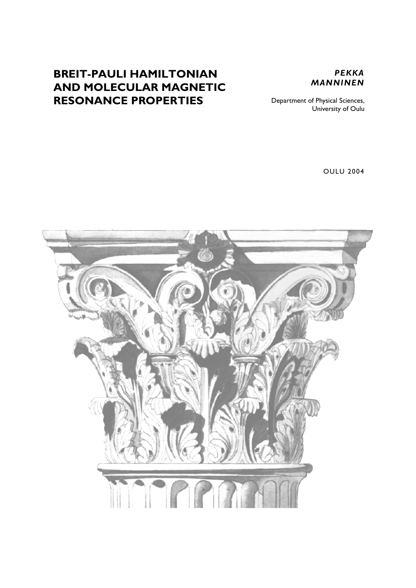# **BREIT-PAULI HAMILTONIAN AND MOLECULAR MAGNETIC RESONANCE PROPERTIES**



Department of Physical Sciences, University of Oulu

OULU 2004

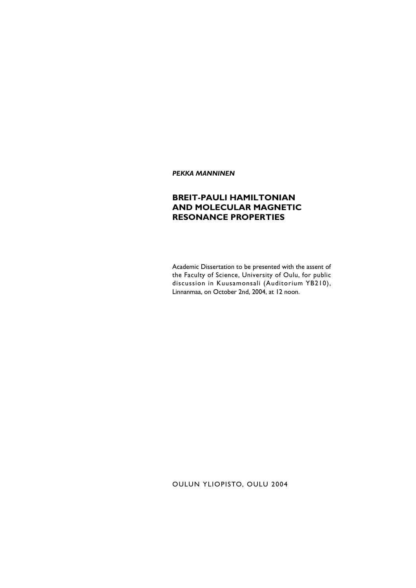*PEKKA MANNINEN*

## **BREIT-PAULI HAMILTONIAN AND MOLECULAR MAGNETIC RESONANCE PROPERTIES**

Academic Dissertation to be presented with the assent of the Faculty of Science, University of Oulu, for public discussion in Kuusamonsali (Auditorium YB210), Linnanmaa, on October 2nd, 2004, at 12 noon.

OULUN YLIOPISTO, OULU 2004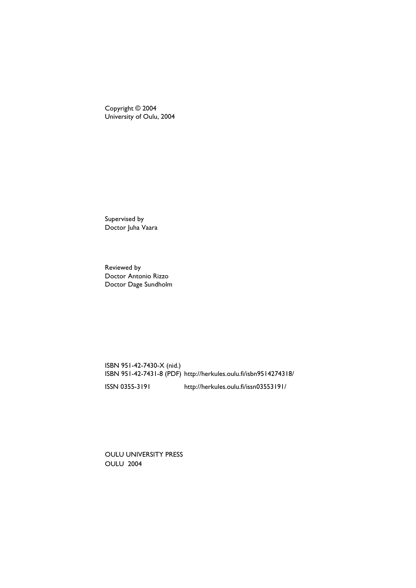Copyright © 2004 University of Oulu, 2004

Supervised by Doctor Juha Vaara

Reviewed by Doctor Antonio Rizzo Doctor Dage Sundholm

ISBN 951-42-7430-X (nid.) ISBN 951-42-7431-8 (PDF) http://herkules.oulu.fi/isbn9514274318/ ISSN 0355-3191 http://herkules.oulu.fi/issn03553191/

OULU UNIVERSITY PRESS OULU 2004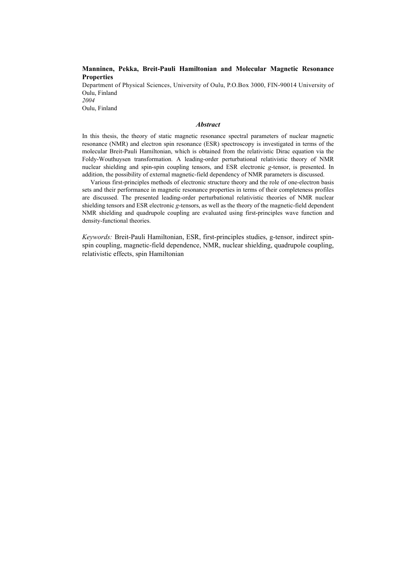### **Manninen, Pekka, Breit-Pauli Hamiltonian and Molecular Magnetic Resonance Properties**

Department of Physical Sciences, University of Oulu, P.O.Box 3000, FIN-90014 University of Oulu, Finland *2004* Oulu, Finland

#### *Abstract*

In this thesis, the theory of static magnetic resonance spectral parameters of nuclear magnetic resonance (NMR) and electron spin resonance (ESR) spectroscopy is investigated in terms of the molecular Breit-Pauli Hamiltonian, which is obtained from the relativistic Dirac equation via the Foldy-Wouthuysen transformation. A leading-order perturbational relativistic theory of NMR nuclear shielding and spin-spin coupling tensors, and ESR electronic *g*-tensor, is presented. In addition, the possibility of external magnetic-field dependency of NMR parameters is discussed.

Various first-principles methods of electronic structure theory and the role of one-electron basis sets and their performance in magnetic resonance properties in terms of their completeness profiles are discussed. The presented leading-order perturbational relativistic theories of NMR nuclear shielding tensors and ESR electronic *g*-tensors, as well as the theory of the magnetic-field dependent NMR shielding and quadrupole coupling are evaluated using first-principles wave function and density-functional theories.

*Keywords:* Breit-Pauli Hamiltonian, ESR, first-principles studies, g-tensor, indirect spinspin coupling, magnetic-field dependence, NMR, nuclear shielding, quadrupole coupling, relativistic effects, spin Hamiltonian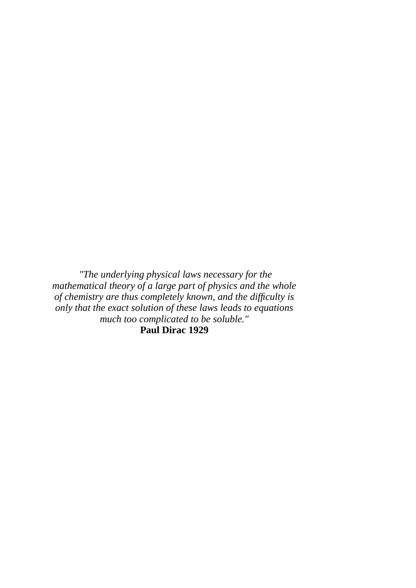*"The underlying physical laws necessary for the mathematical theory of a large part of physics and the whole of chemistry are thus completely known, and the difficulty is only that the exact solution of these laws leads to equations much too complicated to be soluble."* **Paul Dirac 1929**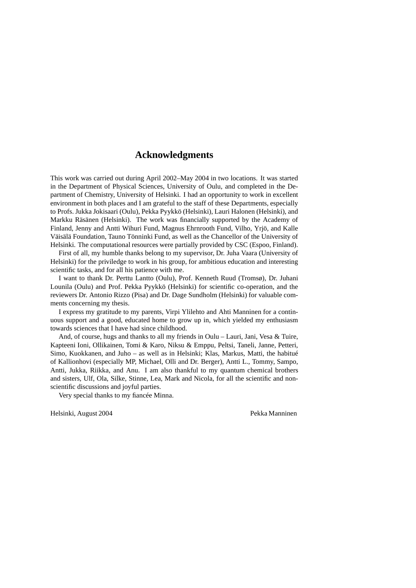## **Acknowledgments**

This work was carried out during April 2002–May 2004 in two locations. It was started in the Department of Physical Sciences, University of Oulu, and completed in the Department of Chemistry, University of Helsinki. I had an opportunity to work in excellent environment in both places and I am grateful to the staff of these Departments, especially to Profs. Jukka Jokisaari (Oulu), Pekka Pyykkö (Helsinki), Lauri Halonen (Helsinki), and Markku Räsänen (Helsinki). The work was financially supported by the Academy of Finland, Jenny and Antti Wihuri Fund, Magnus Ehrnrooth Fund, Vilho, Yrjö, and Kalle Väisälä Foundation, Tauno Tönninki Fund, as well as the Chancellor of the University of Helsinki. The computational resources were partially provided by CSC (Espoo, Finland).

First of all, my humble thanks belong to my supervisor, Dr. Juha Vaara (University of Helsinki) for the priviledge to work in his group, for ambitious education and interesting scientific tasks, and for all his patience with me.

I want to thank Dr. Perttu Lantto (Oulu), Prof. Kenneth Ruud (Tromsø), Dr. Juhani Lounila (Oulu) and Prof. Pekka Pyykkö (Helsinki) for scientific co-operation, and the reviewers Dr. Antonio Rizzo (Pisa) and Dr. Dage Sundholm (Helsinki) for valuable comments concerning my thesis.

I express my gratitude to my parents, Virpi Ylilehto and Ahti Manninen for a continuous support and a good, educated home to grow up in, which yielded my enthusiasm towards sciences that I have had since childhood.

And, of course, hugs and thanks to all my friends in Oulu – Lauri, Jani, Vesa & Tuire, Kapteeni Ioni, Ollikainen, Tomi & Karo, Niksu & Emppu, Peltsi, Taneli, Janne, Petteri, Simo, Kuokkanen, and Juho – as well as in Helsinki; Klas, Markus, Matti, the habitué of Kallionhovi (especially MP, Michael, Olli and Dr. Berger), Antti L., Tommy, Sampo, Antti, Jukka, Riikka, and Anu. I am also thankful to my quantum chemical brothers and sisters, Ulf, Ola, Silke, Stinne, Lea, Mark and Nicola, for all the scientific and nonscientific discussions and joyful parties.

Very special thanks to my fiancée Minna.

Helsinki, August 2004 Pekka Manninen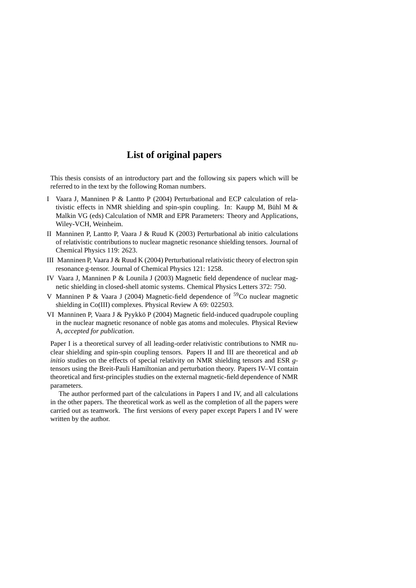# **List of original papers**

This thesis consists of an introductory part and the following six papers which will be referred to in the text by the following Roman numbers.

- I Vaara J, Manninen P & Lantto P (2004) Perturbational and ECP calculation of relativistic effects in NMR shielding and spin-spin coupling. In: Kaupp M, Bühl M & Malkin VG (eds) Calculation of NMR and EPR Parameters: Theory and Applications, Wiley-VCH, Weinheim.
- II Manninen P, Lantto P, Vaara J & Ruud K (2003) Perturbational ab initio calculations of relativistic contributions to nuclear magnetic resonance shielding tensors. Journal of Chemical Physics 119: 2623.
- III Manninen P, Vaara J & Ruud K (2004) Perturbational relativistic theory of electron spin resonance g-tensor. Journal of Chemical Physics 121: 1258.
- IV Vaara J, Manninen P & Lounila J (2003) Magnetic field dependence of nuclear magnetic shielding in closed-shell atomic systems. Chemical Physics Letters 372: 750.
- V Manninen P & Vaara J (2004) Magnetic-field dependence of  $^{59}$ Co nuclear magnetic shielding in Co(III) complexes. Physical Review A 69: 022503.
- VI Manninen P, Vaara J & Pyykkö P (2004) Magnetic field-induced quadrupole coupling in the nuclear magnetic resonance of noble gas atoms and molecules. Physical Review A, *accepted for publication*.

Paper I is a theoretical survey of all leading-order relativistic contributions to NMR nuclear shielding and spin-spin coupling tensors. Papers II and III are theoretical and *ab initio* studies on the effects of special relativity on NMR shielding tensors and ESR *g*tensors using the Breit-Pauli Hamiltonian and perturbation theory. Papers IV–VI contain theoretical and first-principles studies on the external magnetic-field dependence of NMR parameters.

The author performed part of the calculations in Papers I and IV, and all calculations in the other papers. The theoretical work as well as the completion of all the papers were carried out as teamwork. The first versions of every paper except Papers I and IV were written by the author.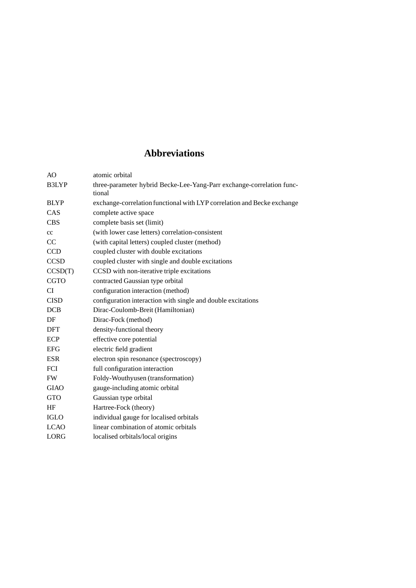# **Abbreviations**

| AO          | atomic orbital                                                                  |
|-------------|---------------------------------------------------------------------------------|
| B3LYP       | three-parameter hybrid Becke-Lee-Yang-Parr exchange-correlation func-<br>tional |
| <b>BLYP</b> | exchange-correlation functional with LYP correlation and Becke exchange         |
| CAS         | complete active space                                                           |
| <b>CBS</b>  | complete basis set (limit)                                                      |
| cc          | (with lower case letters) correlation-consistent                                |
| CC          | (with capital letters) coupled cluster (method)                                 |
| <b>CCD</b>  | coupled cluster with double excitations                                         |
| <b>CCSD</b> | coupled cluster with single and double excitations                              |
| CCSD(T)     | CCSD with non-iterative triple excitations                                      |
| <b>CGTO</b> | contracted Gaussian type orbital                                                |
| <b>CI</b>   | configuration interaction (method)                                              |
| <b>CISD</b> | configuration interaction with single and double excitations                    |
| <b>DCB</b>  | Dirac-Coulomb-Breit (Hamiltonian)                                               |
| DF          | Dirac-Fock (method)                                                             |
| <b>DFT</b>  | density-functional theory                                                       |
| ECP         | effective core potential                                                        |
| <b>EFG</b>  | electric field gradient                                                         |
| <b>ESR</b>  | electron spin resonance (spectroscopy)                                          |
| FCI         | full configuration interaction                                                  |
| FW          | Foldy-Wouthyusen (transformation)                                               |
| <b>GIAO</b> | gauge-including atomic orbital                                                  |
| <b>GTO</b>  | Gaussian type orbital                                                           |
| HF          | Hartree-Fock (theory)                                                           |
| <b>IGLO</b> | individual gauge for localised orbitals                                         |
| <b>LCAO</b> | linear combination of atomic orbitals                                           |
| LORG        | localised orbitals/local origins                                                |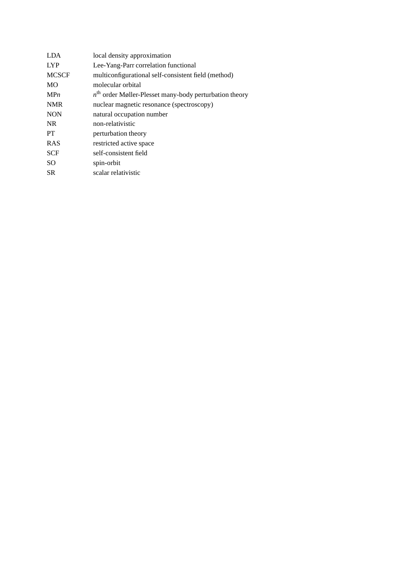| <b>LYP</b><br>Lee-Yang-Parr correlation functional                  |  |
|---------------------------------------------------------------------|--|
|                                                                     |  |
| <b>MCSCF</b><br>multiconfigurational self-consistent field (method) |  |
| <b>MO</b><br>molecular orbital                                      |  |
| $nth$ order Møller-Plesset many-body perturbation theory<br>MPn     |  |
| <b>NMR</b><br>nuclear magnetic resonance (spectroscopy)             |  |
| <b>NON</b><br>natural occupation number                             |  |
| NR.<br>non-relativistic                                             |  |
| <b>PT</b><br>perturbation theory                                    |  |
| <b>RAS</b><br>restricted active space                               |  |
| <b>SCF</b><br>self-consistent field                                 |  |
| SO.<br>spin-orbit                                                   |  |
| <b>SR</b><br>scalar relativistic                                    |  |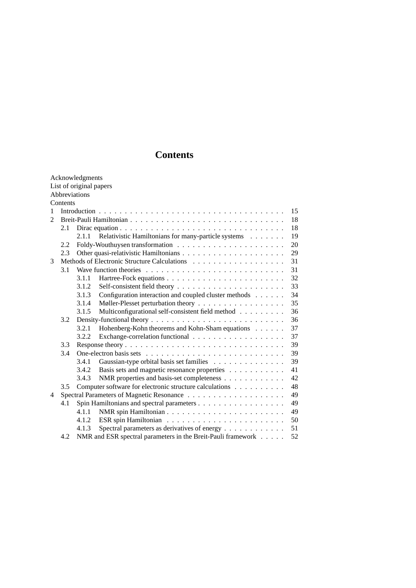# **Contents**

|                |          | Acknowledgments<br>List of original papers |                                                              |  |    |
|----------------|----------|--------------------------------------------|--------------------------------------------------------------|--|----|
|                |          | Abbreviations                              |                                                              |  |    |
|                | Contents |                                            |                                                              |  |    |
| 1              |          |                                            |                                                              |  | 15 |
| $\mathfrak{D}$ |          |                                            |                                                              |  | 18 |
|                | 2.1      |                                            |                                                              |  | 18 |
|                |          | 2.1.1                                      | Relativistic Hamiltonians for many-particle systems          |  | 19 |
|                | 2.2      |                                            |                                                              |  | 20 |
|                | 2.3      |                                            |                                                              |  | 29 |
| 3              |          |                                            |                                                              |  | 31 |
|                | 3.1      |                                            |                                                              |  | 31 |
|                |          | 3.1.1                                      |                                                              |  | 32 |
|                |          | 3.1.2                                      |                                                              |  | 33 |
|                |          | 3.1.3                                      | Configuration interaction and coupled cluster methods        |  | 34 |
|                |          | 3.1.4                                      | Møller-Plesset perturbation theory                           |  | 35 |
|                |          | 3.1.5                                      | Multiconfigurational self-consistent field method            |  | 36 |
|                | 3.2      |                                            |                                                              |  | 36 |
|                |          | 3.2.1                                      | Hohenberg-Kohn theorems and Kohn-Sham equations              |  | 37 |
|                |          | 3.2.2                                      |                                                              |  | 37 |
|                | 3.3      |                                            |                                                              |  | 39 |
|                | 3.4      |                                            |                                                              |  | 39 |
|                |          | 3.4.1                                      | Gaussian-type orbital basis set families                     |  | 39 |
|                |          | 3.4.2                                      | Basis sets and magnetic resonance properties                 |  | 41 |
|                |          | 3.4.3                                      | NMR properties and basis-set completeness                    |  | 42 |
|                | 3.5      |                                            | Computer software for electronic structure calculations      |  | 48 |
| 4              |          |                                            |                                                              |  | 49 |
|                | 4.1      |                                            |                                                              |  | 49 |
|                |          | 4.1.1                                      |                                                              |  | 49 |
|                |          | 4.1.2                                      |                                                              |  | 50 |
|                |          | 4.1.3                                      | Spectral parameters as derivatives of energy                 |  | 51 |
|                | 4.2      |                                            | NMR and ESR spectral parameters in the Breit-Pauli framework |  | 52 |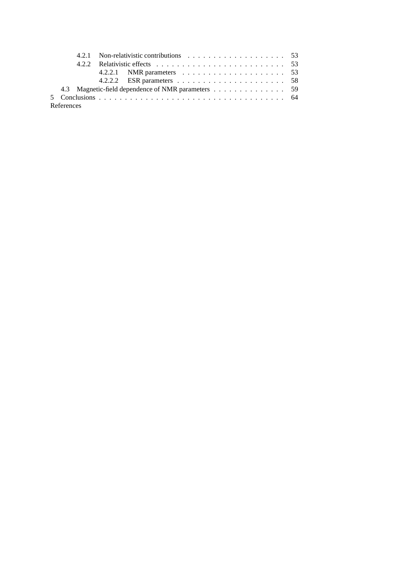|            |  | 4.2.2.1 NMR parameters $\ldots \ldots \ldots \ldots \ldots \ldots \ldots \ldots$ 53 |  |
|------------|--|-------------------------------------------------------------------------------------|--|
|            |  |                                                                                     |  |
|            |  | 4.3 Magnetic-field dependence of NMR parameters 59                                  |  |
|            |  |                                                                                     |  |
| References |  |                                                                                     |  |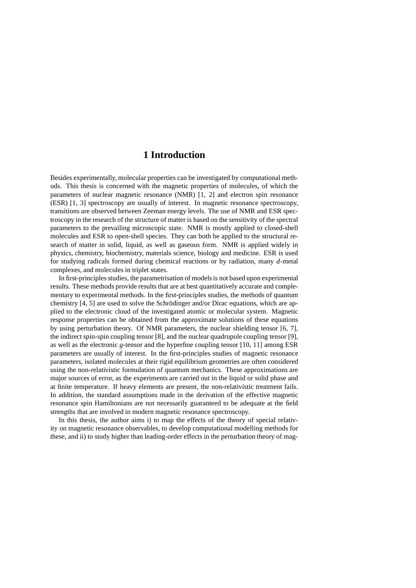## **1 Introduction**

Besides experimentally, molecular properties can be investigated by computational methods. This thesis is concerned with the magnetic properties of molecules, of which the parameters of nuclear magnetic resonance (NMR) [1, 2] and electron spin resonance (ESR) [1, 3] spectroscopy are usually of interest. In magnetic resonance spectroscopy, transitions are observed between Zeeman energy levels. The use of NMR and ESR spectroscopy in the research of the structure of matter is based on the sensitivity of the spectral parameters to the prevailing microscopic state. NMR is mostly applied to closed-shell molecules and ESR to open-shell species. They can both be applied to the structural research of matter in solid, liquid, as well as gaseous form. NMR is applied widely in physics, chemistry, biochemistry, materials science, biology and medicine. ESR is used for studying radicals formed during chemical reactions or by radiation, many *d*-metal complexes, and molecules in triplet states.

In first-principles studies, the parametrisation of models is not based upon experimental results. These methods provide results that are at best quantitatively accurate and complementary to experimental methods. In the first-principles studies, the methods of quantum chemistry [4, 5] are used to solve the Schrödinger and/or Dirac equations, which are applied to the electronic cloud of the investigated atomic or molecular system. Magnetic response properties can be obtained from the approximate solutions of these equations by using perturbation theory. Of NMR parameters, the nuclear shielding tensor [6, 7], the indirect spin-spin coupling tensor [8], and the nuclear quadrupole coupling tensor [9], as well as the electronic *g*-tensor and the hyperfine coupling tensor [10, 11] among ESR parameters are usually of interest. In the first-principles studies of magnetic resonance parameters, isolated molecules at their rigid equilibrium geometries are often considered using the non-relativistic formulation of quantum mechanics. These approximations are major sources of error, as the experiments are carried out in the liquid or solid phase and at finite temperature. If heavy elements are present, the non-relativistic treatment fails. In addition, the standard assumptions made in the derivation of the effective magnetic resonance spin Hamiltonians are not necessarily guaranteed to be adequate at the field strengths that are involved in modern magnetic resonance spectroscopy.

In this thesis, the author aims i) to map the effects of the theory of special relativity on magnetic resonance observables, to develop computational modelling methods for these, and ii) to study higher than leading-order effects in the perturbation theory of mag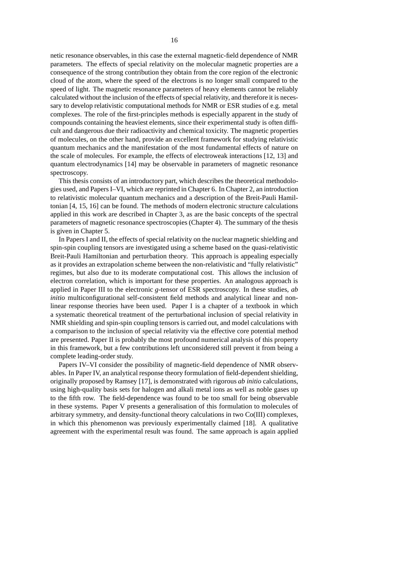netic resonance observables, in this case the external magnetic-field dependence of NMR parameters. The effects of special relativity on the molecular magnetic properties are a consequence of the strong contribution they obtain from the core region of the electronic cloud of the atom, where the speed of the electrons is no longer small compared to the speed of light. The magnetic resonance parameters of heavy elements cannot be reliably calculated without the inclusion of the effects of special relativity, and therefore it is necessary to develop relativistic computational methods for NMR or ESR studies of e.g. metal complexes. The role of the first-principles methods is especially apparent in the study of compounds containing the heaviest elements, since their experimental study is often difficult and dangerous due their radioactivity and chemical toxicity. The magnetic properties of molecules, on the other hand, provide an excellent framework for studying relativistic quantum mechanics and the manifestation of the most fundamental effects of nature on the scale of molecules. For example, the effects of electroweak interactions [12, 13] and quantum electrodynamics [14] may be observable in parameters of magnetic resonance spectroscopy.

This thesis consists of an introductory part, which describes the theoretical methodologies used, and Papers I–VI, which are reprinted in Chapter 6. In Chapter 2, an introduction to relativistic molecular quantum mechanics and a description of the Breit-Pauli Hamiltonian [4, 15, 16] can be found. The methods of modern electronic structure calculations applied in this work are described in Chapter 3, as are the basic concepts of the spectral parameters of magnetic resonance spectroscopies (Chapter 4). The summary of the thesis is given in Chapter 5.

In Papers I and II, the effects of special relativity on the nuclear magnetic shielding and spin-spin coupling tensors are investigated using a scheme based on the quasi-relativistic Breit-Pauli Hamiltonian and perturbation theory. This approach is appealing especially as it provides an extrapolation scheme between the non-relativistic and "fully relativistic" regimes, but also due to its moderate computational cost. This allows the inclusion of electron correlation, which is important for these properties. An analogous approach is applied in Paper III to the electronic *g*-tensor of ESR spectroscopy. In these studies, *ab initio* multiconfigurational self-consistent field methods and analytical linear and nonlinear response theories have been used. Paper I is a chapter of a textbook in which a systematic theoretical treatment of the perturbational inclusion of special relativity in NMR shielding and spin-spin coupling tensors is carried out, and model calculations with a comparison to the inclusion of special relativity via the effective core potential method are presented. Paper II is probably the most profound numerical analysis of this property in this framework, but a few contributions left unconsidered still prevent it from being a complete leading-order study.

Papers IV–VI consider the possibility of magnetic-field dependence of NMR observables. In Paper IV, an analytical response theory formulation of field-dependentshielding, originally proposed by Ramsey [17], is demonstrated with rigorous *ab initio* calculations, using high-quality basis sets for halogen and alkali metal ions as well as noble gases up to the fifth row. The field-dependence was found to be too small for being observable in these systems. Paper V presents a generalisation of this formulation to molecules of arbitrary symmetry, and density-functional theory calculations in two Co(III) complexes, in which this phenomenon was previously experimentally claimed [18]. A qualitative agreement with the experimental result was found. The same approach is again applied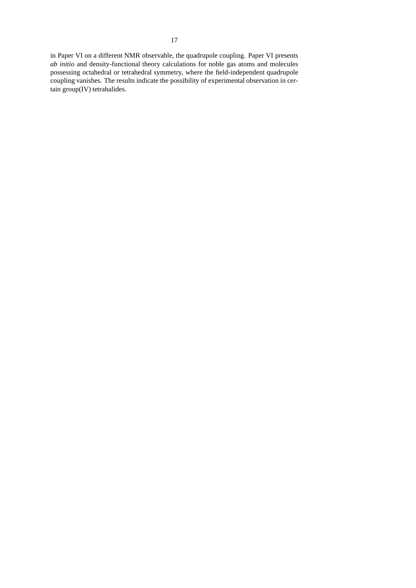in Paper VI on a different NMR observable, the quadrupole coupling. Paper VI presents *ab initio* and density-functional theory calculations for noble gas atoms and molecules possessing octahedral or tetrahedral symmetry, where the field-independent quadrupole coupling vanishes. The results indicate the possibility of experimental observation in certain group(IV) tetrahalides.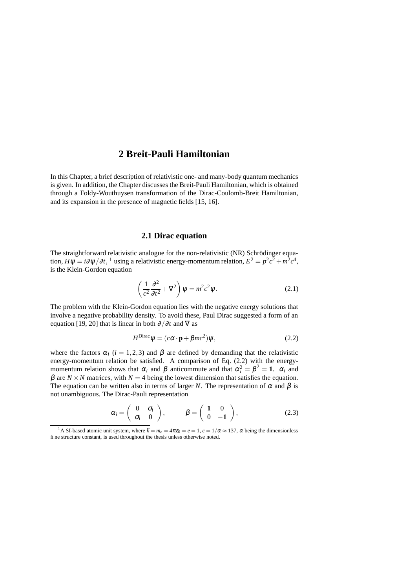# **2 Breit-Pauli Hamiltonian**

In this Chapter, a brief description of relativistic one- and many-body quantum mechanics is given. In addition, the Chapter discusses the Breit-Pauli Hamiltonian, which is obtained through a Foldy-Wouthuysen transformation of the Dirac-Coulomb-Breit Hamiltonian, and its expansion in the presence of magnetic fields [15, 16].

## **2.1 Dirac equation**

The straightforward relativistic analogue for the non-relativistic (NR) Schrödinger equation,  $H \psi = i \partial \psi / \partial t$ , <sup>1</sup> using a relativistic energy-momentum relation,  $E^2 = p^2 c^2 + m^2 c^4$ , is the Klein-Gordon equation

$$
-\left(\frac{1}{c^2}\frac{\partial^2}{\partial t^2} + \nabla^2\right)\psi = m^2c^2\psi.
$$
 (2.1)

The problem with the Klein-Gordon equation lies with the negative energy solutions that involve a negative probability density. To avoid these, Paul Dirac suggested a form of an equation [19, 20] that is linear in both  $\partial/\partial t$  and  $\nabla$  as

$$
H^{\text{Dirac}}\psi = (c\alpha \cdot \mathbf{p} + \beta mc^2)\psi, \qquad (2.2)
$$

where the factors  $\alpha_i$  (*i* = 1,2,3) and  $\beta$  are defined by demanding that the relativistic energy-momentum relation be satisfied. A comparison of Eq. (2.2) with the energymomentum relation shows that  $\alpha_i$  and  $\beta$  anticommute and that  $\alpha_i^2 = \beta^2 = 1$ .  $\alpha_i$  and  $β$  are *N* × *N* matrices, with *N* = 4 being the lowest dimension that satisfies the equation. The equation can be written also in terms of larger *N*. The representation of  $\alpha$  and  $\beta$  is not unambiguous. The Dirac-Pauli representation

$$
\alpha_i = \begin{pmatrix} 0 & \sigma_i \\ \sigma_i & 0 \end{pmatrix}, \qquad \beta = \begin{pmatrix} 1 & 0 \\ 0 & -1 \end{pmatrix}, \tag{2.3}
$$

<sup>&</sup>lt;sup>1</sup>A SI-based atomic unit system, where  $\hbar = m_e = 4\pi \varepsilon_0 = e = 1$ ,  $c = 1/\alpha \approx 137$ ,  $\alpha$  being the dimensionless fine structure constant, is used throughout the thesis unless otherwise noted.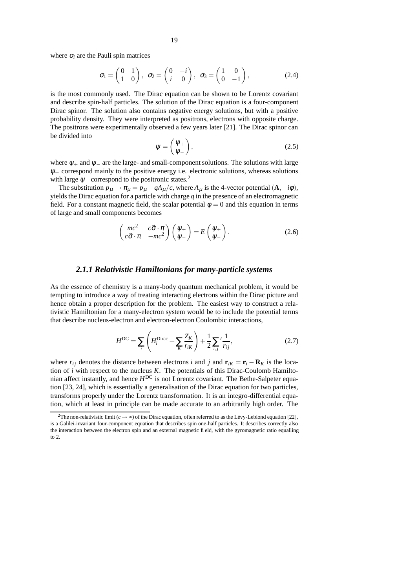where  $\sigma_i$  are the Pauli spin matrices

$$
\sigma_1 = \begin{pmatrix} 0 & 1 \\ 1 & 0 \end{pmatrix}, \quad \sigma_2 = \begin{pmatrix} 0 & -i \\ i & 0 \end{pmatrix}, \quad \sigma_3 = \begin{pmatrix} 1 & 0 \\ 0 & -1 \end{pmatrix}, \tag{2.4}
$$

is the most commonly used. The Dirac equation can be shown to be Lorentz covariant and describe spin-half particles. The solution of the Dirac equation is a four-component Dirac spinor. The solution also contains negative energy solutions, but with a positive probability density. They were interpreted as positrons, electrons with opposite charge. The positrons were experimentally observed a few years later [21]. The Dirac spinor can be divided into

$$
\psi = \begin{pmatrix} \psi_+ \\ \psi_- \end{pmatrix}, \tag{2.5}
$$

where  $\psi_+$  and  $\psi_-$  are the large- and small-component solutions. The solutions with large  $\Psi$  correspond mainly to the positive energy i.e. electronic solutions, whereas solutions with large  $\psi$  correspond to the positronic states.<sup>2</sup>

The substitution  $p_{\mu} \rightarrow \pi_{\mu} = p_{\mu} - qA_{\mu}/c$ , where  $A_{\mu}$  is the 4-vector potential  $(A, -i\phi)$ , yields the Dirac equation for a particle with charge *q* in the presence of an electromagnetic field. For a constant magnetic field, the scalar potential  $\phi = 0$  and this equation in terms of large and small components becomes

$$
\begin{pmatrix} mc^2 & c\vec{\sigma} \cdot \pi \\ c\vec{\sigma} \cdot \pi & -mc^2 \end{pmatrix} \begin{pmatrix} \psi_+ \\ \psi_- \end{pmatrix} = E \begin{pmatrix} \psi_+ \\ \psi_- \end{pmatrix}.
$$
 (2.6)

#### *2.1.1 Relativistic Hamiltonians for many-particle systems*

As the essence of chemistry is a many-body quantum mechanical problem, it would be tempting to introduce a way of treating interacting electrons within the Dirac picture and hence obtain a proper description for the problem. The easiest way to construct a relativistic Hamiltonian for a many-electron system would be to include the potential terms that describe nucleus-electron and electron-electron Coulombic interactions,

$$
H^{DC} = \sum_{i} \left( H_i^{Dirac} + \sum_{K} \frac{Z_K}{r_{iK}} \right) + \frac{1}{2} \sum_{i,j} \frac{1}{r_{ij}},
$$
 (2.7)

where  $r_{ij}$  denotes the distance between electrons *i* and *j* and  $\mathbf{r}_{iK} = \mathbf{r}_i - \mathbf{R}_K$  is the location of *i* with respect to the nucleus *K*. The potentials of this Dirac-Coulomb Hamiltonian affect instantly, and hence *H* DC is not Lorentz covariant. The Bethe-Salpeter equation [23, 24], which is essentially a generalisation of the Dirac equation for two particles, transforms properly under the Lorentz transformation. It is an integro-differential equation, which at least in principle can be made accurate to an arbitrarily high order. The

<sup>&</sup>lt;sup>2</sup>The non-relativistic limit ( $c \rightarrow \infty$ ) of the Dirac equation, often referred to as the Lévy-Leblond equation [22], is a Galilei-invariant four-component equation that describes spin one-half particles. It describes correctly also the interaction between the electron spin and an external magnetic field, with the gyromagnetic ratio equalling to 2.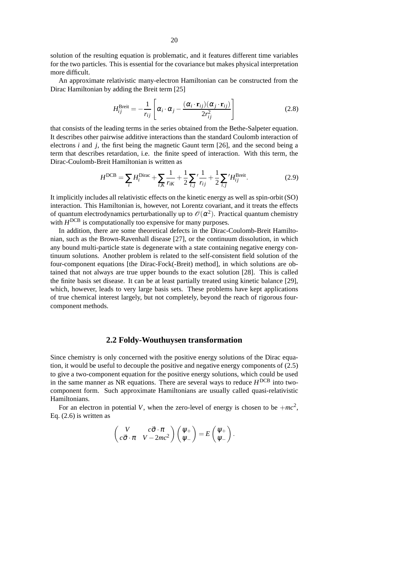solution of the resulting equation is problematic, and it features different time variables for the two particles. This is essential for the covariance but makes physical interpretation more difficult.

An approximate relativistic many-electron Hamiltonian can be constructed from the Dirac Hamiltonian by adding the Breit term [25]

$$
H_{ij}^{\text{Breit}} = -\frac{1}{r_{ij}} \left[ \alpha_i \cdot \alpha_j - \frac{(\alpha_i \cdot \mathbf{r}_{ij})(\alpha_j \cdot \mathbf{r}_{ij})}{2r_{ij}^2} \right]
$$
(2.8)

that consists of the leading terms in the series obtained from the Bethe-Salpeter equation. It describes other pairwise additive interactions than the standard Coulomb interaction of electrons *i* and *j*, the first being the magnetic Gaunt term [26], and the second being a term that describes retardation, i.e. the finite speed of interaction. With this term, the Dirac-Coulomb-Breit Hamiltonian is written as

$$
H^{\text{DCB}} = \sum_{i} H_i^{\text{Dirac}} + \sum_{i,K} \frac{1}{r_{iK}} + \frac{1}{2} \sum_{i,j} \frac{1}{r_{ij}} + \frac{1}{2} \sum_{i,j} \frac{H_{ij}^{\text{Breit}}}{H_{ij}^{\text{B}}}
$$
(2.9)

It implicitly includes all relativistic effects on the kinetic energy as well as spin-orbit (SO) interaction. This Hamiltonian is, however, not Lorentz covariant, and it treats the effects of quantum electrodynamics perturbationally up to  $\mathscr{O}(\alpha^2)$ . Practical quantum chemistry with  $H^{DCB}$  is computationally too expensive for many purposes.

In addition, there are some theoretical defects in the Dirac-Coulomb-Breit Hamiltonian, such as the Brown-Ravenhall disease [27], or the continuum dissolution, in which any bound multi-particle state is degenerate with a state containing negative energy continuum solutions. Another problem is related to the self-consistent field solution of the four-component equations [the Dirac-Fock(-Breit) method], in which solutions are obtained that not always are true upper bounds to the exact solution [28]. This is called the finite basis set disease. It can be at least partially treated using kinetic balance [29], which, however, leads to very large basis sets. These problems have kept applications of true chemical interest largely, but not completely, beyond the reach of rigorous fourcomponent methods.

#### **2.2 Foldy-Wouthuysen transformation**

Since chemistry is only concerned with the positive energy solutions of the Dirac equation, it would be useful to decouple the positive and negative energy components of (2.5) to give a two-component equation for the positive energy solutions, which could be used in the same manner as NR equations. There are several ways to reduce *H* DCB into twocomponent form. Such approximate Hamiltonians are usually called quasi-relativistic Hamiltonians.

For an electron in potential *V*, when the zero-level of energy is chosen to be  $+mc^2$ , Eq.  $(2.6)$  is written as

$$
\begin{pmatrix} V & c\vec{\sigma}\cdot\pi \\ c\vec{\sigma}\cdot\pi & V-2mc^2 \end{pmatrix} \begin{pmatrix} \psi_+ \\ \psi_- \end{pmatrix} = E\begin{pmatrix} \psi_+ \\ \psi_- \end{pmatrix}.
$$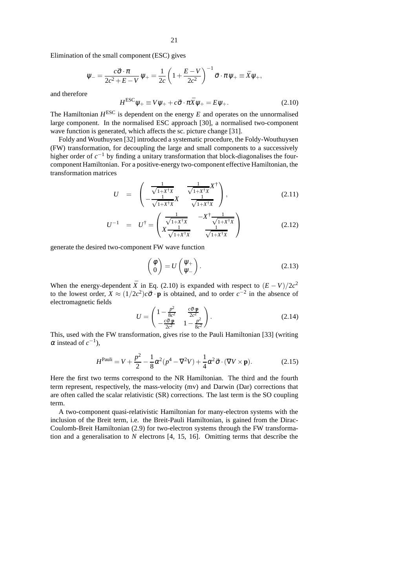Elimination of the small component (ESC) gives

$$
\Psi_{-} = \frac{c\vec{\sigma} \cdot \pi}{2c^2 + E - V} \Psi_{+} = \frac{1}{2c} \left( 1 + \frac{E - V}{2c^2} \right)^{-1} \vec{\sigma} \cdot \pi \Psi_{+} \equiv \vec{X} \Psi_{+},
$$

and therefore

$$
H^{\rm ESC}\psi_+ \equiv V\psi_+ + c\vec{\sigma}\cdot\pi\vec{X}\psi_+ = E\psi_+.
$$
 (2.10)

The Hamiltonian  $H^{\text{ESC}}$  is dependent on the energy  $E$  and operates on the unnormalised large component. In the normalised ESC approach [30], a normalised two-component wave function is generated, which affects the sc. picture change [31].

Foldy and Wouthuysen [32] introduced a systematic procedure, the Foldy-Wouthuysen (FW) transformation, for decoupling the large and small components to a successively higher order of  $c^{-1}$  by finding a unitary transformation that block-diagonalises the fourcomponent Hamiltonian. For a positive-energy two-component effective Hamiltonian, the transformation matrices

$$
U = \begin{pmatrix} \frac{1}{\sqrt{1+X^{\dagger}X}} & \frac{1}{\sqrt{1+X^{\dagger}X}}X^{\dagger} \\ -\frac{1}{\sqrt{1+X^{\dagger}X}}X & \frac{1}{\sqrt{1+X^{\dagger}X}} \end{pmatrix},
$$
(2.11)

$$
U^{-1} = U^{\dagger} = \begin{pmatrix} \frac{1}{\sqrt{1+X^{\dagger}X}} & -X^{\dagger} \frac{1}{\sqrt{1+X^{\dagger}X}} \\ X \frac{1}{\sqrt{1+X^{\dagger}X}} & \frac{1}{\sqrt{1+X^{\dagger}X}} \end{pmatrix}
$$
(2.12)

generate the desired two-component FW wave function

$$
\begin{pmatrix} \phi \\ 0 \end{pmatrix} = U \begin{pmatrix} \psi_+ \\ \psi_- \end{pmatrix}.
$$
 (2.13)

When the energy-dependent  $\bar{X}$  in Eq. (2.10) is expanded with respect to  $(E - V)/2c^2$ to the lowest order,  $X \approx (1/2c^2)c\vec{\sigma} \cdot \mathbf{p}$  is obtained, and to order  $c^{-2}$  in the absence of electromagnetic fields

$$
U = \begin{pmatrix} 1 - \frac{p^2}{8c^2} & \frac{c\vec{\sigma} \cdot \mathbf{p}}{2c^2} \\ -\frac{c\vec{\sigma} \cdot \mathbf{p}}{2c^2} & 1 - \frac{p^2}{8c^2} \end{pmatrix}.
$$
 (2.14)

This, used with the FW transformation, gives rise to the Pauli Hamiltonian [33] (writing  $\alpha$  instead of  $c^{-1}$ ),

$$
H^{\text{Pauli}} = V + \frac{p^2}{2} - \frac{1}{8}\alpha^2(p^4 - \nabla^2 V) + \frac{1}{4}\alpha^2 \vec{\sigma} \cdot (\nabla V \times \mathbf{p}).\tag{2.15}
$$

Here the first two terms correspond to the NR Hamiltonian. The third and the fourth term represent, respectively, the mass-velocity (mv) and Darwin (Dar) corrections that are often called the scalar relativistic (SR) corrections. The last term is the SO coupling term.

A two-component quasi-relativistic Hamiltonian for many-electron systems with the inclusion of the Breit term, i.e. the Breit-Pauli Hamiltonian, is gained from the Dirac-Coulomb-Breit Hamiltonian (2.9) for two-electron systems through the FW transformation and a generalisation to *N* electrons [4, 15, 16]. Omitting terms that describe the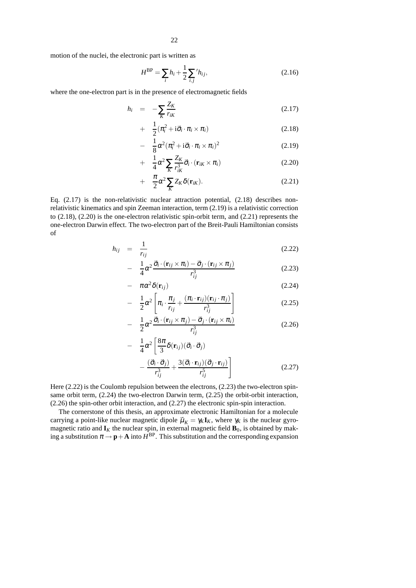motion of the nuclei, the electronic part is written as

$$
H^{\rm BP} = \sum_{i} h_i + \frac{1}{2} \sum_{i,j}^{\prime} h_{ij},\tag{2.16}
$$

where the one-electron part is in the presence of electromagnetic fields

$$
h_i = -\sum_K \frac{Z_K}{r_{iK}} \tag{2.17}
$$

$$
+ \frac{1}{2}(\pi_i^2 + i\vec{\sigma}_i \cdot \pi_i \times \pi_i)
$$
\n(2.18)

$$
- \frac{1}{8}\alpha^2(\pi_i^2 + i\vec{\sigma}_i \cdot \pi_i \times \pi_i)^2 \tag{2.19}
$$

$$
+ \frac{1}{4}\alpha^2 \sum_{K} \frac{Z_K}{r_{iK}^3} \vec{\sigma}_i \cdot (\mathbf{r}_{iK} \times \pi_i)
$$
\n(2.20)

$$
+ \quad \frac{\pi}{2} \alpha^2 \sum_K Z_K \delta(\mathbf{r}_{iK}). \tag{2.21}
$$

Eq.  $(2.17)$  is the non-relativistic nuclear attraction potential,  $(2.18)$  describes nonrelativistic kinematics and spin Zeeman interaction, term (2.19) is a relativistic correction to  $(2.18)$ ,  $(2.20)$  is the one-electron relativistic spin-orbit term, and  $(2.21)$  represents the one-electron Darwin effect. The two-electron part of the Breit-Pauli Hamiltonian consists of

$$
h_{ij} = \frac{1}{r_{ij}} \tag{2.22}
$$

$$
- \frac{1}{4}\alpha^2 \frac{\vec{\sigma}_i \cdot (\mathbf{r}_{ij} \times \pi_i) - \vec{\sigma}_j \cdot (\mathbf{r}_{ij} \times \pi_j)}{r_{ij}^3}
$$
 (2.23)

$$
- \pi \alpha^2 \delta(\mathbf{r}_{ij}) \tag{2.24}
$$

$$
- \frac{1}{2}\alpha^2 \left[ \pi_i \cdot \frac{\pi_j}{r_{ij}} + \frac{(\pi_i \cdot \mathbf{r}_{ij})(\mathbf{r}_{ij} \cdot \pi_j)}{r_{ij}^3} \right]
$$
(2.25)

$$
- \frac{1}{2} \alpha^2 \frac{\vec{\sigma}_i \cdot (\mathbf{r}_{ij} \times \pi_j) - \vec{\sigma}_j \cdot (\mathbf{r}_{ij} \times \pi_i)}{r_{ij}^3}
$$
 (2.26)

$$
- \frac{1}{4} \alpha^2 \left[ \frac{8\pi}{3} \delta(\mathbf{r}_{ij}) (\vec{\sigma}_i \cdot \vec{\sigma}_j) - \frac{(\vec{\sigma}_i \cdot \vec{\sigma}_j)}{r_{ij}^3} + \frac{3(\vec{\sigma}_i \cdot \mathbf{r}_{ij}) (\vec{\sigma}_j \cdot \mathbf{r}_{ij})}{r_{ij}^5} \right]
$$
(2.27)

Here (2.22) is the Coulomb repulsion between the electrons, (2.23) the two-electron spinsame orbit term, (2.24) the two-electron Darwin term, (2.25) the orbit-orbit interaction, (2.26) the spin-other orbit interaction, and (2.27) the electronic spin-spin interaction.

The cornerstone of this thesis, an approximate electronic Hamiltonian for a molecule carrying a point-like nuclear magnetic dipole  $\vec{\mu}_K = \gamma_K \mathbf{I}_K$ , where  $\gamma_K$  is the nuclear gyromagnetic ratio and  $\mathbf{I}_K$  the nuclear spin, in external magnetic field  $\mathbf{B}_0$ , is obtained by making a substitution  $\pi \rightarrow \mathbf{p} + \mathbf{A}$  into  $H^{\text{BP}}$ . This substitution and the corresponding expansion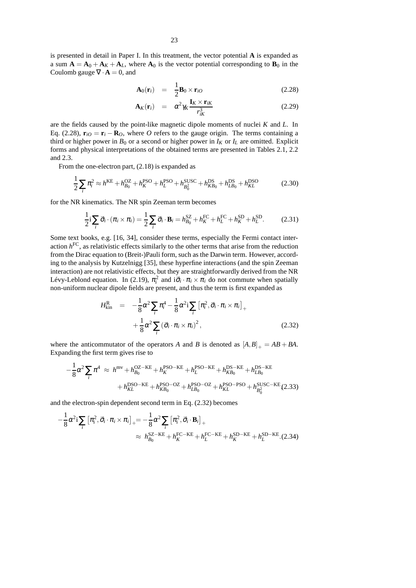is presented in detail in Paper I. In this treatment, the vector potential **A** is expanded as a sum  $A = A_0 + A_K + A_L$ , where  $A_0$  is the vector potential corresponding to  $B_0$  in the Coulomb gauge  $\nabla \cdot \mathbf{A} = 0$ , and

$$
\mathbf{A}_0(\mathbf{r}_i) = \frac{1}{2} \mathbf{B}_0 \times \mathbf{r}_{iO} \tag{2.28}
$$

$$
\mathbf{A}_{K}(\mathbf{r}_{i}) = \alpha^{2} \gamma_{K} \frac{\mathbf{I}_{K} \times \mathbf{r}_{iK}}{r_{iK}^{3}}
$$
(2.29)

are the fields caused by the point-like magnetic dipole moments of nuclei *K* and *L*. In Eq. (2.28),  $\mathbf{r}_{i0} = \mathbf{r}_i - \mathbf{R}_0$ , where *O* refers to the gauge origin. The terms containing a third or higher power in  $B_0$  or a second or higher power in  $I_K$  or  $I_L$  are omitted. Explicit forms and physical interpretations of the obtained terms are presented in Tables 2.1, 2.2 and 2.3.

From the one-electron part, (2.18) is expanded as

$$
\frac{1}{2}\sum_{i}\pi_{i}^{2} \approx h^{\text{KE}} + h_{B_{0}}^{\text{OZ}} + h_{K}^{\text{PSO}} + h_{L}^{\text{PSO}} + h_{B_{0}^{2}}^{\text{SUSC}} + h_{KB_{0}}^{\text{DS}} + h_{LB_{0}}^{\text{DS}} + h_{KL}^{\text{DSO}} \tag{2.30}
$$

for the NR kinematics. The NR spin Zeeman term becomes

$$
\frac{1}{2}\mathbf{i}\sum_{i}\vec{\sigma}_{i}\cdot(\pi_{i}\times\pi_{i})=\frac{1}{2}\sum_{i}\vec{\sigma}_{i}\cdot\mathbf{B}_{i}=h_{B_{0}}^{\mathrm{SZ}}+h_{K}^{\mathrm{FC}}+h_{L}^{\mathrm{FC}}+h_{K}^{\mathrm{SD}}+h_{L}^{\mathrm{SD}}.\tag{2.31}
$$

Some text books, e.g. [16, 34], consider these terms, especially the Fermi contact interaction *h* FC, as relativistic effects similarly to the other terms that arise from the reduction from the Dirac equation to (Breit-)Pauli form, such as the Darwin term. However, according to the analysis by Kutzelnigg [35], these hyperfine interactions (and the spin Zeeman interaction) are not relativistic effects, but they are straightforwardly derived from the NR Lévy-Leblond equation. In (2.19),  $\pi_i^2$  and  $i\vec{\sigma}_i \cdot \pi_i \times \pi_i$  do not commute when spatially non-uniform nuclear dipole fields are present, and thus the term is first expanded as

$$
H_{\text{kin}}^{\text{R}} = -\frac{1}{8}\alpha^2 \sum_{i} \pi_i^4 - \frac{1}{8}\alpha^2 \sum_{i} \left[ \pi_i^2, \vec{\sigma}_i \cdot \pi_i \times \pi_i \right]_{+} + \frac{1}{8}\alpha^2 \sum_{i} \left( \vec{\sigma}_i \cdot \pi_i \times \pi_i \right)^2, \tag{2.32}
$$

where the anticommutator of the operators *A* and *B* is denoted as  $[A, B]_+ = AB + BA$ . Expanding the first term gives rise to

$$
-\frac{1}{8}\alpha^2 \sum_{i} \pi^4 \approx h^{\text{mv}} + h_{B_0}^{\text{OZ}-\text{KE}} + h_K^{\text{PSO}-\text{KE}} + h_L^{\text{PSO}-\text{KE}} + h_{KB_0}^{\text{DS}-\text{KE}} + h_{LB_0}^{\text{DS}-\text{KE}} + h_{KL}^{\text{PSO}-\text{KE}} + h_{KB_0}^{\text{PSO}-\text{KE}} + h_{KB_0}^{\text{PSO}-\text{OS}} + h_{LB_0}^{\text{PSO}-\text{PSO}} + h_{KL}^{\text{SSC}-\text{KE}} (2.33)
$$

and the electron-spin dependent second term in Eq. (2.32) becomes

$$
-\frac{1}{8}\alpha^2 \mathbf{i} \sum_i \left[\pi_i^2, \vec{\sigma}_i \cdot \pi_i \times \pi_i\right]_+ = -\frac{1}{8}\alpha^2 \sum_i \left[\pi_i^2, \vec{\sigma}_i \cdot \mathbf{B}_i\right]_+ \approx h_{B_0}^{SZ-KE} + h_K^{FC-KE} + h_L^{FC-KE} + h_K^{SD-KE} + h_L^{SD-KE}.
$$
 (2.34)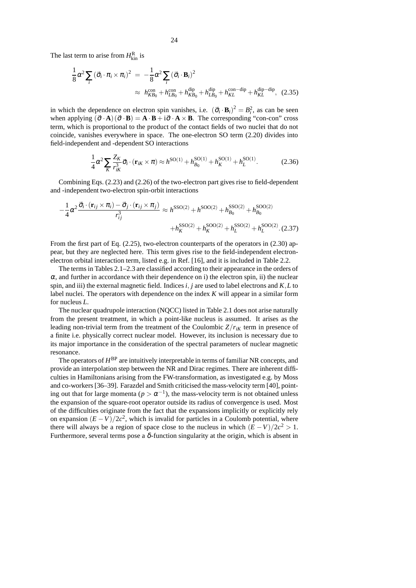The last term to arise from  $H_{kin}^R$  is

$$
\frac{1}{8}\alpha^2 \sum_{i} (\vec{\sigma}_{i} \cdot \pi_{i} \times \pi_{i})^2 = -\frac{1}{8}\alpha^2 \sum_{i} (\vec{\sigma}_{i} \cdot \mathbf{B}_{i})^2
$$
\n
$$
\approx h_{KB_0}^{\text{con}} + h_{LB_0}^{\text{con}} + h_{KB_0}^{\text{dip}} + h_{KL}^{\text{dip}} + h_{KL}^{\text{con-dip}} + h_{KL}^{\text{dip-dip}}, \quad (2.35)
$$

in which the dependence on electron spin vanishes, i.e.  $({\vec{\sigma}}_i \cdot {\bf B}_i)^2 = B_i^2$ , as can be seen when applying  $({\vec{\sigma}} \cdot {\bf A})({\vec{\sigma}} \cdot {\bf B}) = {\bf A} \cdot {\bf B} + i{\vec{\sigma}} \cdot {\bf A} \times {\bf B}$ . The corresponding "con-con" cross term, which is proportional to the product of the contact fields of two nuclei that do not coincide, vanishes everywhere in space. The one-electron SO term (2.20) divides into field-independent and -dependent SO interactions

$$
\frac{1}{4}\alpha^2 \sum_{K} \frac{Z_K}{r_{iK}^3} \vec{\sigma}_i \cdot (\mathbf{r}_{iK} \times \pi) \approx h^{\text{SO}(1)} + h_{B_0}^{\text{SO}(1)} + h_K^{\text{SO}(1)} + h_L^{\text{SO}(1)}.
$$
 (2.36)

Combining Eqs. (2.23) and (2.26) of the two-electron part gives rise to field-dependent and -independent two-electron spin-orbit interactions

$$
-\frac{1}{4}\alpha^2 \frac{\vec{\sigma}_i \cdot (\mathbf{r}_{ij} \times \pi_i) - \vec{\sigma}_j \cdot (\mathbf{r}_{ij} \times \pi_j)}{r_{ij}^3} \approx h^{\text{SSO}(2)} + h^{\text{SOO}(2)} + h_{B_0}^{\text{SSO}(2)} + h_{B_0}^{\text{SOO}(2)} + h_L^{\text{SOO}(2)}.
$$
\n
$$
+ h_K^{\text{SSO}(2)} + h_K^{\text{SSO}(2)} + h_L^{\text{SSO}(2)} + h_L^{\text{SOO}(2)}.
$$
\n(2.37)

From the first part of Eq. (2.25), two-electron counterparts of the operators in (2.30) appear, but they are neglected here. This term gives rise to the field-independent electronelectron orbital interaction term, listed e.g. in Ref. [16], and it is included in Table 2.2.

The terms in Tables 2.1–2.3 are classified according to their appearance in the orders of  $\alpha$ , and further in accordance with their dependence on i) the electron spin, ii) the nuclear spin, and iii) the external magnetic field. Indices *i*, *j* are used to label electrons and  $K$ , *L* to label nuclei. The operators with dependence on the index *K* will appear in a similar form for nucleus *L*.

The nuclear quadrupole interaction (NQCC) listed in Table 2.1 does not arise naturally from the present treatment, in which a point-like nucleus is assumed. It arises as the leading non-trivial term from the treatment of the Coulombic  $Z/r_{ik}$  term in presence of a finite i.e. physically correct nuclear model. However, its inclusion is necessary due to its major importance in the consideration of the spectral parameters of nuclear magnetic resonance.

The operators of  $H^{\text{BP}}$  are intuitively interpretable in terms of familiar NR concepts, and provide an interpolation step between the NR and Dirac regimes. There are inherent difficulties in Hamiltonians arising from the FW-transformation, as investigated e.g. by Moss and co-workers[36–39]. Farazdel and Smith criticised the mass-velocity term [40], pointing out that for large momenta ( $p > \alpha^{-1}$ ), the mass-velocity term is not obtained unless the expansion of the square-root operator outside its radius of convergence is used. Most of the difficulties originate from the fact that the expansions implicitly or explicitly rely on expansion  $(E - V)/2c^2$ , which is invalid for particles in a Coulomb potential, where there will always be a region of space close to the nucleus in which  $(E - V)/2c^2 > 1$ . Furthermore, several terms pose a  $\delta$ -function singularity at the origin, which is absent in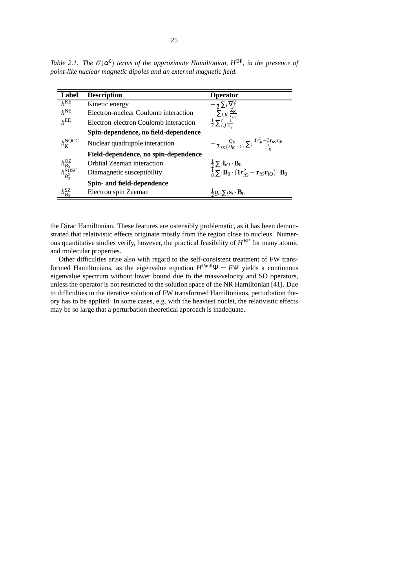| Label                                           | <b>Description</b>                    | <b>Operator</b>                                                                                                                                                                          |
|-------------------------------------------------|---------------------------------------|------------------------------------------------------------------------------------------------------------------------------------------------------------------------------------------|
| $h^{\text{KE}}$                                 | Kinetic energy                        | $-\frac{1}{2}\sum_i \nabla_i^2$                                                                                                                                                          |
| $h^{\text{NE}}$                                 | Electron-nuclear Coulomb interaction  | $-\sum_{i,K}\frac{Z_K}{r_{iK}}$                                                                                                                                                          |
| $h^{\text{EE}}$                                 | Electron-electron Coulomb interaction | $\frac{1}{2}\sum_{i,j}^{\prime}\frac{1}{r_{ii}}$                                                                                                                                         |
|                                                 | Spin-dependence, no field-dependence  |                                                                                                                                                                                          |
| $h_{\kappa}^{\text{NQCC}}$                      | Nuclear quadrupole interaction        | $-\frac{1}{2}\frac{Q_K}{I_K(2I_K-1)}\sum_i\frac{Ir_K^2-3r_{iK}r_{iK}}{r^3}$                                                                                                              |
|                                                 | Field-dependence, no spin-dependence  |                                                                                                                                                                                          |
|                                                 | Orbital Zeeman interaction            |                                                                                                                                                                                          |
| $\frac{h^{\rm OZ}_{B_0}}{h^{\rm SUSC}_{B_0^2}}$ | Diamagnetic susceptibility            | $\frac{\frac{1}{2}\sum_{i} \mathbf{l}_{iO} \cdot \mathbf{B}_{0}}{\frac{1}{8}\sum_{i} \mathbf{B}_{0} \cdot (\mathbf{1}r_{iO}^{2} - \mathbf{r}_{iO}\mathbf{r}_{iO}) \cdot \mathbf{B}_{0}}$ |
|                                                 | Spin- and field-dependence            |                                                                                                                                                                                          |
| $h_{B_0}^{SZ}$                                  | Electron spin Zeeman                  | $\frac{1}{2}g_e \sum_i \mathbf{s}_i \cdot \mathbf{B}_0$                                                                                                                                  |

*Table* 2.1. *The*  $\mathcal{O}(\alpha^0)$  *terms of the approximate Hamiltonian,*  $H^{\text{BP}}$ *, in the presence of point-like nuclear magnetic dipoles and an external magnetic field.*

the Dirac Hamiltonian. These features are ostensibly problematic, as it has been demonstrated that relativistic effects originate mostly from the region close to nucleus. Numerous quantitative studies verify, however, the practical feasibility of *H* BP for many atomic and molecular properties.

Other difficulties arise also with regard to the self-consistent treatment of FW transformed Hamiltonians, as the eigenvalue equation  $H^{\text{Pauli}}\Psi = E\Psi$  yields a continuous eigenvalue spectrum without lower bound due to the mass-velocity and SO operators, unless the operator is not restricted to the solution space of the NR Hamiltonian [41]. Due to difficulties in the iterative solution of FW transformed Hamiltonians, perturbation theory has to be applied. In some cases, e.g. with the heaviest nuclei, the relativistic effects may be so large that a perturbation theoretical approach is inadequate.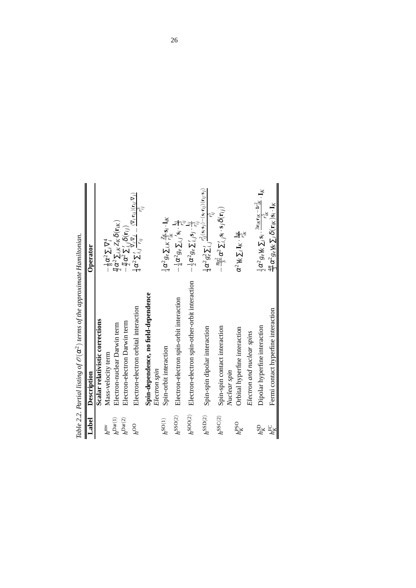| Label                       | Description                                           | Operator                                                                                                                                                                                                                        |
|-----------------------------|-------------------------------------------------------|---------------------------------------------------------------------------------------------------------------------------------------------------------------------------------------------------------------------------------|
|                             | Scalar relativistic corrections                       |                                                                                                                                                                                                                                 |
| $n^{\rm{mv}}$               | Mass-velocity term                                    | $-\frac{1}{8}\alpha^2\sum_i \nabla_i^4$                                                                                                                                                                                         |
| $h^{\operatorname{Dar}(1)}$ | Electron-nuclear Darwin term                          | $\frac{\pi}{2}\alpha^2\sum_{i,K}Z_K\delta(\mathbf{r}_{iK})$                                                                                                                                                                     |
| $h^{\mathrm{Dar}(2)}$       | Electron-electron Darwin term                         |                                                                                                                                                                                                                                 |
| $h^{OO}$                    | Electron-electron orbital interaction                 | $\frac{-\frac{\pi}{2}\alpha^2\sum_{i,j}^{'}\delta(\mathbf{r}_{ij})}{\frac{1}{4}\alpha^2\sum_{i,j}^{'}\sum_{r_{ij}}^{V_{i}\rightarrow V_{j}}-\frac{(\nabla_{l}\cdot\mathbf{r}_{ij})(\mathbf{r}_{ij}\cdot\nabla_{j})}{r_{ij}^2}}$ |
|                             | Spin-dependence, no field-dependence<br>Electron spin |                                                                                                                                                                                                                                 |
| $h^{\text{SO}(1)}$          | Spin-orbit interaction                                | $\frac{1}{4}\alpha^2 g_e \sum_{i,K} \frac{Z_K}{r_{i_K}^2} s_i \cdot \mathbf{l}_{iK}$                                                                                                                                            |
| $h^{\rm{SSO(2)}}$           | Electron-electron spin-orbit interaction              | $-\frac{1}{4}\alpha^2 g_e \sum_{i,j} s_i \cdot \frac{\mathbf{I}_{ij}}{r_{i,j}^3}$                                                                                                                                               |
| $h^{\rm SOO(2)}$            | Electron-electron spin-other-orbit interaction        | $\frac{1}{2}\alpha^2 g_e \sum_{i,j}^{\prime} s_j \cdot \frac{1}{r_{i,j}^2}$                                                                                                                                                     |
| $h^{\rm SSD(2)}$            | Spin-spin dipolar interaction                         | $\frac{1}{4}\alpha^2g_e^2\sum_{i,j}\frac{r_{ij}^2(\mathbf{s}_i\cdot\mathbf{s}_j)-(\mathbf{s}_i\cdot\mathbf{r}_{ij})(\mathbf{r}_{ij}\cdot\mathbf{s}_j)}{r_{\cdot\cdot\cdot}^5}$                                                  |
| $h^{\rm SSC(2)}$            | Spin-spin contact interaction<br>Nuclear spin         | $-\frac{\pi g_e^2}{3}\alpha^2\sum_{i,j} s_i\cdot s_j\delta(\mathbf{r}_{ij})$                                                                                                                                                    |
| $h_K^{\rm PSO}$             | Orbital hyperfine interaction                         | $\alpha^2 \gamma_K \sum_i \mathbf{I}_K \cdot \frac{\mathbf{i}_K}{\mathbf{i}_K}$                                                                                                                                                 |
|                             | Electron and nuclear spins                            |                                                                                                                                                                                                                                 |
| $h_K^{\rm SD}$              | Dipolar hyperfine interaction                         | $\frac{1}{2}\alpha^2 g_e \gamma_K \sum_i \mathbf{s}_i \cdot \frac{3\mathbf{r}_{iK}\mathbf{r}_{iK} - \mathbf{I}_{iK}^{\gamma^2}}{\mathbf{s}} \cdot \mathbf{I}_K$                                                                 |
| $h_K^{\rm FC}$              | Fermi contact hyperfine interaction                   | $\frac{4\pi}{3}\alpha^2 g_e \gamma_K \sum_i \delta(\mathbf{r}_{iK})s_i \cdot \mathbf{I}_K$                                                                                                                                      |

Table 2.2. Partial listing of  $\mathcal{O}(\alpha^2)$  terms of the approximate Hamiltonian. O(α2) *terms of the approximate Hamiltonian. Table 2.2*. *Partial listing of*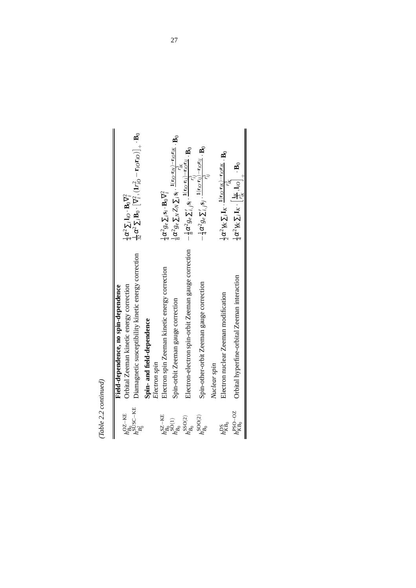$(Table~2.2~continued) % The number of values of the number of times in the right, the number of times in the right, the number of times in the right, the number of times in the right, the number of times in the right, the number of times in the right, the number of times in the right, the number of times in the right, the number of times in the right, the number of times in the right, the number of times in the right, the number of times in the right, the number of times in the right, the number of times in the right, the number of times in the right, the number of times in the right, the number of times in the right, the number of times in the right, the number of times in the right, the number of times in the right, the number of times in the right, the number of times in the right, the number of times in the right, the number of times in the right, the number of times in the right, the number of times in$ *(Table 2.2 continued)*

| $\frac{1}{4}\alpha^2g_e\sum_i\mathbf{s}_i\cdot\mathbf{B}_0\nabla^2_i$<br>Electron-electron spin-orbit Zeeman gauge correction<br>Diamagnetic susceptibility kinetic energy correction<br>Electron spin Zeeman kinetic energy correction<br>Orbital hyperfine-orbital Zeeman interaction<br>Spin-other-orbit Zeeman gauge correction<br>Orbital Zeeman kinetic energy correction<br>Electron nuclear Zeeman modification<br>Spin-orbit Zeeman gauge correction<br>Spin- and field-dependence<br>Electron spin<br>Nuclear spin<br>$h^{\rm SUSC-KE}_{B^2_r}$<br>$h_{KB0}^{\text{PSO}-\text{OZ}}$<br>$h_{B_0}^{\rm SZ-KE}$<br>$h_{B_0}^{\mathrm{SOO}(2)}$<br>$h_{B_0}^{\mathrm{SSO}(2)}$<br>$h_{KB_0}^{\rm DS}$ |                   | Field-dependence, no spin-dependence |                                                                                                                                                                |
|-------------------------------------------------------------------------------------------------------------------------------------------------------------------------------------------------------------------------------------------------------------------------------------------------------------------------------------------------------------------------------------------------------------------------------------------------------------------------------------------------------------------------------------------------------------------------------------------------------------------------------------------------------------------------------------------------------------|-------------------|--------------------------------------|----------------------------------------------------------------------------------------------------------------------------------------------------------------|
|                                                                                                                                                                                                                                                                                                                                                                                                                                                                                                                                                                                                                                                                                                             | $h_{B_0}^{OZ-KE}$ |                                      | $\frac{1}{4}\alpha^2\sum_i \mathbf{l}_{iO}\cdot\mathbf{B}_0\nabla_i^2$                                                                                         |
| $h_{B_0}^{SO(1)}$                                                                                                                                                                                                                                                                                                                                                                                                                                                                                                                                                                                                                                                                                           |                   |                                      | $\frac{1}{32}\alpha^2\,\Sigma_i\,\mathbf{B}_0\cdot\big[\nabla^2_i,( \mathbf{1}\eta^2_{i0}-\mathbf{r}_{i0}\mathbf{r}_{i0})\big]_+\cdot\mathbf{B}_0$             |
|                                                                                                                                                                                                                                                                                                                                                                                                                                                                                                                                                                                                                                                                                                             |                   |                                      |                                                                                                                                                                |
|                                                                                                                                                                                                                                                                                                                                                                                                                                                                                                                                                                                                                                                                                                             |                   |                                      |                                                                                                                                                                |
|                                                                                                                                                                                                                                                                                                                                                                                                                                                                                                                                                                                                                                                                                                             |                   |                                      |                                                                                                                                                                |
|                                                                                                                                                                                                                                                                                                                                                                                                                                                                                                                                                                                                                                                                                                             |                   |                                      | $\frac{1}{8}\alpha^2 g_e\sum_N Z_N\sum_i {\bf s}_i\cdot\frac{{\bf 1}({\bf r}_{iO}{\bf r}_{iN})-{\bf r}_{iO}{\bf r}_{iK}}{r_{iN}^3} \cdot{\bf B}_0$             |
|                                                                                                                                                                                                                                                                                                                                                                                                                                                                                                                                                                                                                                                                                                             |                   |                                      | $-\frac{1}{8}\alpha^2 g_e\sum_{i,j}{\bf s}_i\cdot\frac{{\bf 1}\left({\bf r}_{iO}{\bf r}_{ij}\right)-{\bf r}_{iO}{\bf r}_{ij}}{r_{ij}^2}\cdot{\bf B}_0$         |
|                                                                                                                                                                                                                                                                                                                                                                                                                                                                                                                                                                                                                                                                                                             |                   |                                      | $-\frac{1}{4}\alpha^2 g_e \sum_{i,j}^\prime {\bf s}_j \cdot \frac{{\bf 1}({\bf r}_{i0}\cdot {\bf r}_{ij})-{\bf r}_{i0}{\bf r}_{ij}}{r_{ij}^3} \cdot {\bf B}_0$ |
|                                                                                                                                                                                                                                                                                                                                                                                                                                                                                                                                                                                                                                                                                                             |                   |                                      |                                                                                                                                                                |
|                                                                                                                                                                                                                                                                                                                                                                                                                                                                                                                                                                                                                                                                                                             |                   |                                      | $\frac{1}{2}\alpha^2\gamma_K\sum_i\mathbf{I}_K\cdot\frac{\mathbf{1}(r_{iO}r_{iK})-r_{iO}r_{iK}}{r_{iS}^3}$ . $\mathbf{B}_0$                                    |
|                                                                                                                                                                                                                                                                                                                                                                                                                                                                                                                                                                                                                                                                                                             |                   |                                      | $\frac{1}{4}\alpha^2\gamma_K\sum_i\mathbf{I}_K\cdot\left[\frac{\mathbf{l}_K}{r_K^2},\mathbf{l}_{iO}\right]_+\cdot\mathbf{B}_0$                                 |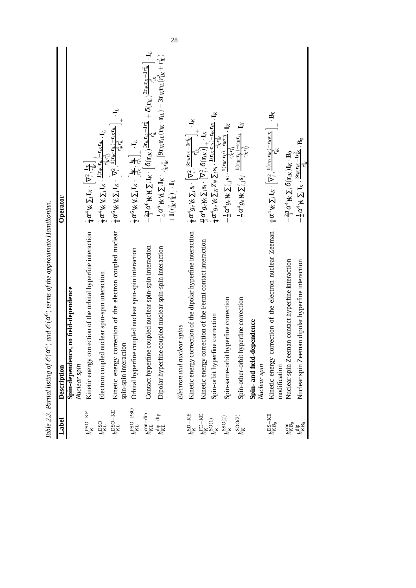| Label                                                                           | Description                                                                        | Operator                                                                                                                                                                                                                                                                                                                                                                                                                                              |
|---------------------------------------------------------------------------------|------------------------------------------------------------------------------------|-------------------------------------------------------------------------------------------------------------------------------------------------------------------------------------------------------------------------------------------------------------------------------------------------------------------------------------------------------------------------------------------------------------------------------------------------------|
|                                                                                 | Spin-dependence, no field-dependence<br>Nuclear spin                               |                                                                                                                                                                                                                                                                                                                                                                                                                                                       |
| $h_K^{\text{PSO-KE}}$                                                           | correction of the orbital hyperfine interaction<br>Kinetic energy                  |                                                                                                                                                                                                                                                                                                                                                                                                                                                       |
| $h_{KL}^{\rm DSO}$                                                              | Electron coupled nuclear spin-spin interaction                                     |                                                                                                                                                                                                                                                                                                                                                                                                                                                       |
| $h_{KL}^{\rm DSO-KE}$                                                           | Kinetic energy correction of the electron coupled nuclear<br>spin-spin interaction | $\begin{array}{l} \frac{1}{4}\alpha^4\gamma_K\sum_i\mathbf{I}_{K}\cdot\left[\nabla^2_i,\frac{\mathbf{l}_{K}}{r_{K}^2}\right]_{+}^{+}\\ \frac{1}{2}\alpha^4\gamma_K\gamma_L\sum_i\mathbf{I}_{K}\cdot\frac{\mathbf{1}(\mathbf{r}_{iK}x_{iL}^+)-\mathbf{r}_{iK}\mathbf{r}_{iL}}{r_{iK}^2\cdot\mathbf{I}_{iL}\cdot\mathbf{I}_{L}}\cdot\mathbf{I}_{L}\\ \frac{1}{8}\alpha^6\gamma_K\gamma_L\sum_i\mathbf{I}_{K}\cdot\left[\nabla^2_i,\frac{\mathbf{1}(\$   |
| $h^{\rm PSO-PSO}_{KL}$                                                          | Orbital hyperfine coupled nuclear spin-spin interaction                            | $\frac{1}{2}\alpha^6\gamma_K\gamma_L\sum_i\mathbf{I}_K\cdot\left[\frac{\mathbf{I}_{K}}{r_K^{\gamma_K}},\frac{\mathbf{I}_{K\!L}}{r_L^{\gamma_L}}\right]_+\cdot\mathbf{I}_L$                                                                                                                                                                                                                                                                            |
| $h^{\rm con-dip}_{KL}$                                                          | Contact hyperfine coupled nuclear spin-spin interaction                            | $-\frac{2\pi}{3}\alpha^6\gamma_K\gamma_L\sum_i {\bf I}_K\cdot\left[\delta({\bf r}_{iK})\frac{3{\bf r}_{iL}{\bf r}_{iL}-{\bf h}_{iL}^2}{r_{i\gamma}^2}+ \delta({\bf r}_{iL})\frac{3{\bf r}_{iK}{\bf r}_{iK}-{\bf h}_{iK}^2}{r_{i\gamma}^2}\right]\cdot{\bf I}_L$                                                                                                                                                                                       |
| $h^{\rm dip-dip}_{KL}$                                                          | Dipolar hyperfine coupled nuclear spin-spin interaction                            | $-\frac{1}{4}\alpha^6\gamma_K\gamma_L\sum_i\mathbf{I}_K\cdot\frac{1}{r_{K}^{\prime}r_{K}^{\prime}}\left[\mathbf{9r}_{iK}\mathbf{r}_{iL}(\mathbf{r}_{iK}\cdot\mathbf{r}_{iL})-\mathbf{3r}_{iK}\mathbf{r}_{iL}(r_{iK}^2+r_{iL}^2)\right]$<br>$+1(r_{iK}^2r_{iL}^2)\big]\cdot\mathbf{I}_L$                                                                                                                                                               |
|                                                                                 | Electron and nuclear spins                                                         |                                                                                                                                                                                                                                                                                                                                                                                                                                                       |
| $h_K^{\rm SD-KE}$                                                               | Kinetic energy correction of the dipolar hyperfine interaction                     | $\begin{array}{l} \frac{1}{8}\alpha^4g_e\gamma_K\sum_i{\bf s}_i\cdot\left[\nabla_i^2,\frac{3\tau_K{\bf r}_{1K}-{\bf 1}\gamma_{K}^2}{r_{1K}^2}\right]\cdot{\bf I}_K\\ \frac{\pi}{2}\alpha^4g_e\gamma_K\sum_i{\bf s}_i\cdot\left[\nabla_i^2,\delta\left({\bf r}_{1K}\right)\right]_+\cdot{\bf I}_K\\ \frac{1}{4}\alpha^4g_e\gamma_K\sum_N Z_N\sum_i{\bf s}_i\cdot\frac{{\bf 1}\left({\bf r}_{1K}{\bf r}_{1N}\right)-{\bf r}_{1K}{\bf r}_{1N}}{r_{1,K}^$ |
| $\begin{array}{l} h_K^{\text{FC}-\text{KE}}\\ h_S^{\text{SO}(1)}\\ \end{array}$ | correction of the Fermi contact interaction<br>Kinetic energy                      |                                                                                                                                                                                                                                                                                                                                                                                                                                                       |
|                                                                                 | Spin-orbit hyperfine correction                                                    |                                                                                                                                                                                                                                                                                                                                                                                                                                                       |
| $h_K^{\rm{SSO(2)}}$                                                             | Spin-same-orbit hyperfine correction                                               | $-\frac{1}{4}\alpha^4g_e\gamma_K\sum_{i,j}^{\prime}s_i\cdot\frac{\mathbf{I}(\mathbf{r}_{iK}\cdot\mathbf{r}_{ij})-\mathbf{r}_{iK}\mathbf{r}_{iJ}}{r_{i2}^2\cdot r_{i3}^2\cdot\mathbf{r}_{i2}^2}\cdot\mathbf{I}_K$                                                                                                                                                                                                                                      |
| $h_K^{\rm SOO(2)}$                                                              | Spin-other-orbit hyperfine correction                                              | $\lambda$ a set $\lambda \leq i, j$ and $\frac{r_{ik}^2 r_{ij}^2}{r_{ik}^2 (r_{ij}) - r_{ik} r_{ij}}$ .<br>$-\frac{1}{2} \alpha^4 g_e \gamma_K \sum_{i,j} s_j$ , $\frac{1(r_{ik} r_{ij}) - r_{ik} r_{ij}}{r_{ik}^2 r_{ij}^2}$ . I <sub>K</sub>                                                                                                                                                                                                        |
|                                                                                 | Spin- and field-dependence<br>Nuclear spin                                         |                                                                                                                                                                                                                                                                                                                                                                                                                                                       |
| $h^{\rm DS-KE}_{KB_0}$                                                          | correction of the electron nuclear Zeeman<br>Kinetic energy<br>modification        | $\frac{1}{8}\alpha^4\gamma_K\sum_i \mathbf{I}_K\cdot\left[\nabla_i^2,\frac{\mathbf{I}(r_{i0}\cdot\mathbf{r}_{iK})-\mathbf{r}_{i0}\mathbf{r}_{iK}}{r_{iK}^2}\right]_+\cdot\mathbf{B}_0$                                                                                                                                                                                                                                                                |
| $h^{\rm con}_{KB_0}$                                                            | Nuclear spin Zeeman contact hyperfine interaction                                  | $-\frac{2\pi}{3}\alpha^4\gamma_K\sum_i\delta(\mathbf{r}_{iK})\mathbf{I}_K\cdot\mathbf{B}_0$                                                                                                                                                                                                                                                                                                                                                           |
| $h^{\mathrm{dip}}_{KB_0}$                                                       | Nuclear spin Zeeman dipolar hyperfine interaction                                  | $-\frac{1}{4}\alpha^4\,\gamma_K\sum_{l} \mathbf{I}_K\cdot\frac{3\mathbf{r}_{lK}\mathbf{r}_{lK}-\mathbf{L}^2_{lK}}{r_K^3}\cdot\mathbf{B}_0$                                                                                                                                                                                                                                                                                                            |

28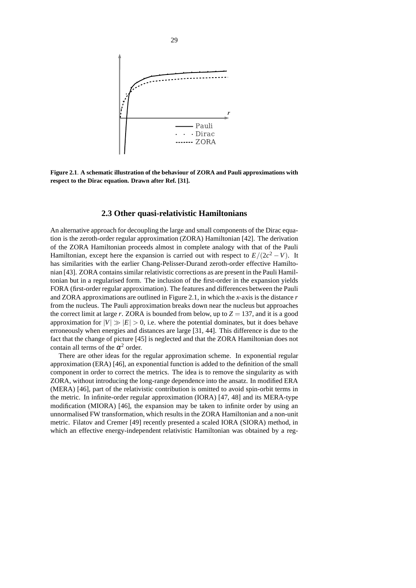

**Figure 2.1**. **A schematic illustration of the behaviour of ZORA and Pauli approximations with respect to the Dirac equation. Drawn after Ref. [31].**

### **2.3 Other quasi-relativistic Hamiltonians**

An alternative approach for decoupling the large and small components of the Dirac equation is the zeroth-order regular approximation (ZORA) Hamiltonian [42]. The derivation of the ZORA Hamiltonian proceeds almost in complete analogy with that of the Pauli Hamiltonian, except here the expansion is carried out with respect to  $E/(2c^2 - V)$ . It has similarities with the earlier Chang-Pelisser-Durand zeroth-order effective Hamiltonian [43]. ZORA containssimilar relativistic corrections as are present in the Pauli Hamiltonian but in a regularised form. The inclusion of the first-order in the expansion yields FORA (first-order regular approximation). The features and differences between the Pauli and ZORA approximations are outlined in Figure 2.1, in which the *x*-axis is the distance *r* from the nucleus. The Pauli approximation breaks down near the nucleus but approaches the correct limit at large r. ZORA is bounded from below, up to  $Z = 137$ , and it is a good approximation for  $|V| \gg |E| > 0$ , i.e. where the potential dominates, but it does behave erroneously when energies and distances are large [31, 44]. This difference is due to the fact that the change of picture [45] is neglected and that the ZORA Hamiltonian does not contain all terms of the  $\alpha^2$  order.

There are other ideas for the regular approximation scheme. In exponential regular approximation (ERA) [46], an exponential function is added to the definition of the small component in order to correct the metrics. The idea is to remove the singularity as with ZORA, without introducing the long-range dependence into the ansatz. In modified ERA (MERA) [46], part of the relativistic contribution is omitted to avoid spin-orbit terms in the metric. In infinite-order regular approximation (IORA) [47, 48] and its MERA-type modification (MIORA) [46], the expansion may be taken to infinite order by using an unnormalised FW transformation, which results in the ZORA Hamiltonian and a non-unit metric. Filatov and Cremer [49] recently presented a scaled IORA (SIORA) method, in which an effective energy-independent relativistic Hamiltonian was obtained by a reg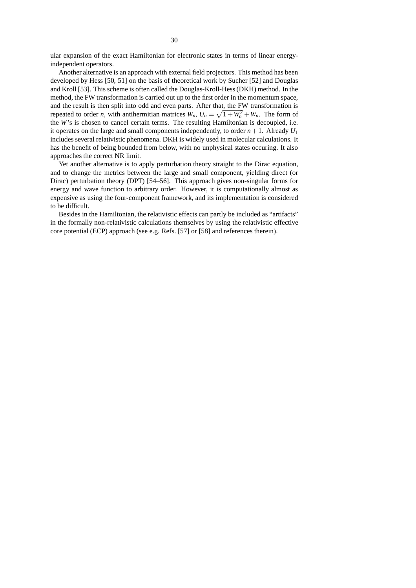ular expansion of the exact Hamiltonian for electronic states in terms of linear energyindependent operators.

Another alternative is an approach with external field projectors. This method has been developed by Hess [50, 51] on the basis of theoretical work by Sucher [52] and Douglas and Kroll [53]. This scheme is often called the Douglas-Kroll-Hess(DKH) method. In the method, the FW transformation is carried out up to the first order in the momentum space, and the result is then split into odd and even parts. After that, the FW transformation is repeated to order *n*, with antihermitian matrices  $W_n$ ,  $U_n = \sqrt{1 + W_n^2} + W_n$ . The form of the *W*'s is chosen to cancel certain terms. The resulting Hamiltonian is decoupled, i.e. it operates on the large and small components independently, to order  $n+1$ . Already  $U_1$ includes several relativistic phenomena. DKH is widely used in molecular calculations. It has the benefit of being bounded from below, with no unphysical states occuring. It also approaches the correct NR limit.

Yet another alternative is to apply perturbation theory straight to the Dirac equation, and to change the metrics between the large and small component, yielding direct (or Dirac) perturbation theory (DPT) [54–56]. This approach gives non-singular forms for energy and wave function to arbitrary order. However, it is computationally almost as expensive as using the four-component framework, and its implementation is considered to be difficult.

Besides in the Hamiltonian, the relativistic effects can partly be included as "artifacts" in the formally non-relativistic calculations themselves by using the relativistic effective core potential (ECP) approach (see e.g. Refs. [57] or [58] and references therein).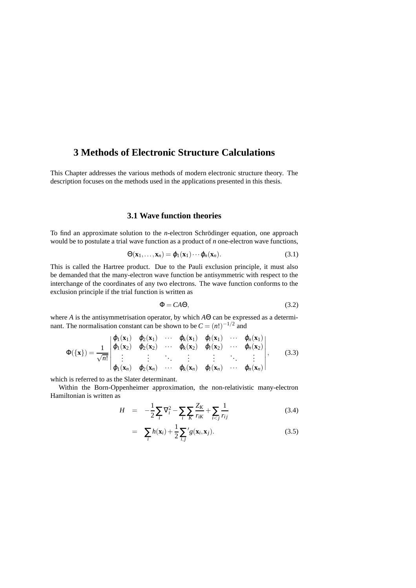# **3 Methods of Electronic Structure Calculations**

This Chapter addresses the various methods of modern electronic structure theory. The description focuses on the methods used in the applications presented in this thesis.

## **3.1 Wave function theories**

To find an approximate solution to the *n*-electron Schrödinger equation, one approach would be to postulate a trial wave function as a product of *n* one-electron wave functions,

$$
\Theta(\mathbf{x}_1,\ldots,\mathbf{x}_n)=\varphi_1(\mathbf{x}_1)\cdots\varphi_n(\mathbf{x}_n). \hspace{1cm} (3.1)
$$

This is called the Hartree product. Due to the Pauli exclusion principle, it must also be demanded that the many-electron wave function be antisymmetric with respect to the interchange of the coordinates of any two electrons. The wave function conforms to the exclusion principle if the trial function is written as

$$
\Phi = CA\Theta,\tag{3.2}
$$

where *A* is the antisymmetrisation operator, by which *A*Θ can be expressed as a determinant. The normalisation constant can be shown to be  $C = (n!)^{-1/2}$  and

$$
\Phi(\{\mathbf{x}\}) = \frac{1}{\sqrt{n!}} \begin{vmatrix} \varphi_1(\mathbf{x}_1) & \varphi_2(\mathbf{x}_1) & \cdots & \varphi_k(\mathbf{x}_1) & \varphi_l(\mathbf{x}_1) & \cdots & \varphi_n(\mathbf{x}_1) \\ \varphi_1(\mathbf{x}_2) & \varphi_2(\mathbf{x}_2) & \cdots & \varphi_k(\mathbf{x}_2) & \varphi_l(\mathbf{x}_2) & \cdots & \varphi_n(\mathbf{x}_2) \\ \vdots & \vdots & \ddots & \vdots & \vdots & \ddots & \vdots \\ \varphi_1(\mathbf{x}_n) & \varphi_2(\mathbf{x}_n) & \cdots & \varphi_k(\mathbf{x}_n) & \varphi_l(\mathbf{x}_n) & \cdots & \varphi_n(\mathbf{x}_n) \end{vmatrix},
$$
(3.3)

which is referred to as the Slater determinant.

Within the Born-Oppenheimer approximation, the non-relativistic many-electron Hamiltonian is written as

$$
H = -\frac{1}{2} \sum_{i} \nabla_{i}^{2} - \sum_{i} \sum_{K} \frac{Z_{K}}{r_{iK}} + \sum_{i < j} \frac{1}{r_{ij}} \tag{3.4}
$$

$$
= \sum_{i} h(\mathbf{x}_i) + \frac{1}{2} \sum_{i,j}^{\prime} g(\mathbf{x}_i, \mathbf{x}_j).
$$
 (3.5)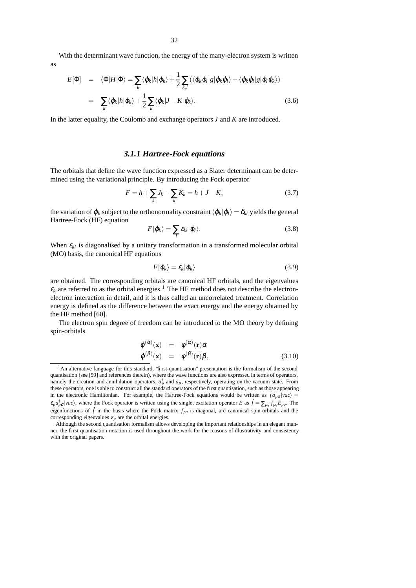With the determinant wave function, the energy of the many-electron system is written as

$$
E[\Phi] = \langle \Phi | H | \Phi \rangle = \sum_{k} \langle \varphi_{k} | h | \varphi_{k} \rangle + \frac{1}{2} \sum_{k,l} (\langle \varphi_{k} \varphi_{l} | g | \varphi_{k} \varphi_{l} \rangle - \langle \varphi_{k} \varphi_{l} | g | \varphi_{l} \varphi_{k} \rangle)
$$
  

$$
= \sum_{k} \langle \varphi_{k} | h | \varphi_{k} \rangle + \frac{1}{2} \sum_{k} \langle \varphi_{k} | J - K | \varphi_{k} \rangle.
$$
 (3.6)

In the latter equality, the Coulomb and exchange operators *J* and *K* are introduced.

#### *3.1.1 Hartree-Fock equations*

The orbitals that define the wave function expressed as a Slater determinant can be determined using the variational principle. By introducing the Fock operator

$$
F = h + \sum_{k} J_k - \sum_{k} K_k = h + J - K,
$$
\n(3.7)

the variation of  $\varphi_k$  subject to the orthonormality constraint  $\langle \varphi_k | \varphi_l \rangle = \delta_{kl}$  yields the general Hartree-Fock (HF) equation

$$
F|\varphi_k\rangle = \sum_l \varepsilon_{lk} |\varphi_l\rangle.
$$
 (3.8)

When  $\varepsilon_{kl}$  is diagonalised by a unitary transformation in a transformed molecular orbital (MO) basis, the canonical HF equations

$$
F|\varphi_k\rangle = \varepsilon_k|\varphi_k\rangle \tag{3.9}
$$

are obtained. The corresponding orbitals are canonical HF orbitals, and the eigenvalues  $\varepsilon_k$  are referred to as the orbital energies.<sup>1</sup> The HF method does not describe the electronelectron interaction in detail, and it is thus called an uncorrelated treatment. Correlation energy is defined as the difference between the exact energy and the energy obtained by the HF method [60].

The electron spin degree of freedom can be introduced to the MO theory by defining spin-orbitals

$$
\begin{array}{rcl}\n\varphi^{(\alpha)}(\mathbf{x}) & = & \phi^{(\alpha)}(\mathbf{r})\alpha \\
\varphi^{(\beta)}(\mathbf{x}) & = & \phi^{(\beta)}(\mathbf{r})\beta,\n\end{array} \tag{3.10}
$$

<sup>&</sup>lt;sup>1</sup>An alternative language for this standard, 'first-quantisation' presentation is the formalism of the second quantisation (see [59] and references therein), where the wave functions are also expressed in terms of operators, namely the creation and annihilation operators,  $a_P^{\dagger}$  and  $a_P$ , respectively, operating on the vacuum state. From these operators, one is able to construct all the standard operators of the first quantisation, such as those appearing in the electronic Hamiltonian. For example, the Hartree-Fock equations would be written as  $\hat{f}a_{p\sigma}^{\dagger}$  *vac*) =  $\epsilon_p a_{p\sigma}^{\dagger}$  |*vac*}, where the Fock operator is written using the singlet excitation operator *E* as  $\hat{f} = \sum_{pq} f_{pq} E_{pq}$ . The eigenfunctions of  $\hat{f}$  in the basis where the Fock matrix  $f_{pq}$  is diagonal, are canonical spin-orbitals and the corresponding eigenvalues  $\varepsilon_p$  are the orbital energies.

Although the second quantisation formalism allows developing the important relationships in an elegant manner, the first quantisation notation is used throughout the work for the reasons of illustrativity and consistency with the original papers.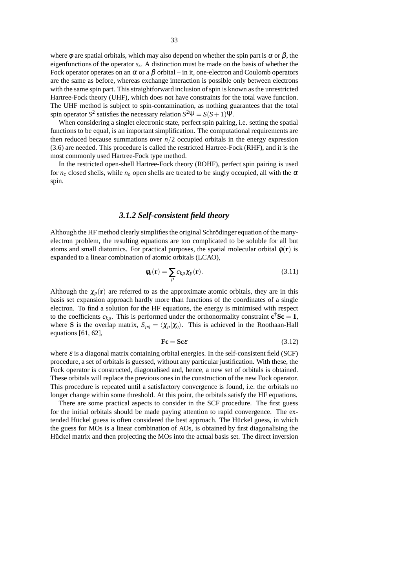where  $\phi$  are spatial orbitals, which may also depend on whether the spin part is  $\alpha$  or  $\beta$ , the eigenfunctions of the operator *s<sup>z</sup>* . A distinction must be made on the basis of whether the Fock operator operates on an  $\alpha$  or a  $\beta$  orbital – in it, one-electron and Coulomb operators are the same as before, whereas exchange interaction is possible only between electrons with the same spin part. This straightforward inclusion of spin is known as the unrestricted Hartree-Fock theory (UHF), which does not have constraints for the total wave function. The UHF method is subject to spin-contamination, as nothing guarantees that the total spin operator  $S^2$  satisfies the necessary relation  $S^2\Psi = S(S+1)\Psi$ .

When considering a singlet electronic state, perfect spin pairing, i.e. setting the spatial functions to be equal, is an important simplification. The computational requirements are then reduced because summations over  $n/2$  occupied orbitals in the energy expression (3.6) are needed. This procedure is called the restricted Hartree-Fock (RHF), and it is the most commonly used Hartree-Fock type method.

In the restricted open-shell Hartree-Fock theory (ROHF), perfect spin pairing is used for  $n_c$  closed shells, while  $n_o$  open shells are treated to be singly occupied, all with the  $\alpha$ spin.

## *3.1.2 Self-consistent field theory*

Although the HF method clearly simplifies the original Schrödinger equation of the manyelectron problem, the resulting equations are too complicated to be soluble for all but atoms and small diatomics. For practical purposes, the spatial molecular orbital  $\phi(\mathbf{r})$  is expanded to a linear combination of atomic orbitals (LCAO),

$$
\phi_k(\mathbf{r}) = \sum_p c_{kp} \chi_p(\mathbf{r}).\tag{3.11}
$$

Although the  $\chi_p(\mathbf{r})$  are referred to as the approximate atomic orbitals, they are in this basis set expansion approach hardly more than functions of the coordinates of a single electron. To find a solution for the HF equations, the energy is minimised with respect to the coefficients  $c_{kp}$ . This is performed under the orthonormality constraint  $\mathbf{c}^\dagger \mathbf{S} \mathbf{c} = \mathbf{1}$ , where **S** is the overlap matrix,  $S_{pq} = \langle \chi_p | \chi_q \rangle$ . This is achieved in the Roothaan-Hall equations [61, 62],

$$
\mathbf{Fc} = \mathbf{Sc}\mathcal{E} \tag{3.12}
$$

where  $\varepsilon$  is a diagonal matrix containing orbital energies. In the self-consistent field (SCF) procedure, a set of orbitals is guessed, without any particular justification. With these, the Fock operator is constructed, diagonalised and, hence, a new set of orbitals is obtained. These orbitals will replace the previous ones in the construction of the new Fock operator. This procedure is repeated until a satisfactory convergence is found, i.e. the orbitals no longer change within some threshold. At this point, the orbitals satisfy the HF equations.

There are some practical aspects to consider in the SCF procedure. The first guess for the initial orbitals should be made paying attention to rapid convergence. The extended Hückel guess is often considered the best approach. The Hückel guess, in which the guess for MOs is a linear combination of AOs, is obtained by first diagonalising the Hückel matrix and then projecting the MOs into the actual basis set. The direct inversion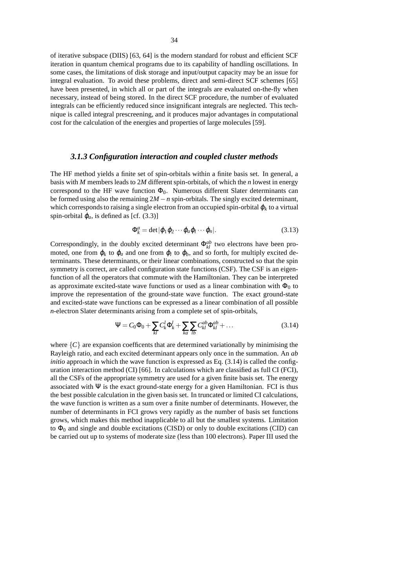of iterative subspace (DIIS) [63, 64] is the modern standard for robust and efficient SCF iteration in quantum chemical programs due to its capability of handling oscillations. In some cases, the limitations of disk storage and input/output capacity may be an issue for integral evaluation. To avoid these problems, direct and semi-direct SCF schemes [65] have been presented, in which all or part of the integrals are evaluated on-the-fly when necessary, instead of being stored. In the direct SCF procedure, the number of evaluated integrals can be efficiently reduced since insignificant integrals are neglected. This technique is called integral prescreening, and it produces major advantages in computational cost for the calculation of the energies and properties of large molecules [59].

### *3.1.3 Configuration interaction and coupled cluster methods*

The HF method yields a finite set of spin-orbitals within a finite basis set. In general, a basis with *M* members leads to 2*M* different spin-orbitals, of which the *n* lowest in energy correspond to the HF wave function  $\Phi_0$ . Numerous different Slater determinants can be formed using also the remaining 2*M* −*n* spin-orbitals. The singly excited determinant, which corresponds to raising a single electron from an occupied spin-orbital  $\varphi_k$  to a virtual spin-orbital  $\varphi_a$ , is defined as [cf. (3.3)]

$$
\Phi_k^a = \det |\varphi_1 \varphi_2 \cdots \varphi_a \varphi_l \cdots \varphi_n|.
$$
\n(3.13)

Correspondingly, in the doubly excited determinant  $\Phi_{kl}^{ab}$  two electrons have been promoted, one from  $\varphi_k$  to  $\varphi_a$  and one from  $\varphi_l$  to  $\varphi_b$ , and so forth, for multiply excited determinants. These determinants, or their linear combinations, constructed so that the spin symmetry is correct, are called configuration state functions (CSF). The CSF is an eigenfunction of all the operators that commute with the Hamiltonian. They can be interpreted as approximate excited-state wave functions or used as a linear combination with  $\Phi_0$  to improve the representation of the ground-state wave function. The exact ground-state and excited-state wave functions can be expressed as a linear combination of all possible *n*-electron Slater determinants arising from a complete set of spin-orbitals,

$$
\Psi = C_0 \Phi_0 + \sum_{kl} C_k^l \Phi_k^l + \sum_{ka} \sum_{lb} C_{kl}^{ab} \Phi_{kl}^{ab} + \dots
$$
\n(3.14)

where  ${C}$  are expansion coefficents that are determined variationally by minimising the Rayleigh ratio, and each excited determinant appears only once in the summation. An *ab initio* approach in which the wave function is expressed as Eq.  $(3.14)$  is called the configuration interaction method (CI) [66]. In calculations which are classified as full CI (FCI), all the CSFs of the appropriate symmetry are used for a given finite basis set. The energy associated with  $\Psi$  is the exact ground-state energy for a given Hamiltonian. FCI is thus the best possible calculation in the given basis set. In truncated or limited CI calculations, the wave function is written as a sum over a finite number of determinants. However, the number of determinants in FCI grows very rapidly as the number of basis set functions grows, which makes this method inapplicable to all but the smallest systems. Limitation to  $\Phi_0$  and single and double excitations (CISD) or only to double excitations (CID) can be carried out up to systems of moderate size (less than 100 electrons). Paper III used the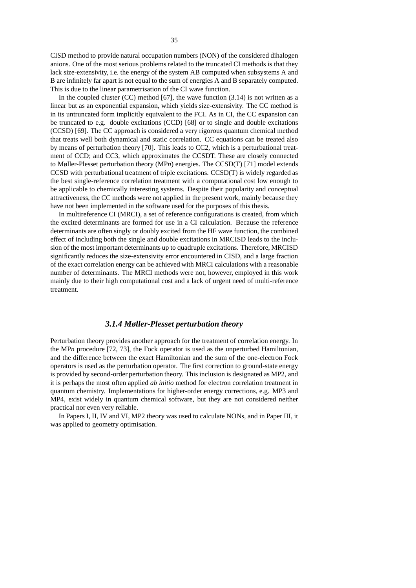CISD method to provide natural occupation numbers (NON) of the considered dihalogen anions. One of the most serious problems related to the truncated CI methods is that they lack size-extensivity, i.e. the energy of the system AB computed when subsystems A and B are infinitely far apart is not equal to the sum of energies A and B separately computed. This is due to the linear parametrisation of the CI wave function.

In the coupled cluster  $(CC)$  method  $[67]$ , the wave function  $(3.14)$  is not written as a linear but as an exponential expansion, which yields size-extensivity. The CC method is in its untruncated form implicitly equivalent to the FCI. As in CI, the CC expansion can be truncated to e.g. double excitations (CCD) [68] or to single and double excitations (CCSD) [69]. The CC approach is considered a very rigorous quantum chemical method that treats well both dynamical and static correlation. CC equations can be treated also by means of perturbation theory [70]. This leads to CC2, which is a perturbational treatment of CCD; and CC3, which approximates the CCSDT. These are closely connected to Møller-Plesset perturbation theory (MP*n*) energies. The CCSD(T) [71] model extends CCSD with perturbational treatment of triple excitations. CCSD(T) is widely regarded as the best single-reference correlation treatment with a computational cost low enough to be applicable to chemically interesting systems. Despite their popularity and conceptual attractiveness, the CC methods were not applied in the present work, mainly because they have not been implemented in the software used for the purposes of this thesis.

In multireference CI (MRCI), a set of reference configurations is created, from which the excited determinants are formed for use in a CI calculation. Because the reference determinants are often singly or doubly excited from the HF wave function, the combined effect of including both the single and double excitations in MRCISD leads to the inclusion of the most important determinants up to quadruple excitations. Therefore, MRCISD significantly reduces the size-extensivity error encountered in CISD, and a large fraction of the exact correlation energy can be achieved with MRCI calculations with a reasonable number of determinants. The MRCI methods were not, however, employed in this work mainly due to their high computational cost and a lack of urgent need of multi-reference treatment.

## *3.1.4 Møller-Plesset perturbation theory*

Perturbation theory provides another approach for the treatment of correlation energy. In the MP*n* procedure [72, 73], the Fock operator is used as the unperturbed Hamiltonian, and the difference between the exact Hamiltonian and the sum of the one-electron Fock operators is used as the perturbation operator. The first correction to ground-state energy is provided by second-order perturbation theory. This inclusion is designated as MP2, and it is perhaps the most often applied *ab initio* method for electron correlation treatment in quantum chemistry. Implementations for higher-order energy corrections, e.g. MP3 and MP4, exist widely in quantum chemical software, but they are not considered neither practical nor even very reliable.

In Papers I, II, IV and VI, MP2 theory was used to calculate NONs, and in Paper III, it was applied to geometry optimisation.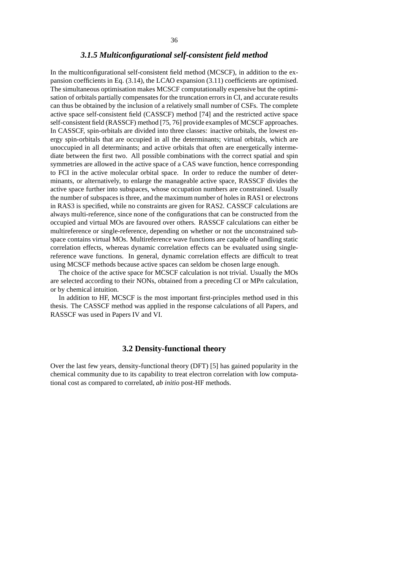## *3.1.5 Multiconfigurational self-consistent field method*

In the multiconfigurational self-consistent field method (MCSCF), in addition to the expansion coefficients in Eq. (3.14), the LCAO expansion (3.11) coefficients are optimised. The simultaneous optimisation makes MCSCF computationally expensive but the optimisation of orbitals partially compensates for the truncation errors in CI, and accurate results can thus be obtained by the inclusion of a relatively small number of CSFs. The complete active space self-consistent field (CASSCF) method [74] and the restricted active space self-consistent field (RASSCF) method [75, 76] provide examples of MCSCF approaches. In CASSCF, spin-orbitals are divided into three classes: inactive orbitals, the lowest energy spin-orbitals that are occupied in all the determinants; virtual orbitals, which are unoccupied in all determinants; and active orbitals that often are energetically intermediate between the first two. All possible combinations with the correct spatial and spin symmetries are allowed in the active space of a CAS wave function, hence corresponding to FCI in the active molecular orbital space. In order to reduce the number of determinants, or alternatively, to enlarge the manageable active space, RASSCF divides the active space further into subspaces, whose occupation numbers are constrained. Usually the number of subspaces is three, and the maximum number of holes in RAS1 or electrons in RAS3 is specified, while no constraints are given for RAS2. CASSCF calculations are always multi-reference, since none of the configurations that can be constructed from the occupied and virtual MOs are favoured over others. RASSCF calculations can either be multireference or single-reference, depending on whether or not the unconstrained subspace contains virtual MOs. Multireference wave functions are capable of handling static correlation effects, whereas dynamic correlation effects can be evaluated using singlereference wave functions. In general, dynamic correlation effects are difficult to treat using MCSCF methods because active spaces can seldom be chosen large enough.

The choice of the active space for MCSCF calculation is not trivial. Usually the MOs are selected according to their NONs, obtained from a preceding CI or MP*n* calculation, or by chemical intuition.

In addition to HF, MCSCF is the most important first-principles method used in this thesis. The CASSCF method was applied in the response calculations of all Papers, and RASSCF was used in Papers IV and VI.

## **3.2 Density-functional theory**

Over the last few years, density-functional theory (DFT) [5] has gained popularity in the chemical community due to its capability to treat electron correlation with low computational cost as compared to correlated, *ab initio* post-HF methods.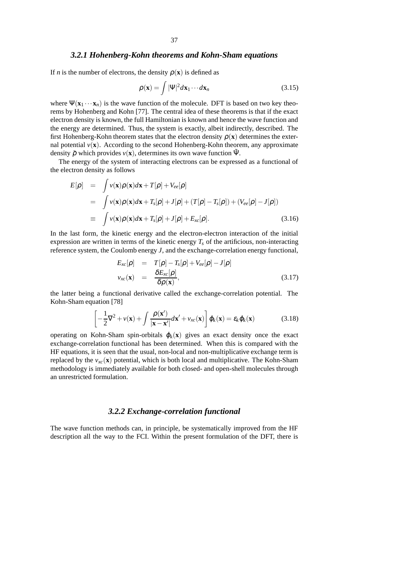#### *3.2.1 Hohenberg-Kohn theorems and Kohn-Sham equations*

If *n* is the number of electrons, the density  $\rho(\mathbf{x})$  is defined as

$$
\rho(\mathbf{x}) = \int |\Psi|^2 d\mathbf{x}_1 \cdots d\mathbf{x}_n \tag{3.15}
$$

where  $\Psi(\mathbf{x}_1 \cdots \mathbf{x}_n)$  is the wave function of the molecule. DFT is based on two key theorems by Hohenberg and Kohn [77]. The central idea of these theorems is that if the exact electron density is known, the full Hamiltonian is known and hence the wave function and the energy are determined. Thus, the system is exactly, albeit indirectly, described. The first Hohenberg-Kohn theorem states that the electron density  $\rho(\mathbf{x})$  determines the external potential  $v(\mathbf{x})$ . According to the second Hohenberg-Kohn theorem, any approximate density  $\tilde{\rho}$  which provides  $v(\mathbf{x})$ , determines its own wave function  $\tilde{\Psi}$ .

The energy of the system of interacting electrons can be expressed as a functional of the electron density as follows

$$
E[\rho] = \int v(\mathbf{x})\rho(\mathbf{x})d\mathbf{x} + T[\rho] + V_{ee}[\rho]
$$
  
\n
$$
= \int v(\mathbf{x})\rho(\mathbf{x})d\mathbf{x} + T_s[\rho] + J[\rho] + (T[\rho] - T_s[\rho]) + (V_{ee}[\rho] - J[\rho])
$$
  
\n
$$
\equiv \int v(\mathbf{x})\rho(\mathbf{x})d\mathbf{x} + T_s[\rho] + J[\rho] + E_{xc}[\rho]. \tag{3.16}
$$

In the last form, the kinetic energy and the electron-electron interaction of the initial expression are written in terms of the kinetic energy  $T_s$  of the artificious, non-interacting reference system, the Coulomb energy *J*, and the exchange-correlation energy functional,

$$
E_{xc}[\rho] = T[\rho] - T_s[\rho] + V_{ee}[\rho] - J[\rho]
$$
  
\n
$$
v_{xc}(\mathbf{x}) = \frac{\delta E_{xc}[\rho]}{\delta \rho(\mathbf{x})},
$$
\n(3.17)

the latter being a functional derivative called the exchange-correlation potential. The Kohn-Sham equation [78]

$$
\left[ -\frac{1}{2}\nabla^2 + v(\mathbf{x}) + \int \frac{\rho(\mathbf{x}')}{|\mathbf{x} - \mathbf{x}'|} d\mathbf{x}' + v_{xc}(\mathbf{x}) \right] \varphi_k(\mathbf{x}) = \varepsilon_k \varphi_k(\mathbf{x})
$$
(3.18)

operating on Kohn-Sham spin-orbitals  $\varphi_k(\mathbf{x})$  gives an exact density once the exact exchange-correlation functional has been determined. When this is compared with the HF equations, it is seen that the usual, non-local and non-multiplicative exchange term is replaced by the  $v_{xc}(\mathbf{x})$  potential, which is both local and multiplicative. The Kohn-Sham methodology is immediately available for both closed- and open-shell molecules through an unrestricted formulation.

#### *3.2.2 Exchange-correlation functional*

The wave function methods can, in principle, be systematically improved from the HF description all the way to the FCI. Within the present formulation of the DFT, there is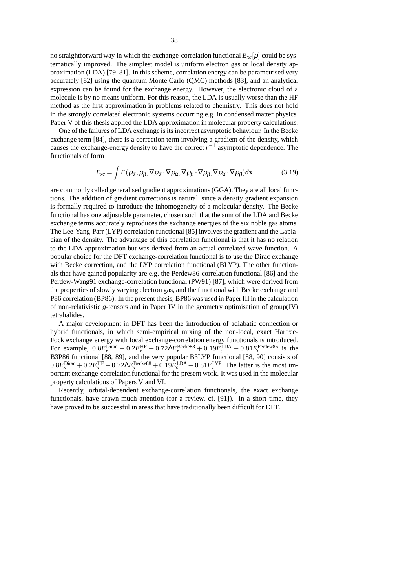no straightforward way in which the exchange-correlation functional  $E_{xc}[\rho]$  could be systematically improved. The simplest model is uniform electron gas or local density approximation (LDA) [79–81]. In this scheme, correlation energy can be parametrised very accurately [82] using the quantum Monte Carlo (QMC) methods [83], and an analytical expression can be found for the exchange energy. However, the electronic cloud of a molecule is by no means uniform. For this reason, the LDA is usually worse than the HF method as the first approximation in problems related to chemistry. This does not hold in the strongly correlated electronic systems occurring e.g. in condensed matter physics. Paper V of this thesis applied the LDA approximation in molecular property calculations.

One of the failures of LDA exchange is its incorrect asymptotic behaviour. In the Becke exchange term [84], there is a correction term involving a gradient of the density, which causes the exchange-energy density to have the correct  $r^{-1}$  asymptotic dependence. The functionals of form

$$
E_{xc} = \int F(\rho_{\alpha}, \rho_{\beta}, \nabla \rho_{\alpha} \cdot \nabla \rho_{\alpha}, \nabla \rho_{\beta} \cdot \nabla \rho_{\beta}, \nabla \rho_{\alpha} \cdot \nabla \rho_{\beta}) d\mathbf{x}
$$
 (3.19)

are commonly called generalised gradient approximations(GGA). They are all local functions. The addition of gradient corrections is natural, since a density gradient expansion is formally required to introduce the inhomogeneity of a molecular density. The Becke functional has one adjustable parameter, chosen such that the sum of the LDA and Becke exchange terms accurately reproduces the exchange energies of the six noble gas atoms. The Lee-Yang-Parr (LYP) correlation functional [85] involves the gradient and the Laplacian of the density. The advantage of this correlation functional is that it has no relation to the LDA approximation but was derived from an actual correlated wave function. A popular choice for the DFT exchange-correlation functional is to use the Dirac exchange with Becke correction, and the LYP correlation functional (BLYP). The other functionals that have gained popularity are e.g. the Perdew86-correlation functional [86] and the Perdew-Wang91 exchange-correlation functional (PW91) [87], which were derived from the properties of slowly varying electron gas, and the functional with Becke exchange and P86 correlation (BP86). In the present thesis, BP86 was used in Paper III in the calculation of non-relativistic *g*-tensors and in Paper IV in the geometry optimisation of group(IV) tetrahalides.

A major development in DFT has been the introduction of adiabatic connection or hybrid functionals, in which semi-empirical mixing of the non-local, exact Hartree-Fock exchange energy with local exchange-correlation energy functionals is introduced. For example,  $0.8E_x^{\text{Dirac}} + 0.2E_x^{\text{HF}} + 0.72\Delta E_x^{\text{Becke88}} + 0.19E_c^{\text{LDA}} + 0.81E_c^{\text{Perdew86}}$  is the B3P86 functional [88, 89], and the very popular B3LYP functional [88, 90] consists of  $0.8E_x^{\text{Dirac}} + 0.2E_x^{\text{HF}} + 0.72\Delta E_x^{\text{Becke88}} + 0.19E_c^{\text{LDA}} + 0.81E_c^{\text{LYP}}$ . The latter is the most important exchange-correlation functional for the present work. It was used in the molecular property calculations of Papers V and VI.

Recently, orbital-dependent exchange-correlation functionals, the exact exchange functionals, have drawn much attention (for a review, cf. [91]). In a short time, they have proved to be successful in areas that have traditionally been difficult for DFT.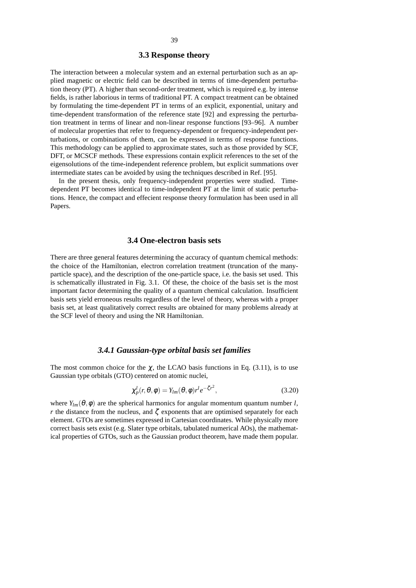#### **3.3 Response theory**

The interaction between a molecular system and an external perturbation such as an applied magnetic or electric field can be described in terms of time-dependent perturbation theory (PT). A higher than second-order treatment, which is required e.g. by intense fields, is rather laborious in terms of traditional PT. A compact treatment can be obtained by formulating the time-dependent PT in terms of an explicit, exponential, unitary and time-dependent transformation of the reference state [92] and expressing the perturbation treatment in terms of linear and non-linear response functions [93–96]. A number of molecular properties that refer to frequency-dependent or frequency-independent perturbations, or combinations of them, can be expressed in terms of response functions. This methodology can be applied to approximate states, such as those provided by SCF, DFT, or MCSCF methods. These expressions contain explicit references to the set of the eigensolutions of the time-independent reference problem, but explicit summations over intermediate states can be avoided by using the techniques described in Ref. [95].

In the present thesis, only frequency-independent properties were studied. Timedependent PT becomes identical to time-independent PT at the limit of static perturbations. Hence, the compact and effecient response theory formulation has been used in all Papers.

## **3.4 One-electron basis sets**

There are three general features determining the accuracy of quantum chemical methods: the choice of the Hamiltonian, electron correlation treatment (truncation of the manyparticle space), and the description of the one-particle space, i.e. the basis set used. This is schematically illustrated in Fig. 3.1. Of these, the choice of the basis set is the most important factor determining the quality of a quantum chemical calculation. Insufficient basis sets yield erroneous results regardless of the level of theory, whereas with a proper basis set, at least qualitatively correct results are obtained for many problems already at the SCF level of theory and using the NR Hamiltonian.

## *3.4.1 Gaussian-type orbital basis set families*

The most common choice for the  $\chi$ , the LCAO basis functions in Eq. (3.11), is to use Gaussian type orbitals (GTO) centered on atomic nuclei,

$$
\chi_p^l(r,\theta,\phi) = Y_{lm}(\theta,\phi)r^l e^{-\zeta r^2},\qquad(3.20)
$$

where  $Y_{lm}(\theta, \phi)$  are the spherical harmonics for angular momentum quantum number *l*, *r* the distance from the nucleus, and  $\zeta$  exponents that are optimised separately for each element. GTOs are sometimes expressed in Cartesian coordinates. While physically more correct basis sets exist (e.g. Slater type orbitals, tabulated numerical AOs), the mathematical properties of GTOs, such as the Gaussian product theorem, have made them popular.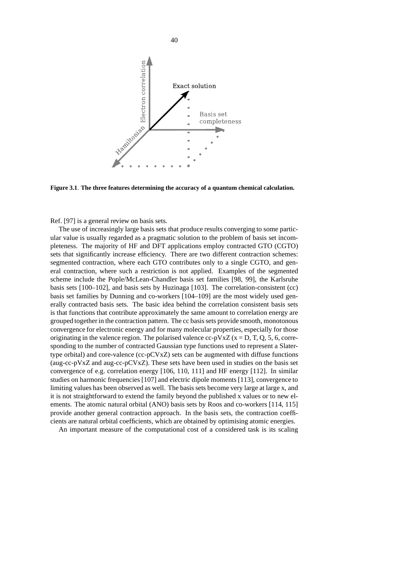

**Figure 3.1**. **The three features determining the accuracy of a quantum chemical calculation.**

Ref. [97] is a general review on basis sets.

The use of increasingly large basis sets that produce results converging to some particular value is usually regarded as a pragmatic solution to the problem of basis set incompleteness. The majority of HF and DFT applications employ contracted GTO (CGTO) sets that significantly increase efficiency. There are two different contraction schemes: segmented contraction, where each GTO contributes only to a single CGTO, and general contraction, where such a restriction is not applied. Examples of the segmented scheme include the Pople/McLean-Chandler basis set families [98, 99], the Karlsruhe basis sets [100–102], and basis sets by Huzinaga [103]. The correlation-consistent (cc) basis set families by Dunning and co-workers [104–109] are the most widely used generally contracted basis sets. The basic idea behind the correlation consistent basis sets is that functions that contribute approximately the same amount to correlation energy are grouped together in the contraction pattern. The cc basissets provide smooth, monotonous convergence for electronic energy and for many molecular properties, especially for those originating in the valence region. The polarised valence cc-pVxZ ( $x = D$ , T, Q, 5, 6, corresponding to the number of contracted Gaussian type functions used to represent a Slatertype orbital) and core-valence (cc-pCVxZ) sets can be augmented with diffuse functions (aug-cc-pVxZ and aug-cc-pCVxZ). These sets have been used in studies on the basis set convergence of e.g. correlation energy [106, 110, 111] and HF energy [112]. In similar studies on harmonic frequencies [107] and electric dipole moments [113], convergence to limiting values has been observed as well. The basis sets become very large at large x, and it is not straightforward to extend the family beyond the published x values or to new elements. The atomic natural orbital (ANO) basis sets by Roos and co-workers [114, 115] provide another general contraction approach. In the basis sets, the contraction coefficients are natural orbital coefficients, which are obtained by optimising atomic energies.

An important measure of the computational cost of a considered task is its scaling

40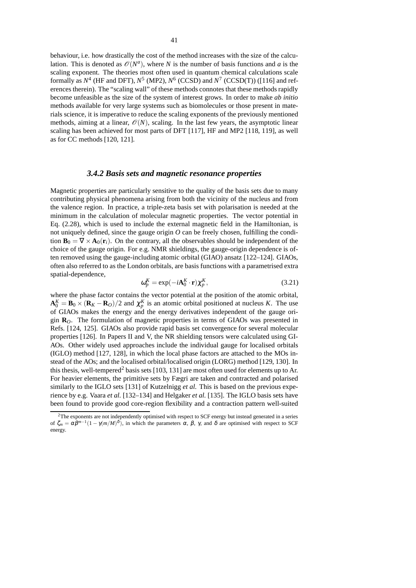behaviour, i.e. how drastically the cost of the method increases with the size of the calculation. This is denoted as  $\mathcal{O}(N^a)$ , where *N* is the number of basis functions and *a* is the scaling exponent. The theories most often used in quantum chemical calculations scale formally as  $N^4$  (HF and DFT),  $N^5$  (MP2),  $N^6$  (CCSD) and  $N^7$  (CCSD(T)) ([116] and references therein). The "scaling wall" of these methods connotes that these methods rapidly become unfeasible as the size of the system of interest grows. In order to make *ab initio* methods available for very large systems such as biomolecules or those present in materials science, it is imperative to reduce the scaling exponents of the previously mentioned methods, aiming at a linear,  $\mathcal{O}(N)$ , scaling. In the last few years, the asymptotic linear scaling has been achieved for most parts of DFT [117], HF and MP2 [118, 119], as well as for CC methods [120, 121].

## *3.4.2 Basis sets and magnetic resonance properties*

Magnetic properties are particularly sensitive to the quality of the basis sets due to many contributing physical phenomena arising from both the vicinity of the nucleus and from the valence region. In practice, a triple-zeta basis set with polarisation is needed at the minimum in the calculation of molecular magnetic properties. The vector potential in Eq. (2.28), which is used to include the external magnetic field in the Hamiltonian, is not uniquely defined, since the gauge origin *O* can be freely chosen, fulfilling the condition  $\mathbf{B}_0 = \nabla \times \mathbf{A}_0(\mathbf{r}_i)$ . On the contrary, all the observables should be independent of the choice of the gauge origin. For e.g. NMR shieldings, the gauge-origin dependence is often removed using the gauge-including atomic orbital (GIAO) ansatz [122–124]. GIAOs, often also referred to as the London orbitals, are basis functions with a parametrised extra spatial-dependence,

$$
\omega_p^K = \exp(-i\mathbf{A}_0^K \cdot \mathbf{r}) \chi_p^K,\tag{3.21}
$$

where the phase factor contains the vector potential at the position of the atomic orbital,  $\mathbf{A}_{0}^{K} = \mathbf{B}_{0} \times (\mathbf{R}_{K} - \mathbf{R}_{O})/2$  and  $\chi_{p}^{K}$  is an atomic orbital positioned at nucleus *K*. The use of GIAOs makes the energy and the energy derivatives independent of the gauge origin **R***O*. The formulation of magnetic properties in terms of GIAOs was presented in Refs. [124, 125]. GIAOs also provide rapid basis set convergence for several molecular properties [126]. In Papers II and V, the NR shielding tensors were calculated using GI-AOs. Other widely used approaches include the individual gauge for localised orbitals (IGLO) method [127, 128], in which the local phase factors are attached to the MOs instead of the AOs; and the localised orbital/localised origin (LORG) method [129, 130]. In this thesis, well-tempered<sup>2</sup> basis sets [103, 131] are most often used for elements up to Ar. For heavier elements, the primitive sets by Fægri are taken and contracted and polarised similarly to the IGLO sets [131] of Kutzelnigg *et al.* This is based on the previous experience by e.g. Vaara *et al.* [132–134] and Helgaker *et al.* [135]. The IGLO basis sets have been found to provide good core-region flexibility and a contraction pattern well-suited

<sup>&</sup>lt;sup>2</sup>The exponents are not independently optimised with respect to SCF energy but instead generated in a series of  $\zeta_m = \alpha \beta^{m-1} (1 - \gamma (m/M)^{\delta})$ , in which the parameters  $\alpha$ ,  $\beta$ ,  $\gamma$ , and  $\delta$  are optimised with respect to SCF energy.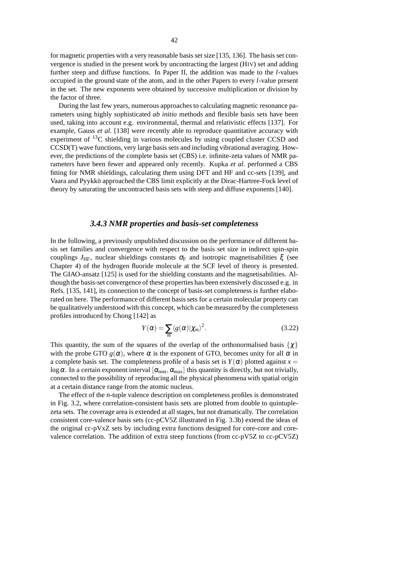for magnetic properties with a very reasonable basis set size [135, 136]. The basis set convergence is studied in the present work by uncontracting the largest (HIV) set and adding further steep and diffuse functions. In Paper II, the addition was made to the *l*-values occupied in the ground state of the atom, and in the other Papers to every *l*-value present in the set. The new exponents were obtained by successive multiplication or division by the factor of three.

During the last few years, numerous approaches to calculating magnetic resonance parameters using highly sophisticated *ab initio* methods and flexible basis sets have been used, taking into account e.g. environmental, thermal and relativistic effects [137]. For example, Gauss *et al.* [138] were recently able to reproduce quantitative accuracy with experiment of  ${}^{13}C$  shielding in various molecules by using coupled cluster CCSD and CCSD(T) wave functions, very large basis sets and including vibrational averaging. However, the predictions of the complete basis set (CBS) i.e. infinite-zeta values of NMR parameters have been fewer and appeared only recently. Kupka *et al.* performed a CBS fitting for NMR shieldings, calculating them using DFT and HF and cc-sets [139], and Vaara and Pyykkö approached the CBS limit explicitly at the Dirac-Hartree-Fock level of theory by saturating the uncontracted basis sets with steep and diffuse exponents [140].

## *3.4.3 NMR properties and basis-set completeness*

In the following, a previously unpublished discussion on the performance of different basis set families and convergence with respect to the basis set size in indirect spin-spin couplings  $J_{\text{HF}}$ , nuclear shieldings constants  $\sigma_{\text{F}}$  and isotropic magnetisabilities  $\xi$  (see Chapter 4) of the hydrogen fluoride molecule at the SCF level of theory is presented. The GIAO-ansatz [125] is used for the shielding constants and the magnetisabilities. Although the basis-set convergence of these properties has been extensively discussed e.g. in Refs. [135, 141], its connection to the concept of basis-set completeness is further elaborated on here. The performance of different basis sets for a certain molecular property can be qualitatively understood with this concept, which can be measured by the completeness profiles introduced by Chong [142] as

$$
Y(\alpha) = \sum_{m} \langle g(\alpha) | \chi_m \rangle^2.
$$
 (3.22)

This quantity, the sum of the squares of the overlap of the orthonormalised basis  $\{\chi\}$ with the probe GTO  $g(\alpha)$ , where  $\alpha$  is the exponent of GTO, becomes unity for all  $\alpha$  in a complete basis set. The completeness profile of a basis set is  $Y(\alpha)$  plotted against  $x =$ log  $\alpha$ . In a certain exponent interval  $[\alpha_{\min}, \alpha_{\max}]$  this quantity is directly, but not trivially, connected to the possibility of reproducing all the physical phenomena with spatial origin at a certain distance range from the atomic nucleus.

The effect of the *n*-tuple valence description on completeness profiles is demonstrated in Fig. 3.2, where correlation-consistent basis sets are plotted from double to quintuplezeta sets. The coverage area is extended at all stages, but not dramatically. The correlation consistent core-valence basis sets (cc-pCV5Z illustrated in Fig. 3.3b) extend the ideas of the original cc-pVxZ sets by including extra functions designed for core-core and corevalence correlation. The addition of extra steep functions (from cc-pV5Z to cc-pCV5Z)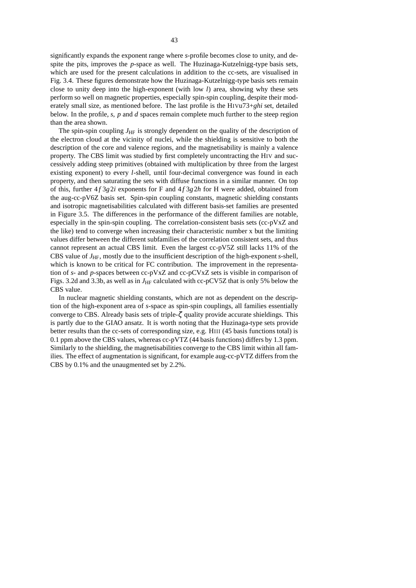significantly expands the exponent range where *s*-profile becomes close to unity, and despite the pits, improves the *p*-space as well. The Huzinaga-Kutzelnigg-type basis sets, which are used for the present calculations in addition to the cc-sets, are visualised in Fig. 3.4. These figures demonstrate how the Huzinaga-Kutzelnigg-type basis sets remain close to unity deep into the high-exponent (with low *l*) area, showing why these sets perform so well on magnetic properties, especially spin-spin coupling, despite their moderately small size, as mentioned before. The last profile is the HIVu73+*ghi* set, detailed below. In the profile, *s*, *p* and *d* spaces remain complete much further to the steep region than the area shown.

The spin-spin coupling  $J_{HF}$  is strongly dependent on the quality of the description of the electron cloud at the vicinity of nuclei, while the shielding is sensitive to both the description of the core and valence regions, and the magnetisability is mainly a valence property. The CBS limit was studied by first completely uncontracting the HIV and successively adding steep primitives (obtained with multiplication by three from the largest existing exponent) to every *l*-shell, until four-decimal convergence was found in each property, and then saturating the sets with diffuse functions in a similar manner. On top of this, further  $4f \frac{3g}{2i}$  exponents for F and  $4f \frac{3g}{2h}$  for H were added, obtained from the aug-cc-pV6Z basis set. Spin-spin coupling constants, magnetic shielding constants and isotropic magnetisabilities calculated with different basis-set families are presented in Figure 3.5. The differences in the performance of the different families are notable, especially in the spin-spin coupling. The correlation-consistent basis sets (cc-pVxZ and the like) tend to converge when increasing their characteristic number x but the limiting values differ between the different subfamilies of the correlation consistent sets, and thus cannot represent an actual CBS limit. Even the largest cc-pV5Z still lacks 11% of the CBS value of  $J<sub>HF</sub>$ , mostly due to the insufficient description of the high-exponent *s*-shell, which is known to be critical for FC contribution. The improvement in the representation of *s*- and *p*-spaces between cc-pVxZ and cc-pCVxZ sets is visible in comparison of Figs. 3.2d and 3.3b, as well as in  $J_{HF}$  calculated with cc-pCV5Z that is only 5% below the CBS value.

In nuclear magnetic shielding constants, which are not as dependent on the description of the high-exponent area of *s*-space as spin-spin couplings, all families essentially converge to CBS. Already basis sets of triple-ζ quality provide accurate shieldings. This is partly due to the GIAO ansatz. It is worth noting that the Huzinaga-type sets provide better results than the cc-sets of corresponding size, e.g. HIII (45 basis functions total) is 0.1 ppm above the CBS values, whereas cc-pVTZ (44 basis functions) differs by 1.3 ppm. Similarly to the shielding, the magnetisabilities converge to the CBS limit within all families. The effect of augmentation is significant, for example aug-cc-pVTZ differs from the CBS by 0.1% and the unaugmented set by 2.2%.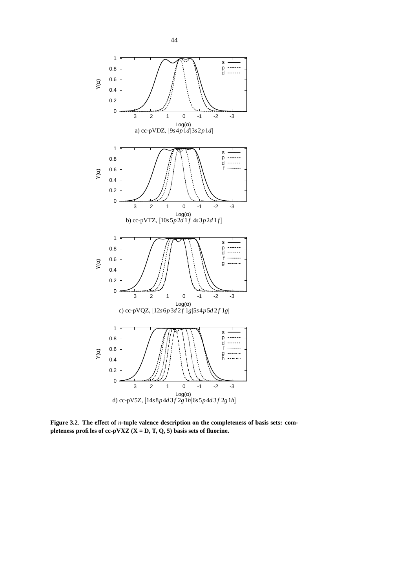

**Figure 3.2**. **The effect of** *n***-tuple valence description on the completeness of basis sets: completeness profiles of cc-pVXZ (X = D, T, Q, 5) basis sets of fluorine.**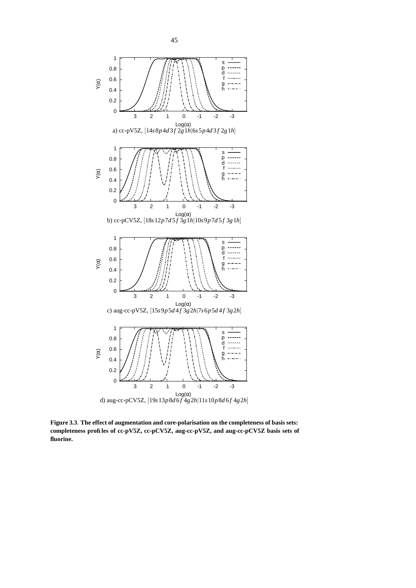

**Figure 3.3**. **The effect of augmentation and core-polarisation on the completeness of basis sets: completeness profiles of cc-pV5Z, cc-pCV5Z, aug-cc-pV5Z, and aug-cc-pCV5Z basis sets of fluorine.**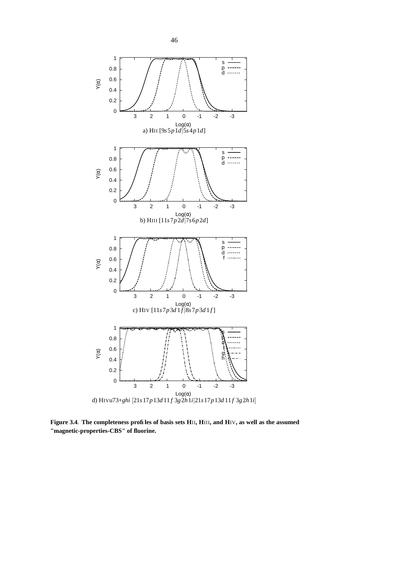

Figure 3.4. The completeness profiles of basis sets HII, HIII, and HIV, as well as the assumed **"magnetic-properties-CBS" of fluorine.**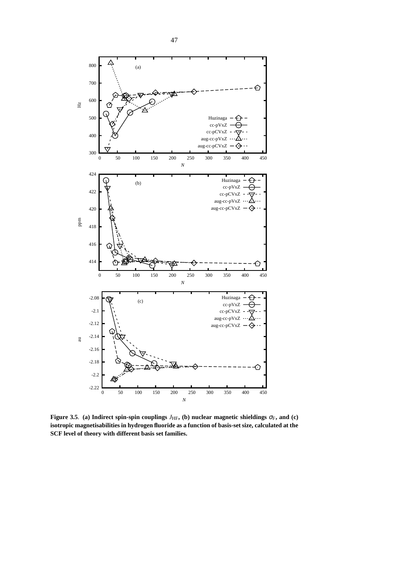

⊖

500

600

Hz

700

800

△

ℭ



**Figure** 3.5. (a) **Indirect** spin-spin couplings  $J_{HF}$ , (b) nuclear magnetic shieldings  $\sigma_F$ , and (c) **isotropic magnetisabilities in hydrogen fluoride as a function of basis-set size, calculated at the SCF level of theory with different basis set families.**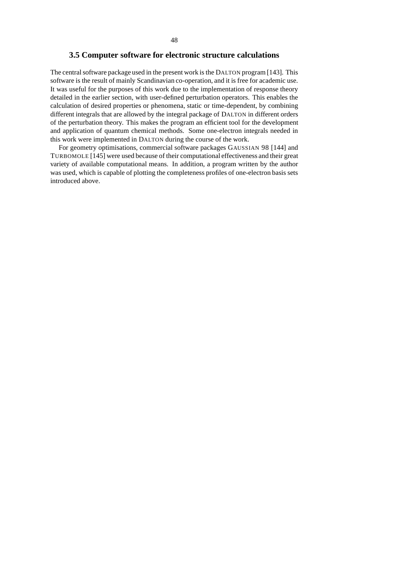#### **3.5 Computer software for electronic structure calculations**

The central software package used in the present work is the DALTON program [143]. This software is the result of mainly Scandinavian co-operation, and it is free for academic use. It was useful for the purposes of this work due to the implementation of response theory detailed in the earlier section, with user-defined perturbation operators. This enables the calculation of desired properties or phenomena, static or time-dependent, by combining different integrals that are allowed by the integral package of DALTON in different orders of the perturbation theory. This makes the program an efficient tool for the development and application of quantum chemical methods. Some one-electron integrals needed in this work were implemented in DALTON during the course of the work.

For geometry optimisations, commercial software packages GAUSSIAN 98 [144] and TURBOMOLE [145] were used because of their computational effectiveness and their great variety of available computational means. In addition, a program written by the author was used, which is capable of plotting the completeness profiles of one-electron basis sets introduced above.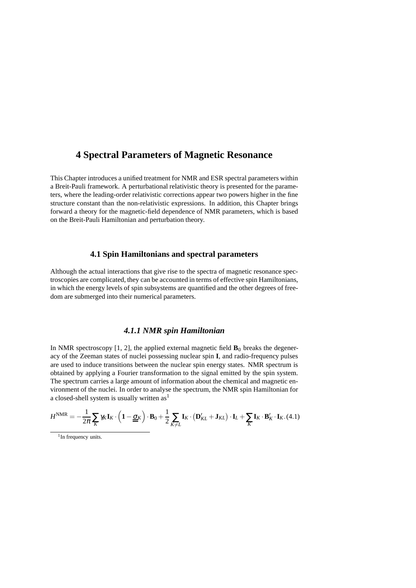# **4 Spectral Parameters of Magnetic Resonance**

This Chapter introduces a unified treatment for NMR and ESR spectral parameters within a Breit-Pauli framework. A perturbational relativistic theory is presented for the parameters, where the leading-order relativistic corrections appear two powers higher in the fine structure constant than the non-relativistic expressions. In addition, this Chapter brings forward a theory for the magnetic-field dependence of NMR parameters, which is based on the Breit-Pauli Hamiltonian and perturbation theory.

## **4.1 Spin Hamiltonians and spectral parameters**

Although the actual interactions that give rise to the spectra of magnetic resonance spectroscopies are complicated, they can be accounted in terms of effective spin Hamiltonians, in which the energy levels of spin subsystems are quantified and the other degrees of freedom are submerged into their numerical parameters.

## *4.1.1 NMR spin Hamiltonian*

In NMR spectroscopy  $[1, 2]$ , the applied external magnetic field  $\mathbf{B}_0$  breaks the degeneracy of the Zeeman states of nuclei possessing nuclear spin **I**, and radio-frequency pulses are used to induce transitions between the nuclear spin energy states. NMR spectrum is obtained by applying a Fourier transformation to the signal emitted by the spin system. The spectrum carries a large amount of information about the chemical and magnetic environment of the nuclei. In order to analyse the spectrum, the NMR spin Hamiltonian for a closed-shell system is usually written  $as<sup>1</sup>$ 

$$
H^{\text{NMR}} = -\frac{1}{2\pi} \sum_{K} \gamma_K \mathbf{I}_K \cdot \left( \mathbf{1} - \underline{\underline{\sigma}}_K \right) \cdot \mathbf{B}_0 + \frac{1}{2} \sum_{K \neq L} \mathbf{I}_K \cdot \left( \mathbf{D}'_{KL} + \mathbf{J}_{KL} \right) \cdot \mathbf{I}_L + \sum_{K} \mathbf{I}_K \cdot \mathbf{B}'_K \cdot \mathbf{I}_K . (4.1)
$$

<sup>&</sup>lt;sup>1</sup> In frequency units.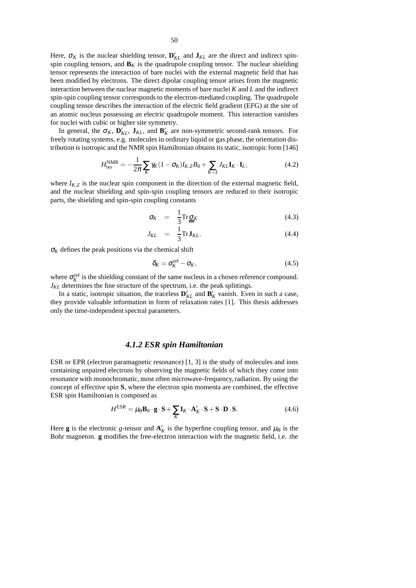Here,  $\sigma_K$  is the nuclear shielding tensor,  $\mathbf{D}_{KL}^{\prime}$  and  $\mathbf{J}_{KL}$  are the direct and indirect spinspin coupling tensors, and  $\mathbf{B}_K$  is the quadrupole coupling tensor. The nuclear shielding tensor represents the interaction of bare nuclei with the external magnetic field that has been modified by electrons. The direct dipolar coupling tensor arises from the magnetic interaction between the nuclear magnetic moments of bare nuclei *K* and *L* and the indirect spin-spin coupling tensor corresponds to the electron-mediated coupling. The quadrupole coupling tensor describes the interaction of the electric field gradient (EFG) at the site of an atomic nucleus possessing an electric quadrupole moment. This interaction vanishes for nuclei with cubic or higher site symmetry.

In general, the  $\sigma_K$ ,  $\mathbf{D}_{KL}$ ,  $\mathbf{J}_{KL}$ , and  $\mathbf{B}_K$  are non-symmetric second-rank tensors. For freely rotating systems, e.g. molecules in ordinary liquid or gas phase, the orientation distribution is isotropic and the NMR spin Hamiltonian obtains its static, isotropic form [146]

$$
H_{\rm iso}^{\rm NMR} = -\frac{1}{2\pi} \sum_K \gamma_K (1 - \sigma_K) I_{K,Z} B_0 + \sum_{K < L} J_{KL} \mathbf{I}_K \cdot \mathbf{I}_L,\tag{4.2}
$$

where  $I_{K,Z}$  is the nuclear spin component in the direction of the external magnetic field, and the nuclear shielding and spin-spin coupling tensors are reduced to their isotropic parts, the shielding and spin-spin coupling constants

$$
\sigma_K = \frac{1}{3} \text{Tr} \underline{\sigma}_K \tag{4.3}
$$

$$
J_{KL} = \frac{1}{3} \text{Tr} \mathbf{J}_{KL}.
$$
 (4.4)

 $\sigma_K$  defines the peak positions via the chemical shift

$$
\delta_K = \sigma_K^{\text{ref}} - \sigma_K,\tag{4.5}
$$

where  $\sigma_K^{\text{ref}}$  is the shielding constant of the same nucleus in a chosen reference compound. *J<sub>KL</sub>* determines the fine structure of the spectrum, i.e. the peak splittings.

In a static, isotropic situation, the traceless  $\mathbf{D}_{KL}^{\prime}$  and  $\mathbf{B}_{K}^{\prime}$  vanish. Even in such a case, they provide valuable information in form of relaxation rates [1]. This thesis addresses only the time-independent spectral parameters.

### *4.1.2 ESR spin Hamiltonian*

ESR or EPR (electron paramagnetic resonance) [1, 3] is the study of molecules and ions containing unpaired electrons by observing the magnetic fields of which they come into resonance with monochromatic, most often microwave-frequency,radiation. By using the concept of effective spin **S**, where the electron spin momenta are combined, the effective ESR spin Hamiltonian is composed as

$$
H^{ESR} = \mu_B \mathbf{B}_0 \cdot \mathbf{g} \cdot \mathbf{S} + \sum_K \mathbf{I}_K \cdot \mathbf{A}'_K \cdot \mathbf{S} + \mathbf{S} \cdot \mathbf{D} \cdot \mathbf{S}.
$$
 (4.6)

Here **g** is the electronic *g*-tensor and  $A'_{K}$  is the hyperfine coupling tensor, and  $\mu_{B}$  is the Bohr magneton. **g** modifies the free-electron interaction with the magnetic field, i.e. the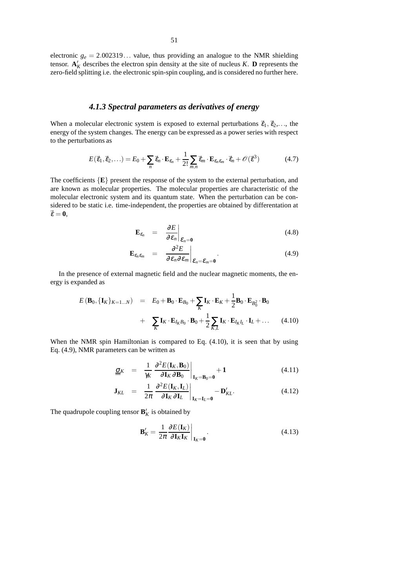electronic  $g_e = 2.002319...$  value, thus providing an analogue to the NMR shielding tensor.  $\mathbf{A}'_K$  describes the electron spin density at the site of nucleus *K*. **D** represents the zero-field splitting i.e. the electronic spin-spin coupling, and is considered no further here.

## *4.1.3 Spectral parameters as derivatives of energy*

When a molecular electronic system is exposed to external perturbations  $\vec{\epsilon}_1, \vec{\epsilon}_2,...$ , the energy of the system changes. The energy can be expressed as a power series with respect to the perturbations as

$$
E(\vec{\varepsilon}_1, \vec{\varepsilon}_2, \ldots) = E_0 + \sum_n \vec{\varepsilon}_n \cdot \mathbf{E}_{\varepsilon_n} + \frac{1}{2!} \sum_{m,n} \vec{\varepsilon}_m \cdot \mathbf{E}_{\varepsilon_n \varepsilon_m} \cdot \vec{\varepsilon}_n + \mathcal{O}(\vec{\varepsilon}^3)
$$
(4.7)

The coefficients  $\{E\}$  present the response of the system to the external perturbation, and are known as molecular properties. The molecular properties are characteristic of the molecular electronic system and its quantum state. When the perturbation can be considered to be static i.e. time-independent, the properties are obtained by differentation at  $\vec{\epsilon} = 0$ ,

$$
\mathbf{E}_{\varepsilon_n} = \left. \frac{\partial E}{\partial \varepsilon_n} \right|_{\varepsilon_n = 0} \tag{4.8}
$$

$$
\mathbf{E}_{\varepsilon_n\varepsilon_m} = \left. \frac{\partial^2 E}{\partial \varepsilon_n \partial \varepsilon_m} \right|_{\varepsilon_n = \varepsilon_m = 0} . \tag{4.9}
$$

In the presence of external magnetic field and the nuclear magnetic moments, the energy is expanded as

$$
E(\mathbf{B}_0, \{\mathbf{I}_K\}_{K=1...N}) = E_0 + \mathbf{B}_0 \cdot \mathbf{E}_{B_0} + \sum_K \mathbf{I}_K \cdot \mathbf{E}_K + \frac{1}{2} \mathbf{B}_0 \cdot \mathbf{E}_{B_0^2} \cdot \mathbf{B}_0
$$
  
+ 
$$
\sum_K \mathbf{I}_K \cdot \mathbf{E}_{I_K B_0} \cdot \mathbf{B}_0 + \frac{1}{2} \sum_{K,L} \mathbf{I}_K \cdot \mathbf{E}_{I_K I_L} \cdot \mathbf{I}_L + ... \qquad (4.10)
$$

When the NMR spin Hamiltonian is compared to Eq.  $(4.10)$ , it is seen that by using Eq. (4.9), NMR parameters can be written as

$$
\underline{\underline{\sigma}}_K = \frac{1}{\gamma_K} \left. \frac{\partial^2 E(\mathbf{I}_K, \mathbf{B}_0)}{\partial \mathbf{I}_K \partial \mathbf{B}_0} \right|_{\mathbf{I}_K = \mathbf{B}_0 = \mathbf{0}} + 1 \tag{4.11}
$$

$$
\mathbf{J}_{KL} = \frac{1}{2\pi} \left. \frac{\partial^2 E(\mathbf{I}_K, \mathbf{I}_L)}{\partial \mathbf{I}_K \partial \mathbf{I}_L} \right|_{\mathbf{I}_K = \mathbf{I}_L = \mathbf{0}} - \mathbf{D}_{KL}'. \tag{4.12}
$$

The quadrupole coupling tensor  $\mathbf{B}'_K$  is obtained by

$$
\mathbf{B}'_K = \left. \frac{1}{2\pi} \frac{\partial E(\mathbf{I}_K)}{\partial \mathbf{I}_K \mathbf{I}_K} \right|_{\mathbf{I}_K = \mathbf{0}}.
$$
\n(4.13)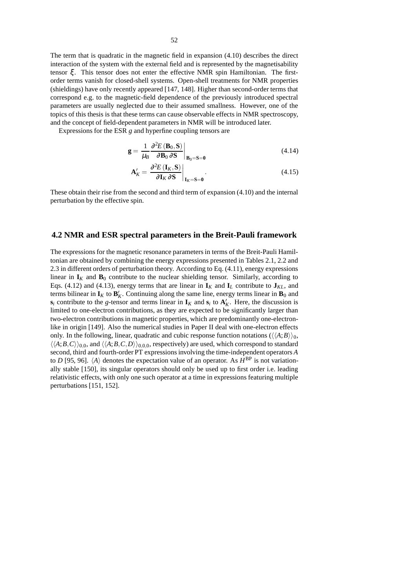The term that is quadratic in the magnetic field in expansion (4.10) describes the direct interaction of the system with the external field and is represented by the magnetisability tensor ξ. This tensor does not enter the effective NMR spin Hamiltonian. The firstorder terms vanish for closed-shell systems. Open-shell treatments for NMR properties (shieldings) have only recently appeared [147, 148]. Higher than second-order terms that correspond e.g. to the magnetic-field dependence of the previously introduced spectral parameters are usually neglected due to their assumed smallness. However, one of the topics of this thesis is that these terms can cause observable effects in NMR spectroscopy, and the concept of field-dependent parameters in NMR will be introduced later.

Expressions for the ESR *g* and hyperfine coupling tensors are

$$
\mathbf{g} = \frac{1}{\mu_B} \frac{\partial^2 E(\mathbf{B}_0, \mathbf{S})}{\partial \mathbf{B}_0 \partial \mathbf{S}} \bigg|_{\mathbf{B}_0 = \mathbf{S} = \mathbf{0}}
$$
(4.14)

$$
\mathbf{A}'_{K} = \left. \frac{\partial^2 E\left(\mathbf{I}_{K}, \mathbf{S}\right)}{\partial \mathbf{I}_{K} \partial \mathbf{S}} \right|_{\mathbf{I}_{K} = \mathbf{S} = \mathbf{0}}.
$$
\n(4.15)

These obtain their rise from the second and third term of expansion (4.10) and the internal perturbation by the effective spin.

#### **4.2 NMR and ESR spectral parameters in the Breit-Pauli framework**

The expressions for the magnetic resonance parameters in terms of the Breit-Pauli Hamiltonian are obtained by combining the energy expressions presented in Tables 2.1, 2.2 and 2.3 in different orders of perturbation theory. According to Eq. (4.11), energy expressions linear in  $\mathbf{I}_K$  and  $\mathbf{B}_0$  contribute to the nuclear shielding tensor. Similarly, according to Eqs. (4.12) and (4.13), energy terms that are linear in  $\mathbf{I}_K$  and  $\mathbf{I}_L$  contribute to  $\mathbf{J}_{KL}$ , and terms bilinear in  $\mathbf{I}_K$  to  $\mathbf{B}_K'$ . Continuing along the same line, energy terms linear in  $\mathbf{B}_0$  and **s**<sup>*i*</sup> contribute to the *g*-tensor and terms linear in  $\mathbf{I}_K$  and  $\mathbf{s}_i$  to  $\mathbf{A}'_K$ . Here, the discussion is limited to one-electron contributions, as they are expected to be significantly larger than two-electron contributions in magnetic properties, which are predominantly one-electronlike in origin [149]. Also the numerical studies in Paper II deal with one-electron effects only. In the following, linear, quadratic and cubic response function notations  $(\langle A, B \rangle)_0$ ,  $\langle\langle A; B, C \rangle\rangle_{0,0}$ , and  $\langle\langle A; B, C, D \rangle\rangle_{0,0,0}$ , respectively) are used, which correspond to standard second, third and fourth-order PT expressions involving the time-independent operators *A* to *D* [95, 96].  $\langle A \rangle$  denotes the expectation value of an operator. As  $H^{\text{BP}}$  is not variationally stable [150], its singular operators should only be used up to first order i.e. leading relativistic effects, with only one such operator at a time in expressions featuring multiple perturbations [151, 152].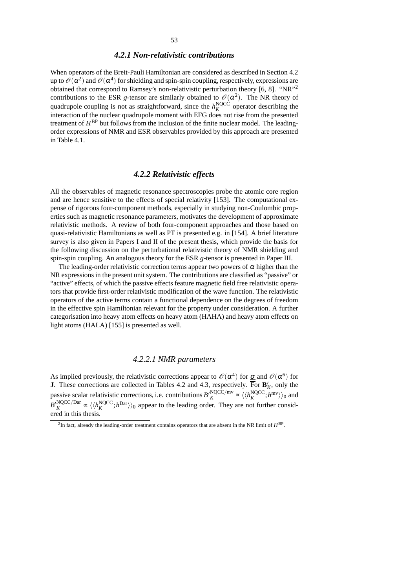## *4.2.1 Non-relativistic contributions*

When operators of the Breit-Pauli Hamiltonian are considered as described in Section 4.2 up to  $\mathscr{O}(\alpha^2)$  and  $\mathscr{O}(\alpha^4)$  for shielding and spin-spin coupling, respectively, expressions are obtained that correspond to Ramsey's non-relativistic perturbation theory [6, 8]. "NR"<sup>2</sup> contributions to the ESR *g*-tensor are similarly obtained to  $\mathcal{O}(\alpha^2)$ . The NR theory of quadrupole coupling is not as straightforward, since the  $h_K^{\text{NQCC}}$  operator describing the interaction of the nuclear quadrupole moment with EFG does not rise from the presented treatment of  $H^{\text{BP}}$  but follows from the inclusion of the finite nuclear model. The leadingorder expressions of NMR and ESR observables provided by this approach are presented in Table 4.1.

## *4.2.2 Relativistic effects*

All the observables of magnetic resonance spectroscopies probe the atomic core region and are hence sensitive to the effects of special relativity [153]. The computational expense of rigorous four-component methods, especially in studying non-Coulombic properties such as magnetic resonance parameters, motivates the development of approximate relativistic methods. A review of both four-component approaches and those based on quasi-relativistic Hamiltonians as well as PT is presented e.g. in [154]. A brief literature survey is also given in Papers I and II of the present thesis, which provide the basis for the following discussion on the perturbational relativistic theory of NMR shielding and spin-spin coupling. An analogous theory for the ESR *g*-tensor is presented in Paper III.

The leading-order relativistic correction terms appear two powers of  $\alpha$  higher than the NR expressions in the present unit system. The contributions are classified as "passive" or "active" effects, of which the passive effects feature magnetic field free relativistic operators that provide first-order relativistic modification of the wave function. The relativistic operators of the active terms contain a functional dependence on the degrees of freedom in the effective spin Hamiltonian relevant for the property under consideration. A further categorisation into heavy atom effects on heavy atom (HAHA) and heavy atom effects on light atoms (HALA) [155] is presented as well.

## *4.2.2.1 NMR parameters*

As implied previously, the relativistic corrections appear to  $\mathscr{O}(\alpha^4)$  for  $\underline{\sigma}$  and  $\mathscr{O}(\alpha^6)$  for **J**. These corrections are collected in Tables 4.2 and 4.3, respectively. For  $\mathbf{B}_K^{\prime}$ , only the passive scalar relativistic corrections, i.e. contributions  $B_K^{\prime NQCC/mv} \propto \langle \langle h_K^{NQCC}; h^{mv} \rangle \rangle_0$  and  $B_K^{\prime NQCC/Dar} \propto \langle \langle h_K^{\text{NQCC}}; h^{\text{Dar}} \rangle \rangle_0$  appear to the leading order. They are not further considered in this thesis.

 $^2$ In fact, already the leading-order treatment contains operators that are absent in the NR limit of  $H^{\text{BP}}$ .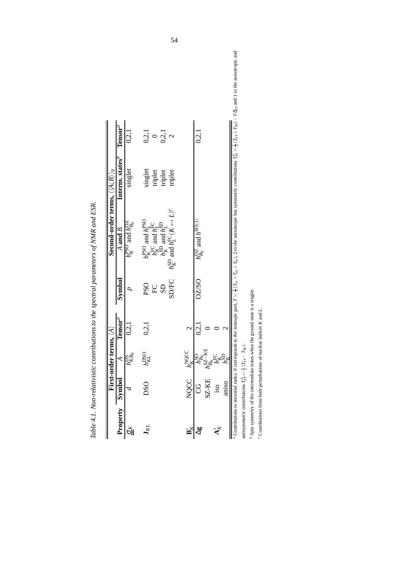|                        |                              | First-order terms, $\langle A \rangle$ |                     |              | Second-order terms, $\langle \langle A;B \rangle \rangle_0$                          |                                                                                                                            |             |
|------------------------|------------------------------|----------------------------------------|---------------------|--------------|--------------------------------------------------------------------------------------|----------------------------------------------------------------------------------------------------------------------------|-------------|
| Property               | Symbol                       | ₹                                      | $\mathrm{Tensor}^a$ | Symbol       | $A$ and $B$                                                                          | Interm. states <sup><i>P</i></sup>                                                                                         | $Tensor^a$  |
| ŏЮ                     |                              | hPa<br>KBo                             | 0.2,1               |              | $h_K^{\text{PSO}}$ and $h_{B_0}^{\text{OZ}}$                                         | singlet                                                                                                                    | 0.2,1       |
| $\mathbf{r}_K$         | DSO <sub>1</sub>             | $h_{KL}^{\rm DSO}$                     | 0,2,1               | <b>PSO</b>   | $h_K^{\text{PSO}}$ and $h_L^{\text{PSO}}$<br>$h_K^{\text{FC}}$ and $h_I^{\text{FC}}$ |                                                                                                                            | 0, 2, 1     |
|                        |                              |                                        |                     | ${\rm FC}$   |                                                                                      |                                                                                                                            | $\circ$     |
|                        |                              |                                        |                     | <b>SD</b>    | $\sim$ and $h^{{\rm SD}}_t$<br>$h_{k}^{\mathrm{SD}}$                                 |                                                                                                                            | 0, 2, 1     |
|                        |                              |                                        |                     | SD/FC        | $h_K^{\text{SD}}$ and $h_L^{\text{FC}}(K \leftrightarrow L)^c$                       | $\begin{array}{c} \mathop{\bf singlet}\\ \mathop{\bf triplet}\\ \mathop{\bf triplet}\\ \mathop{\bf triplet}\\ \end{array}$ | $\mathbf 2$ |
| $\mathbf{B}^{'}_{\nu}$ | NQCC $h_{\nu}^{\text{NQCC}}$ |                                        | $\mathcal{C}$       |              |                                                                                      |                                                                                                                            |             |
| $\mathbb{S}_{\nabla}$  | g                            |                                        | 0.2,1               | <b>OZZSO</b> | $h_{B_0}^{\rm OZ}$ and $h^{\rm SO(1)}$                                               |                                                                                                                            | 0,2,1       |
|                        | SZ-KE                        |                                        |                     |              |                                                                                      |                                                                                                                            |             |
| $\mathbf{A}_K'$        | $\overline{\text{}}$         |                                        |                     |              |                                                                                      |                                                                                                                            |             |
|                        | amso                         |                                        |                     |              |                                                                                      |                                                                                                                            |             |

| ֧֧֧֧֪֪֦֧֧֧֧֧֧֧֧֧֧֪֛֛֪֪֧֛֚֬֘֝֓֕֓֕֓֝֬֝֓֝֬֝֓֝֬֝֓֝֬֝֬֝֓֝֬֝֓֝֬֓֝֬֝֓֝֬֝֓֝֓֝֬֝֬֝<br>ו<br> <br> |
|-----------------------------------------------------------------------------------------|
|                                                                                         |
|                                                                                         |
| $\frac{1}{2}$<br>ׇ֚֘                                                                    |
| į                                                                                       |
|                                                                                         |
| ۱<br>تا                                                                                 |
|                                                                                         |
|                                                                                         |
|                                                                                         |
|                                                                                         |
|                                                                                         |
|                                                                                         |
|                                                                                         |
|                                                                                         |
|                                                                                         |
|                                                                                         |
|                                                                                         |
|                                                                                         |
|                                                                                         |
|                                                                                         |
|                                                                                         |
|                                                                                         |
| <b>Contact Later Contact</b>                                                            |
|                                                                                         |
|                                                                                         |
|                                                                                         |
|                                                                                         |
|                                                                                         |
|                                                                                         |
|                                                                                         |
|                                                                                         |
| י<br>ו<br>I                                                                             |
|                                                                                         |
| $\overline{a}$<br>j                                                                     |
|                                                                                         |
|                                                                                         |
|                                                                                         |
|                                                                                         |
| i<br>ï                                                                                  |
|                                                                                         |

to the anisotropic and <sup>n</sup> Contributions to tensorial ranks: 0 corresponds to the isotropic part,  $T = \frac{1}{3}(T_{xx} + T_{yy} + T_{zz})$ , 2 to the anisotropic but symmetric contributions  $T_{2x}^2 = \frac{1}{2}(T_{xx} + T_{xz}) - T\delta_{\text{c}}$  and 1 to the anisotropic and s za  $\overline{181}$  $\frac{1}{2}$   $\sqrt{167}$  $\overline{\phantom{a}^{33}}$ ÷, Ļ.  $\overline{z}$ ú,  $\frac{1}{3}$   $\sqrt{4 \pi}$ ha ha antisymmetric contributions  $T_{\rm cr}^A = \frac{1}{2} \left( T_{\rm cr} - T_{\rm rc} \right).$ antisymmetric contributions  $T_{\text{et}}^{A} = \frac{1}{2} (T_{\text{et}} - T_{\text{te}})$ . ې<br>م

 $b$  Spin symmetry of the intermediate states when the ground state is a singlet. Spin symmetry of the intermediate states when the ground state is a singlet.

 $c$  Contributions from both perturbations of nuclear indices  $K$  and  $L$ . Contributions from both perturbations of nuclear indices *K* and *L*.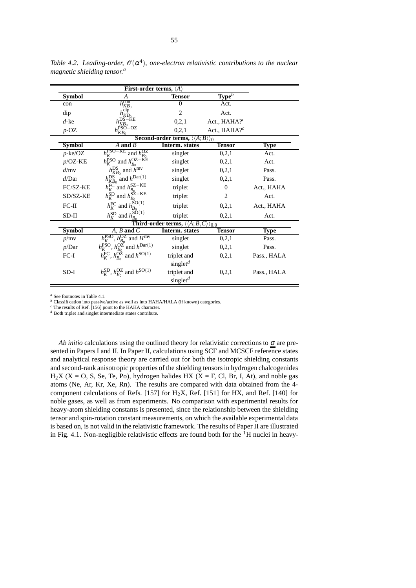|               | First-order terms, $\langle A \rangle$                                      |                                                                         |                             |             |
|---------------|-----------------------------------------------------------------------------|-------------------------------------------------------------------------|-----------------------------|-------------|
| <b>Symbol</b> | А                                                                           | Tensor                                                                  | $Type^b$                    |             |
| con           | $h_{KB_0}^{\rm con}$                                                        | $\Omega$                                                                | Act.                        |             |
| dip           | dip<br>$n_{K\tilde{B}_{0}}$                                                 | $\overline{c}$                                                          | Act.                        |             |
| $d$ -ke       | DS–KE<br>KB <sub>0</sub>                                                    | 0,2,1                                                                   | Act., $HAHA$ ? <sup>c</sup> |             |
| $p$ -OZ       | $h_{KB_0}^{\text{PSO}-\text{OZ}}$                                           | 0,2,1                                                                   | Act., HAHA? <sup>c</sup>    |             |
|               |                                                                             | <b>Second-order terms,</b> $\langle \langle A;B \rangle \rangle_0$      |                             |             |
| <b>Symbol</b> | A and $\overline{B}$                                                        | Interm. states                                                          | <b>Tensor</b>               | <b>Type</b> |
| $p$ -ke/OZ    | $h_K^{\text{PSO-KE}}$<br>and $h_{B_0}^{\rm OZ}$                             | singlet                                                                 | 0,2,1                       | Act.        |
| $p$ /OZ-KE    | $h_K^{\text{PSO}}$ and $h_{B_0}^{\text{OZ}-\text{KE}}$                      | singlet                                                                 | 0,2,1                       | Act.        |
| d/mv          | $h_{KB_0}^{\text{DS}}$ and $h^{\text{mv}}$                                  | singlet                                                                 | 0,2,1                       | Pass.       |
| d/Dar         | $h_{KB_0}^{\text{DS}}$ and $h^{\text{Dar}(1)}$                              | singlet                                                                 | 0,2,1                       | Pass.       |
| FC/SZ-KE      | $h_K^{\text{FC}}$ and $h_{B_0}^{\text{SZ}-\text{KE}}$                       | triplet                                                                 | 0                           | Act., HAHA  |
| SD/SZ-KE      | $h_K^{\text{SD}}$ and $h_{B_0}^{\text{SZ}-\text{KE}}$                       | triplet                                                                 | 2                           | Act.        |
| $FC-II$       | $h_K^{\text{FC}}$ and $h_{B_0}^{\text{SO}(1)}$                              | triplet                                                                 | 0,2,1                       | Act., HAHA  |
| $SD-II$       | $h_K^{\text{SD}}$ and $h_{B_0}^{\text{SO}(1)}$                              | triplet                                                                 | 0,2,1                       | Act.        |
|               |                                                                             | <b>Third-order terms,</b> $\langle\langle A; B, C \rangle\rangle_{0,0}$ |                             |             |
| <b>Symbol</b> | $A, B$ and $C$                                                              | Interm. states                                                          | Tensor                      | Type        |
| p/mv          | $h_K^{\rm PSO}$ , $h_{B_0}^{\rm OZ}$ and $H^{\rm mv}$                       | singlet                                                                 | 0,2,1                       | Pass.       |
| p/Dar         | $h_K^{\overline{PSO}}, h_{B_0}^{\overline{OZ}}$ and $h^{\overline{Dar}(1)}$ | singlet                                                                 | 0,2,1                       | Pass.       |
| $FC-I$        | $h_K^{\text{FC}}, h_{B_0}^{\text{OZ}}$ and $h^{\text{SO}(1)}$               | triplet and                                                             | 0,2,1                       | Pass., HALA |
|               |                                                                             | singlet <sup><math>d</math></sup>                                       |                             |             |
| SD-I          | $h_K^{\text{SD}}, h_{B_0}^{\text{OZ}}$ and $h^{\text{SO}(1)}$               | triplet and                                                             | 0,2,1                       | Pass., HALA |
|               |                                                                             | singlet <sup><math>d</math></sup>                                       |                             |             |

*Table 4.2*. *Leading-order,* O(<sup>α</sup> 4 )*, one-electron relativistic contributions to the nuclear magnetic shielding tensor. a*

*<sup>a</sup>* See footnotes in Table 4.1.

*b* Classification into passive/active as well as into HAHA/HALA (if known) categories.

*<sup>c</sup>* The results of Ref. [156] point to the HAHA character.

*<sup>d</sup>* Both triplet and singlet intermediate states contribute.

*Ab initio* calculations using the outlined theory for relativistic corrections to  $\sigma$  are presented in Papers I and II. In Paper II, calculations using SCF and MCSCF reference states and analytical response theory are carried out for both the isotropic shielding constants and second-rank anisotropic properties of the shielding tensors in hydrogen chalcogenides  $H_2X$  (X = O, S, Se, Te, Po), hydrogen halides HX (X = F, Cl, Br, I, At), and noble gas atoms (Ne, Ar, Kr, Xe, Rn). The results are compared with data obtained from the 4 component calculations of Refs. [157] for H2X, Ref. [151] for HX, and Ref. [140] for noble gases, as well as from experiments. No comparison with experimental results for heavy-atom shielding constants is presented, since the relationship between the shielding tensor and spin-rotation constant measurements, on which the available experimental data is based on, is not valid in the relativistic framework. The results of Paper II are illustrated in Fig. 4.1. Non-negligible relativistic effects are found both for the  ${}^{1}H$  nuclei in heavy-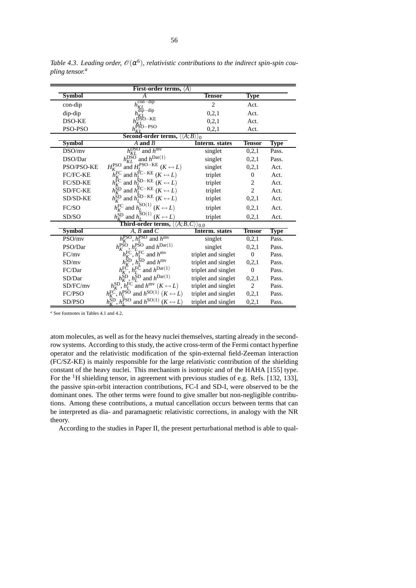|               | First-order terms, $\langle A \rangle$                                                                                                                               |                        |                |             |
|---------------|----------------------------------------------------------------------------------------------------------------------------------------------------------------------|------------------------|----------------|-------------|
| Symbol        | A                                                                                                                                                                    | <b>Tensor</b>          | Type           |             |
| con-dip       | .con-dip<br>$h_{KL}^{\text{con-dip}}$<br>$h_{KL}^{\text{dip-dip}}$                                                                                                   | $\overline{c}$         | Act.           |             |
| dip-dip       |                                                                                                                                                                      | 0,2,1                  | Act.           |             |
| <b>DSO-KE</b> | $h^{KL}_{b}$ O-KE                                                                                                                                                    | 0,2,1                  | Act.           |             |
| PSO-PSO       | $h^{KL}$ PSO-PSO                                                                                                                                                     | 0,2,1                  | Act.           |             |
|               | Second-order terms,                                                                                                                                                  | $\langle A;B\rangle$ ) |                |             |
| <b>Symbol</b> | $\overline{A}$ and $\overline{B}$                                                                                                                                    | <b>Interm.</b> states  | <b>Tensor</b>  | <b>Type</b> |
| DSO/mv        | $h_{KL}^{\rm DSO}$ and $h^{\rm mv}$                                                                                                                                  | singlet                | 0, 2, 1        | Pass.       |
| DSO/Dar       | $h_{KL}^{\text{DS}\overline{\text{O}}}$ and $h^{\text{Dar}(1)}$                                                                                                      | singlet                | 0,2,1          | Pass.       |
| PSO/PSO-KE    | $H_K^{\text{PSO}}$ and $H_L^{\text{PSO}-\text{KE}}$ ( $K \leftrightarrow L$ )                                                                                        | singlet                | 0,2,1          | Act.        |
| FC/FC-KE      | $h_K^{\text{FC}}$ and $h_L^{\text{FC}-\text{KE}}$ $(K \leftrightarrow L)$<br>$h_K^{\text{FC}}$ and $h_{L}^{\text{SD}-\text{KE}}$ $(K \leftrightarrow L)$             | triplet                | $\mathbf{0}$   | Act.        |
| FC/SD-KE      |                                                                                                                                                                      | triplet                | 2              | Act.        |
| SD/FC-KE      |                                                                                                                                                                      | triplet                | $\overline{2}$ | Act.        |
| SD/SD-KE      | $h_K^{\text{SD}}$ and $h_L^{\text{FC}-\text{KE}}$ $(K \leftrightarrow L)$<br>$h_K^{\text{SD}}$ and $h_L^{\text{SD}-\text{KE}}$ $(K \leftrightarrow L)$               | triplet                | 0,2,1          | Act.        |
| FC/SO         | $h_K^{\text{FC}}$ and $h_L^{\text{SO}(1)}$ ( $K \leftrightarrow L$ )                                                                                                 | triplet                | 0,2,1          | Act.        |
| SD/SO         | $h_K^{\text{SD}}$ and $h_L^{\text{SO}(1)}$ $(K \leftrightarrow L)$                                                                                                   | triplet                | 0,2,1          | Act.        |
|               | <b>Third-order terms,</b> $\langle\langle A;B,C\rangle\rangle_{0,0}$                                                                                                 |                        |                |             |
| <b>Symbol</b> | $A, B$ and $C$                                                                                                                                                       | Interm. states         | <b>Tensor</b>  | <b>Type</b> |
| PSO/mv        | $h_{\nu}^{\text{PSO}}$ , $h_{\tau}^{\text{PSO}}$ and $h^{\text{mv}}$                                                                                                 | singlet                | 0,2,1          | Pass.       |
| PSO/Dar       | $h_K^{\text{PSO}}$ , $h_L^{\text{PSO}}$ and $h^{\text{Dar}(1)}$                                                                                                      | singlet                | 0,2,1          | Pass.       |
| FC/mv         | , $\tilde{h}_I^{\text{FC}}$ and $h^{\text{mv}}$<br>$h^{\rm FC}_K$                                                                                                    | triplet and singlet    | $\overline{0}$ | Pass.       |
| SD/mv         | $h_r^{\text{SD}}$<br>$h_I^{\text{SD}}$ and $h^{\text{mv}}$                                                                                                           | triplet and singlet    | 0, 2, 1        | Pass.       |
| FC/Dar        | $h_K^{\text{FC}}, h_L^{\text{FC}}$ and $h^{\text{Dar}(1)}$                                                                                                           | triplet and singlet    | $\overline{0}$ | Pass.       |
| SD/Dar        | $h_K^{\text{SD}}$ , $h_L^{\text{SD}}$ and $h^{\text{Dar}(1)}$                                                                                                        | triplet and singlet    | 0,2,1          | Pass.       |
| SD/FC/mv      |                                                                                                                                                                      | triplet and singlet    | 2              | Pass.       |
| FC/PSO        | $h_K^{\text{SD}}, h_L^{\text{FC}}$ and $h^{\text{mv}}$ $(K \leftrightarrow L)$<br>$h_K^{\text{FC}}, h_L^{\text{PSO}}$ and $h^{\text{SO}(1)}$ $(K \leftrightarrow L)$ | triplet and singlet    | 0, 2, 1        | Pass.       |
| SD/PSO        | $h_K^{\text{SD}}, h_L^{\text{PSO}}$ and $h^{\text{SO}(1)}$ $(K \leftrightarrow L)$                                                                                   | triplet and singlet    | 0,2,1          | Pass.       |

*Table* 4.3. Leading order,  $\mathcal{O}(\alpha^6)$ , relativistic contributions to the indirect spin-spin cou*pling tensor. a*

*<sup>a</sup>* See footnotes in Tables 4.1 and 4.2.

atom molecules, as well as for the heavy nuclei themselves, starting already in the secondrow systems. According to this study, the active cross-term of the Fermi contact hyperfine operator and the relativistic modification of the spin-external field-Zeeman interaction (FC/SZ-KE) is mainly responsible for the large relativistic contribution of the shielding constant of the heavy nuclei. This mechanism is isotropic and of the HAHA [155] type. For the <sup>1</sup>H shielding tensor, in agreement with previous studies of e.g. Refs. [132, 133], the passive spin-orbit interaction contributions, FC-I and SD-I, were observed to be the dominant ones. The other terms were found to give smaller but non-negligible contributions. Among these contributions, a mutual cancellation occurs between terms that can be interpreted as dia- and paramagnetic relativistic corrections, in analogy with the NR theory.

According to the studies in Paper II, the present perturbational method is able to qual-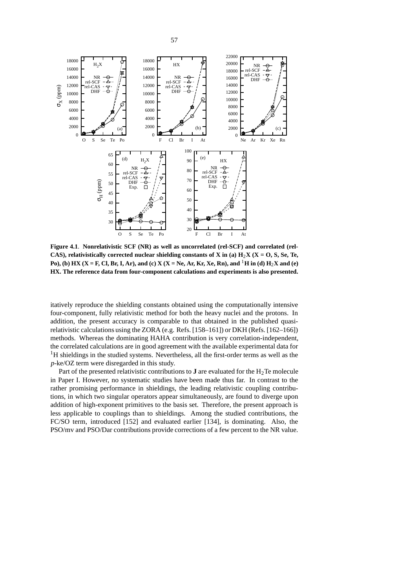

**Figure 4.1**. **Nonrelativistic SCF (NR) as well as uncorrelated (rel-SCF) and correlated (rel-CAS)**, **relativistically** corrected nuclear shielding constants of **X** in (a)  $H_2X$  ( $X = O$ ,  $S$ ,  $Se$ ,  $Te$ , Po), (b) HX (X = F, Cl, Br, I, Ar), and (c) X (X = Ne, Ar, Kr, Xe, Rn), and <sup>1</sup>H in (d) H<sub>2</sub>X and (e) **HX. The reference data from four-component calculations and experiments is also presented.**

itatively reproduce the shielding constants obtained using the computationally intensive four-component, fully relativistic method for both the heavy nuclei and the protons. In addition, the present accuracy is comparable to that obtained in the published quasirelativistic calculations using the ZORA (e.g. Refs. [158–161]) or DKH (Refs. [162–166]) methods. Whereas the dominating HAHA contribution is very correlation-independent, the correlated calculations are in good agreement with the available experimental data for <sup>1</sup>H shieldings in the studied systems. Nevertheless, all the first-order terms as well as the *p*-ke/OZ term were disregarded in this study.

Part of the presented relativistic contributions to **J** are evaluated for the  $H_2$ Te molecule in Paper I. However, no systematic studies have been made thus far. In contrast to the rather promising performance in shieldings, the leading relativistic coupling contributions, in which two singular operators appear simultaneously, are found to diverge upon addition of high-exponent primitives to the basis set. Therefore, the present approach is less applicable to couplings than to shieldings. Among the studied contributions, the FC/SO term, introduced [152] and evaluated earlier [134], is dominating. Also, the PSO/mv and PSO/Dar contributions provide corrections of a few percent to the NR value.

57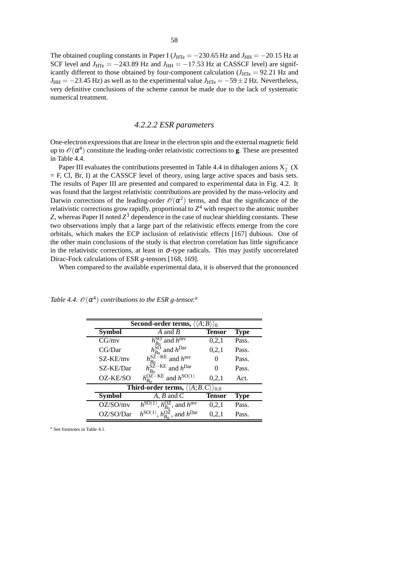The obtained coupling constants in Paper I ( $J_{\text{HTe}} = -230.65$  Hz and  $J_{\text{HH}} = -20.15$  Hz at SCF level and  $J_{\text{HTe}} = -243.89$  Hz and  $J_{\text{HH}} = -17.53$  Hz at CASSCF level) are significantly different to those obtained by four-component calculation  $(J_{\text{HTe}} = 92.21 \text{ Hz}$  and  $J_{HH} = -23.45$  Hz) as well as to the experimental value  $J_{HTe} = -59 \pm 2$  Hz. Nevertheless, very definitive conclusions of the scheme cannot be made due to the lack of systematic numerical treatment.

## *4.2.2.2 ESR parameters*

One-electron expressionsthat are linear in the electron spin and the external magnetic field up to  $\mathscr{O}(\alpha^4)$  constitute the leading-order relativistic corrections to **g**. These are presented in Table 4.4.

Paper III evaluates the contributions presented in Table 4.4 in dihalogen anions  $X_2^-$  (X = F, Cl, Br, I) at the CASSCF level of theory, using large active spaces and basis sets. The results of Paper III are presented and compared to experimental data in Fig. 4.2. It was found that the largest relativistic contributions are provided by the mass-velocity and Darwin corrections of the leading-order  $\mathcal{O}(\alpha^2)$  terms, and that the significance of the relativistic corrections grow rapidly, proportional to *Z* <sup>4</sup> with respect to the atomic number  $Z$ , whereas Paper II noted  $Z^3$  dependence in the case of nuclear shielding constants. These two observations imply that a large part of the relativistic effects emerge from the core orbitals, which makes the ECP inclusion of relativistic effects [167] dubious. One of the other main conclusions of the study is that electron correlation has little significance in the relativistic corrections, at least in  $\sigma$ -type radicals. This may justify uncorrelated Dirac-Fock calculations of ESR *g*-tensors [168, 169].

When compared to the available experimental data, it is observed that the pronounced

| <b>Second-order terms,</b> $\langle \langle A; B \rangle \rangle_0$ |                                              |               |             |  |
|---------------------------------------------------------------------|----------------------------------------------|---------------|-------------|--|
| <b>Symbol</b>                                                       | A and B                                      | <b>Tensor</b> | Type        |  |
| CG/mv                                                               | and $h^{\text{mv}}$<br>$h_{B}^{\text{SO}}$   | 0,2,1         | Pass.       |  |
| CG/Dar                                                              | and $h^{\text{Dar}}$                         | 0,2,1         | Pass.       |  |
| SZ-KE/my                                                            | $h_{B_0}^{\rm SZ-KE}$<br>and $h^{\text{mv}}$ | $\mathbf{0}$  | Pass.       |  |
| SZ-KE/Dar                                                           | $h_{B_0}^{\rm SZ-KE}$ and $h^{\rm Dar}$      |               | Pass.       |  |
| OZ-KE/SO                                                            | $h^{{\rm OZ-HE}}_{B0}$ and $h^{{\rm SO}(1)}$ | 0,2,1         | Act.        |  |
| Third-order terms, $\langle \langle A; B, C \rangle \rangle_{0,0}$  |                                              |               |             |  |
| <b>Symbol</b>                                                       | $A, B$ and $C$                               | <b>Tensor</b> | <b>Type</b> |  |
| OZ/SO/mv                                                            | , $h_{B_0}^{OL}$ , and $h^{\text{mv}}$       | 0,2,1         | Pass.       |  |
| OZ/SO/Dar                                                           | $h_{R_0}^{OZ}$ , and $h^{Dar}$               | 0,2,1         | Pass.       |  |

Table 4.4.  $\mathscr{O}(\alpha^4)$  contributions to the ESR g-tensor.<sup>a</sup>

*<sup>a</sup>* See footnotes in Table 4.1.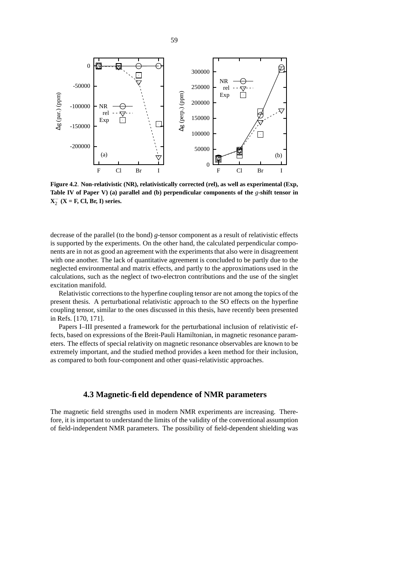

**Figure 4.2**. **Non-relativistic (NR), relativistically corrected (rel), as well as experimental (Exp, Table IV of Paper V) (a) parallel and (b) perpendicular components of the** *g***-shift tensor in**  $X_2^-$  ( $X = F$ , Cl, Br, I) series.

decrease of the parallel (to the bond) *g*-tensor component as a result of relativistic effects is supported by the experiments. On the other hand, the calculated perpendicular components are in not as good an agreement with the experiments that also were in disagreement with one another. The lack of quantitative agreement is concluded to be partly due to the neglected environmental and matrix effects, and partly to the approximations used in the calculations, such as the neglect of two-electron contributions and the use of the singlet excitation manifold.

Relativistic corrections to the hyperfine coupling tensor are not among the topics of the present thesis. A perturbational relativistic approach to the SO effects on the hyperfine coupling tensor, similar to the ones discussed in this thesis, have recently been presented in Refs. [170, 171].

Papers I–III presented a framework for the perturbational inclusion of relativistic effects, based on expressions of the Breit-Pauli Hamiltonian, in magnetic resonance parameters. The effects of special relativity on magnetic resonance observables are known to be extremely important, and the studied method provides a keen method for their inclusion, as compared to both four-component and other quasi-relativistic approaches.

## **4.3 Magnetic-field dependence of NMR parameters**

The magnetic field strengths used in modern NMR experiments are increasing. Therefore, it is important to understand the limits of the validity of the conventional assumption of field-independent NMR parameters. The possibility of field-dependent shielding was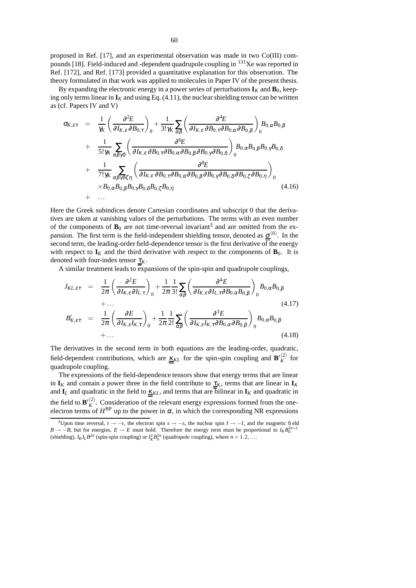proposed in Ref. [17], and an experimental observation was made in two Co(III) compounds [18]. Field-induced and -dependent quadrupole coupling in <sup>131</sup>Xe was reported in Ref. [172], and Ref. [173] provided a quantitative explanation for this observation. The theory formulated in that work was applied to molecules in Paper IV of the present thesis.

By expanding the electronic energy in a power series of perturbations  $\mathbf{I}_K$  and  $\mathbf{B}_0$ , keeping only terms linear in  $\mathbf{I}_K$  and using Eq. (4.11), the nuclear shielding tensor can be written as (cf. Papers IV and V)

$$
\sigma_{K,\varepsilon\tau} = \frac{1}{\gamma_K} \left( \frac{\partial^2 E}{\partial I_{K,\varepsilon} \partial B_{0,\tau}} \right)_0 + \frac{1}{3! \gamma_K} \sum_{\alpha\beta} \left( \frac{\partial^4 E}{\partial I_{K,\varepsilon} \partial B_{0,\tau} \partial B_{0,\alpha} \partial B_{0,\beta}} \right)_0 B_{0,\alpha} B_{0,\beta}
$$
  
+ 
$$
\frac{1}{5! \gamma_K} \sum_{\alpha\beta\gamma\delta} \left( \frac{\partial^6 E}{\partial I_{K,\varepsilon} \partial B_{0,\tau} \partial B_{0,\alpha} \partial B_{0,\beta} \partial B_{0,\gamma} \partial B_{0,\delta}} \right)_0 B_{0,\alpha} B_{0,\beta} B_{0,\gamma} B_{0,\delta}
$$
  
+ 
$$
\frac{1}{7! \gamma_K} \sum_{\alpha\beta\gamma\delta\zeta\eta} \left( \frac{\partial^8 E}{\partial I_{K,\varepsilon} \partial B_{0,\tau} \partial B_{0,\alpha} \partial B_{0,\beta} \partial B_{0,\gamma} \partial B_{0,\delta} \partial B_{0,\zeta} \partial B_{0,\eta}} \right)_0
$$

$$
\times B_{0,\alpha} B_{0,\beta} B_{0,\gamma} B_{0,\delta} B_{0,\zeta} B_{0,\eta}
$$
(4.16)

Here the Greek subindices denote Cartesian coordinates and subscript 0 that the derivatives are taken at vanishing values of the perturbations. The terms with an even number of the components of  $\mathbf{B}_0$  are not time-reversal invariant<sup>3</sup> and are omitted from the expansion. The first term is the field-independent shielding tensor, denoted as  $\underline{\sigma}^{(0)}$ . In the second term, the leading-order field-dependence tensor is the first derivative of the energy with respect to  $I_K$  and the third derivative with respect to the components of  $B_0$ . It is denoted with four-index tensor  $\tau_K$ .

A similar treatment leads to expansions of the spin-spin and quadrupole couplings,

$$
J_{KL,\varepsilon\tau} = \frac{1}{2\pi} \left( \frac{\partial^2 E}{\partial I_{K,\varepsilon} \partial I_{L,\tau}} \right)_0 + \frac{1}{2\pi} \frac{1}{3!} \sum_{\alpha\beta} \left( \frac{\partial^4 E}{\partial I_{K,\varepsilon} \partial I_{L,\tau} \partial B_{0,\alpha} B_{0,\beta}} \right)_0 B_{0,\alpha} B_{0,\beta}
$$
  
+...  

$$
B'_{K,\varepsilon\tau} = \frac{1}{2\pi} \left( \frac{\partial E}{\partial I_{K,\varepsilon} I_{K,\tau}} \right)_0 + \frac{1}{2\pi} \frac{1}{2!} \sum_{\alpha\beta} \left( \frac{\partial^3 E}{\partial I_{K,\varepsilon} I_{K,\tau} \partial B_{0,\alpha} \partial B_{0,\beta}} \right)_0 B_{0,\alpha} B_{0,\beta}
$$
  
+... (4.18)

The derivatives in the second term in both equations are the leading-order, quadratic, field-dependent contributions, which are  $K_{KL}$  for the spin-spin coupling and  $\mathbf{B}'_K^{(2)}$  $\chi$ <sup>(2)</sup> for quadrupole coupling.

The expressions of the field-dependence tensors show that energy terms that are linear in  $\mathbf{I}_K$  and contain a power three in the field contribute to  $\underline{\tau}_K$ , terms that are linear in  $\mathbf{I}_K$ and  $I_L$  and quadratic in the field to  $K_{KL}$ , and terms that are bilinear in  $I_K$  and quadratic in the field to  $\mathbf{B'}_K^{(2)}$  $K^2$ . Consideration of the relevant energy expressions formed from the oneelectron terms of  $H^{\text{BP}}$  up to the power in  $\alpha$ , in which the corresponding NR expressions

<sup>&</sup>lt;sup>3</sup>Upon time reversal,  $t \rightarrow -t$ , the electron spin  $s \rightarrow -s$ , the nuclear spin  $I \rightarrow -I$ , and the magnetic field  $B \rightarrow -B$ , but for energies,  $E \rightarrow E$  must hold. Therefore the energy term must be proportional to  $I_K B_0^{2n+1}$ <br>(shielding),  $I_K I_L B^{2n}$  (spin-spin coupling) or  $I_K^2 B_0^{2n}$  (quadrupole coupling), where  $n = 1, 2, ...$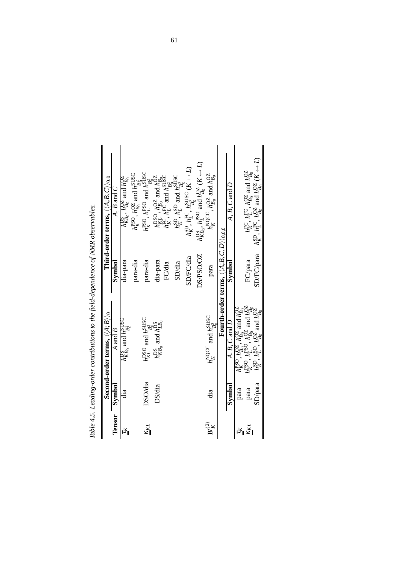|                                           |         | Second-order terms, $\langle A;B \rangle \rangle_0$                                                                                                                                                                                  |                                                                    | Third-order terms, $\langle A;B,C\rangle_{0.0}$                                                                                                                                             |
|-------------------------------------------|---------|--------------------------------------------------------------------------------------------------------------------------------------------------------------------------------------------------------------------------------------|--------------------------------------------------------------------|---------------------------------------------------------------------------------------------------------------------------------------------------------------------------------------------|
| <b>Tensor</b>                             | Symbol  | A and B                                                                                                                                                                                                                              | Symbol                                                             | $A, B$ and $\overline{C}$                                                                                                                                                                   |
| ĂЭ                                        | ää      | $h_{KB_0}^{\text{DS}}$ and $h_{B_0}^{\text{SUSC}}$                                                                                                                                                                                   | dia-para                                                           | $h^{\rm DS}_{KB_0}, h^{\rm OZ}_{B_0}$ and $h^{\rm OZ}_{B_0}$                                                                                                                                |
|                                           |         |                                                                                                                                                                                                                                      | para-dia                                                           | $h_K^{\text{PSO}}$ , $h_{B_0}^{\text{OZ}}$ and $h_{B_2^2}^{\text{SUSC}}$                                                                                                                    |
| $\overline{\text{K}}$ KL                  | DSO/dia |                                                                                                                                                                                                                                      | para-dia                                                           | $h_K^{\text{PSO}}$ , $h_L^{\text{PSO}}$ and $h_{\text{D2}}^{\text{SUSC}}$                                                                                                                   |
|                                           | DS/dia  | $h_{KL}^{\text{DSO}}$ and $h_{B_2}^{\text{SUSC}}$<br>$h_{KB_0}^{\text{D}}$ and $h_{LB_0}^{\text{D}}$                                                                                                                                 | dia-para                                                           | $h_{KL}^{\rm DSO}$ , $h_{B_0}^{\rm OZ}$ and $h_{B_0}^{\rm OZ}$<br>$h_{K}^{\rm FC}$ , $h_{L}^{\rm FC}$ and $h_{B_2^2}^{\rm SUSC}$                                                            |
|                                           |         |                                                                                                                                                                                                                                      | FC/dia                                                             |                                                                                                                                                                                             |
|                                           |         |                                                                                                                                                                                                                                      | SD/dia                                                             | $h_K^{\text{SD}}$ , $h_L^{\text{SD}}$ and $h_{B_2^2}^{\text{SUSC}}$                                                                                                                         |
|                                           |         |                                                                                                                                                                                                                                      | SD/FC/dia                                                          | $h_K^{\text{SD}}, h_L^{\text{FC}}, h_{B_c^2}^{\text{SUSC}}$ $(K \leftrightarrow L)$                                                                                                         |
|                                           |         |                                                                                                                                                                                                                                      | DS/PSO/OZ                                                          | $h_{KB_0}^{DS}$ , $h_L^{PSO}$ and $h_{B_0}^{OZ}$ ( $K \leftarrow L$ )                                                                                                                       |
| $\mathbf{B}^{\prime\left( 2\right) }_{K}$ | dia     | $h_K^{\text{NQCC}}$ and $h_{B_2^2}^{\text{SUSC}}$                                                                                                                                                                                    | para                                                               | $h_K^{\rm NQCC}$ , $h_{B_0}^{\rm OZ}$ and $h_{B_0}^{\rm OZ}$                                                                                                                                |
|                                           |         |                                                                                                                                                                                                                                      | Fourth-order terms, $\langle\langle A;B,C,D\rangle\rangle_{0.0,0}$ |                                                                                                                                                                                             |
|                                           | Symbol  | $A, B, C$ and $D$                                                                                                                                                                                                                    | Symbol                                                             | $A, B, C$ and $\overline{D}$                                                                                                                                                                |
| řЙ                                        | para    | $\frac{10^{84}_{12}}{10^{124}_{12}}$ , $\frac{10^{12}_{12}}{10^{12}_{12}}$ , $\frac{10^{12}_{12}}{10^{12}_{12}}$ , $\frac{10^{12}_{12}}{10^{12}_{12}}$ , $\frac{10^{12}_{12}}{10^{12}_{12}}$ and $\frac{10^{12}_{12}}{10^{12}_{12}}$ |                                                                    |                                                                                                                                                                                             |
| $\overline{\mathbf{K}}$                   | para    |                                                                                                                                                                                                                                      | FC/para                                                            |                                                                                                                                                                                             |
|                                           | SD/para |                                                                                                                                                                                                                                      | SD/FC/para                                                         | $h_K^{\text{FC}}, h_L^{\text{FC}}, h_{B_0}^{\text{QZ}}$ and $h_{B_0}^{\text{QZ}}$<br>$h_K^{\text{SD}}, h_L^{\text{FC}}, h_{B_0}^{\text{QZ}}$ and $h_{B_0}^{\text{QZ}}$ ( $K \leftarrow L$ ) |

| $\frac{1}{2}$                    |  |
|----------------------------------|--|
| ı                                |  |
|                                  |  |
|                                  |  |
|                                  |  |
|                                  |  |
|                                  |  |
|                                  |  |
|                                  |  |
|                                  |  |
|                                  |  |
|                                  |  |
| l                                |  |
|                                  |  |
|                                  |  |
| í                                |  |
| I                                |  |
| ֡֡֡֡֡֡֡                          |  |
|                                  |  |
|                                  |  |
|                                  |  |
|                                  |  |
|                                  |  |
| ֧֦֧֦֧֦֧֦֧֦֧֦֧֦֧֦֧֦֧֦֧֦֧֦֧֦֧֦֧֦֧֝ |  |
|                                  |  |
|                                  |  |
|                                  |  |
|                                  |  |
|                                  |  |
|                                  |  |
|                                  |  |
|                                  |  |
|                                  |  |
| i                                |  |
|                                  |  |
| -<br>-<br>-<br>-                 |  |
| ֦                                |  |
|                                  |  |
|                                  |  |
|                                  |  |
|                                  |  |
| $\frac{1}{2}$                    |  |
|                                  |  |
|                                  |  |
|                                  |  |
|                                  |  |
|                                  |  |
|                                  |  |
| $\sim$<br>Ξ<br>I                 |  |
|                                  |  |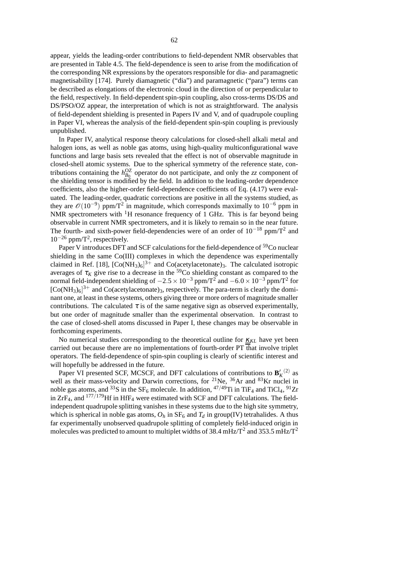appear, yields the leading-order contributions to field-dependent NMR observables that are presented in Table 4.5. The field-dependence is seen to arise from the modification of the corresponding NR expressions by the operators responsible for dia- and paramagnetic magnetisability [174]. Purely diamagnetic ("dia") and paramagnetic ("para") terms can be described as elongations of the electronic cloud in the direction of or perpendicular to the field, respectively. In field-dependentspin-spin coupling, also cross-terms DS/DS and DS/PSO/OZ appear, the interpretation of which is not as straightforward. The analysis of field-dependent shielding is presented in Papers IV and V, and of quadrupole coupling in Paper VI, whereas the analysis of the field-dependent spin-spin coupling is previously unpublished.

In Paper IV, analytical response theory calculations for closed-shell alkali metal and halogen ions, as well as noble gas atoms, using high-quality multiconfigurational wave functions and large basis sets revealed that the effect is not of observable magnitude in closed-shell atomic systems. Due to the spherical symmetry of the reference state, contributions containing the  $h_{B_0}^{OZ}$  operator do not participate, and only the *zz* component of the shielding tensor is modified by the field. In addition to the leading-order dependence coefficients, also the higher-order field-dependence coefficients of Eq. (4.17) were evaluated. The leading-order, quadratic corrections are positive in all the systems studied, as they are  $\mathcal{O}(10^{-9})$  ppm/T<sup>2</sup> in magnitude, which corresponds maximally to  $10^{-6}$  ppm in NMR spectrometers with  ${}^{1}H$  resonance frequency of 1 GHz. This is far beyond being observable in current NMR spectrometers, and it is likely to remain so in the near future. The fourth- and sixth-power field-dependencies were of an order of  $10^{-18}$  ppm/T<sup>2</sup> and  $10^{-26}$  ppm/T<sup>2</sup>, respectively.

Paper V introduces DFT and SCF calculations for the field-dependence of <sup>59</sup>Co nuclear shielding in the same Co(III) complexes in which the dependence was experimentally claimed in Ref. [18],  $[Co(NH_3)_6]^{3+}$  and  $Co(acetylacetonate)_3$ . The calculated isotropic averages of  $\tau_K$  give rise to a decrease in the <sup>59</sup>Co shielding constant as compared to the normal field-independent shielding of  $-2.5 \times 10^{-3}$  ppm/T<sup>2</sup> and  $-6.0 \times 10^{-3}$  ppm/T<sup>2</sup> for  $[Co(NH<sub>3</sub>)<sub>6</sub>]$ <sup>3+</sup> and Co(acetylacetonate)<sub>3</sub>, respectively. The para-term is clearly the dominant one, at least in these systems, others giving three or more orders of magnitude smaller contributions. The calculated  $\tau$  is of the same negative sign as observed experimentally, but one order of magnitude smaller than the experimental observation. In contrast to the case of closed-shell atoms discussed in Paper I, these changes may be observable in forthcoming experiments.

No numerical studies corresponding to the theoretical outline for <u>κ</u><sub>KL</sub> have yet been carried out because there are no implementations of fourth-order PT that involve triplet operators. The field-dependence of spin-spin coupling is clearly of scientific interest and will hopefully be addressed in the future.

Paper VI presented SCF, MCSCF, and DFT calculations of contributions to  $\mathbf{B}'_K$ <sup>(2)</sup> as well as their mass-velocity and Darwin corrections, for  $^{21}$ Ne,  $^{36}$ Ar and  $^{83}$ Kr nuclei in noble gas atoms, and <sup>33</sup>S in the SF<sub>6</sub> molecule. In addition, <sup>47/49</sup>Ti in TiF<sub>4</sub> and TiCl<sub>4</sub>, <sup>91</sup>Zr in  $ZrF_4$ , and  $177/179$ Hf in HfF<sub>4</sub> were estimated with SCF and DFT calculations. The fieldindependent quadrupole splitting vanishes in these systems due to the high site symmetry, which is spherical in noble gas atoms,  $O_h$  in  $SF_6$  and  $T_d$  in group(IV) tetrahalides. A thus far experimentally unobserved quadrupole splitting of completely field-induced origin in molecules was predicted to amount to multiplet widths of 38.4 mHz/T<sup>2</sup> and 353.5 mHz/T<sup>2</sup>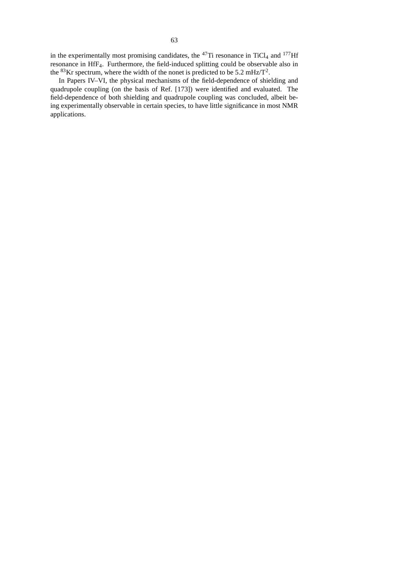in the experimentally most promising candidates, the  $^{47}$ Ti resonance in TiCl<sub>4</sub> and  $^{177}$ Hf resonance in HfF4. Furthermore, the field-induced splitting could be observable also in the <sup>83</sup>Kr spectrum, where the width of the nonet is predicted to be 5.2 mHz/ $T^2$ .

In Papers IV–VI, the physical mechanisms of the field-dependence of shielding and quadrupole coupling (on the basis of Ref. [173]) were identified and evaluated. The field-dependence of both shielding and quadrupole coupling was concluded, albeit being experimentally observable in certain species, to have little significance in most NMR applications.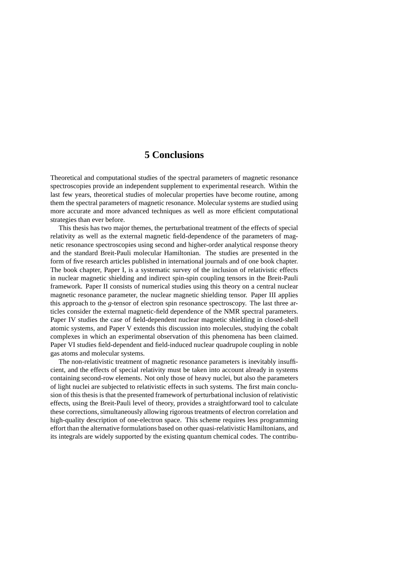## **5 Conclusions**

Theoretical and computational studies of the spectral parameters of magnetic resonance spectroscopies provide an independent supplement to experimental research. Within the last few years, theoretical studies of molecular properties have become routine, among them the spectral parameters of magnetic resonance. Molecular systems are studied using more accurate and more advanced techniques as well as more efficient computational strategies than ever before.

This thesis has two major themes, the perturbational treatment of the effects of special relativity as well as the external magnetic field-dependence of the parameters of magnetic resonance spectroscopies using second and higher-order analytical response theory and the standard Breit-Pauli molecular Hamiltonian. The studies are presented in the form of five research articles published in international journals and of one book chapter. The book chapter, Paper I, is a systematic survey of the inclusion of relativistic effects in nuclear magnetic shielding and indirect spin-spin coupling tensors in the Breit-Pauli framework. Paper II consists of numerical studies using this theory on a central nuclear magnetic resonance parameter, the nuclear magnetic shielding tensor. Paper III applies this approach to the *g*-tensor of electron spin resonance spectroscopy. The last three articles consider the external magnetic-field dependence of the NMR spectral parameters. Paper IV studies the case of field-dependent nuclear magnetic shielding in closed-shell atomic systems, and Paper V extends this discussion into molecules, studying the cobalt complexes in which an experimental observation of this phenomena has been claimed. Paper VI studies field-dependent and field-induced nuclear quadrupole coupling in noble gas atoms and molecular systems.

The non-relativistic treatment of magnetic resonance parameters is inevitably insufficient, and the effects of special relativity must be taken into account already in systems containing second-row elements. Not only those of heavy nuclei, but also the parameters of light nuclei are subjected to relativistic effects in such systems. The first main conclusion of this thesis is that the presented framework of perturbational inclusion of relativistic effects, using the Breit-Pauli level of theory, provides a straightforward tool to calculate these corrections, simultaneously allowing rigorous treatments of electron correlation and high-quality description of one-electron space. This scheme requires less programming effort than the alternative formulations based on other quasi-relativistic Hamiltonians, and its integrals are widely supported by the existing quantum chemical codes. The contribu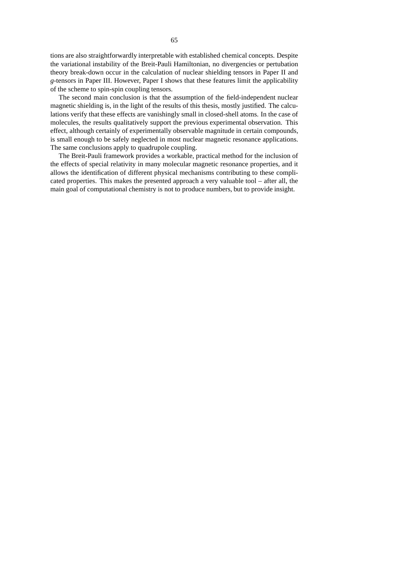tions are also straightforwardly interpretable with established chemical concepts. Despite the variational instability of the Breit-Pauli Hamiltonian, no divergencies or pertubation theory break-down occur in the calculation of nuclear shielding tensors in Paper II and *g*-tensors in Paper III. However, Paper I shows that these features limit the applicability of the scheme to spin-spin coupling tensors.

The second main conclusion is that the assumption of the field-independent nuclear magnetic shielding is, in the light of the results of this thesis, mostly justified. The calculations verify that these effects are vanishingly small in closed-shell atoms. In the case of molecules, the results qualitatively support the previous experimental observation. This effect, although certainly of experimentally observable magnitude in certain compounds, is small enough to be safely neglected in most nuclear magnetic resonance applications. The same conclusions apply to quadrupole coupling.

The Breit-Pauli framework provides a workable, practical method for the inclusion of the effects of special relativity in many molecular magnetic resonance properties, and it allows the identification of different physical mechanisms contributing to these complicated properties. This makes the presented approach a very valuable tool – after all, the main goal of computational chemistry is not to produce numbers, but to provide insight.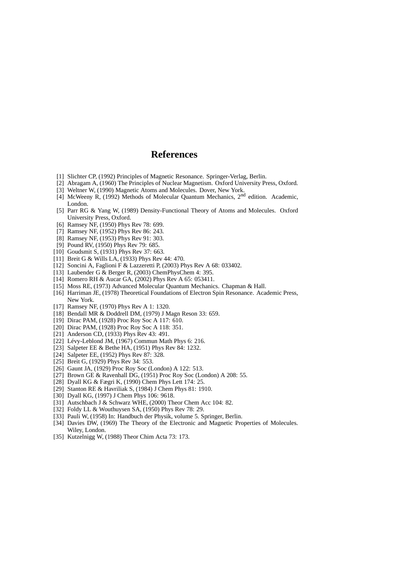# **References**

- [1] Slichter CP, (1992) Principles of Magnetic Resonance. Springer-Verlag, Berlin.
- [2] Abragam A, (1960) The Principles of Nuclear Magnetism. Oxford University Press, Oxford.
- [3] Weltner W, (1990) Magnetic Atoms and Molecules. Dover, New York.
- [4] McWeeny R, (1992) Methods of Molecular Quantum Mechanics, 2<sup>nd</sup> edition. Academic, London.
- [5] Parr RG & Yang W, (1989) Density-Functional Theory of Atoms and Molecules. Oxford University Press, Oxford.
- [6] Ramsey NF, (1950) Phys Rev 78: 699.
- [7] Ramsey NF, (1952) Phys Rev 86: 243.
- [8] Ramsey NF, (1953) Phys Rev 91: 303.
- [9] Pound RV, (1950) Phys Rev 79: 685.
- [10] Goudsmit S, (1931) Phys Rev 37: 663.
- [11] Breit G & Wills LA, (1933) Phys Rev 44: 470.
- [12] Soncini A, Faglioni F & Lazzeretti P, (2003) Phys Rev A 68: 033402.
- [13] Laubender G & Berger R, (2003) ChemPhysChem 4: 395.
- [14] Romero RH & Aucar GA, (2002) Phys Rev A 65: 053411.
- [15] Moss RE, (1973) Advanced Molecular Quantum Mechanics. Chapman & Hall.
- [16] Harriman JE, (1978) Theoretical Foundations of Electron Spin Resonance. Academic Press, New York.
- [17] Ramsey NF, (1970) Phys Rev A 1: 1320.
- [18] Bendall MR & Doddrell DM, (1979) J Magn Reson 33: 659.
- [19] Dirac PAM, (1928) Proc Roy Soc A 117: 610.
- [20] Dirac PAM, (1928) Proc Roy Soc A 118: 351.
- [21] Anderson CD, (1933) Phys Rev 43: 491.
- [22] Lévy-Leblond JM, (1967) Commun Math Phys 6: 216.
- [23] Salpeter EE & Bethe HA, (1951) Phys Rev 84: 1232.
- [24] Salpeter EE, (1952) Phys Rev 87: 328.
- [25] Breit G, (1929) Phys Rev 34: 553.
- [26] Gaunt JA, (1929) Proc Roy Soc (London) A 122: 513.
- [27] Brown GE & Ravenhall DG, (1951) Proc Roy Soc (London) A 208: 55.
- [28] Dyall KG & Fægri K, (1990) Chem Phys Lett 174: 25.
- [29] Stanton RE & Havriliak S, (1984) J Chem Phys 81: 1910.
- [30] Dyall KG, (1997) J Chem Phys 106: 9618.
- [31] Autschbach J & Schwarz WHE, (2000) Theor Chem Acc 104: 82.
- [32] Foldy LL & Wouthuysen SA, (1950) Phys Rev 78: 29.
- [33] Pauli W, (1958) In: Handbuch der Physik, volume 5. Springer, Berlin.
- [34] Davies DW, (1969) The Theory of the Electronic and Magnetic Properties of Molecules. Wiley, London.
- [35] Kutzelnigg W, (1988) Theor Chim Acta 73: 173.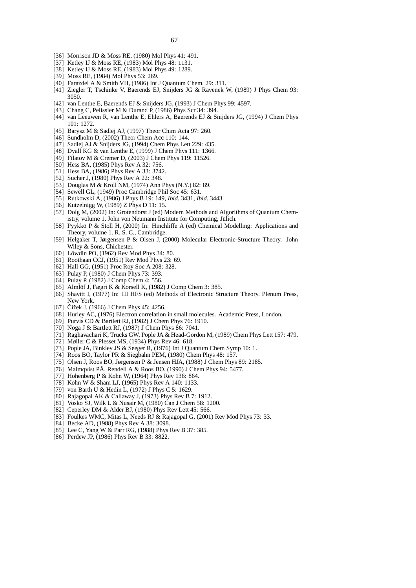- [36] Morrison JD & Moss RE, (1980) Mol Phys 41: 491.
- [37] Ketley IJ & Moss RE, (1983) Mol Phys 48: 1131.
- [38] Ketley IJ & Moss RE, (1983) Mol Phys 49: 1289.
- [39] Moss RE, (1984) Mol Phys 53: 269.
- [40] Farazdel A & Smith VH, (1986) Int J Quantum Chem. 29: 311.
- [41] Ziegler T, Tschinke V, Baerends EJ, Snijders JG & Ravenek W, (1989) J Phys Chem 93: 3050.
- [42] van Lenthe E, Baerends EJ & Snijders JG, (1993) J Chem Phys 99: 4597.
- [43] Chang C, Pelissier M & Durand P, (1986) Phys Scr 34: 394.
- [44] van Leeuwen R, van Lenthe E, Ehlers A, Baerends EJ & Snijders JG, (1994) J Chem Phys 101: 1272.
- [45] Barysz M & Sadlej AJ, (1997) Theor Chim Acta 97: 260.
- [46] Sundholm D, (2002) Theor Chem Acc 110: 144.
- [47] Sadlej AJ & Snijders JG, (1994) Chem Phys Lett 229: 435.
- [48] Dyall KG & van Lenthe E, (1999) J Chem Phys 111: 1366.
- [49] Filatov M & Cremer D, (2003) J Chem Phys 119: 11526.
- [50] Hess BA, (1985) Phys Rev A 32: 756.
- [51] Hess BA, (1986) Phys Rev A 33: 3742.
- [52] Sucher J, (1980) Phys Rev A 22: 348.
- [53] Douglas M & Kroll NM, (1974) Ann Phys (N.Y.) 82: 89.
- [54] Sewell GL, (1949) Proc Cambridge Phil Soc 45: 631.
- [55] Rutkowski A, (1986) J Phys B 19: 149, *Ibid.* 3431, *Ibid.* 3443.
- [56] Kutzelnigg W, (1989) Z Phys D 11: 15.
- [57] Dolg M, (2002) In: Grotendorst J (ed) Modern Methods and Algorithms of Quantum Chemistry, volume 1. John von Neumann Institute for Computing, Jülich.
- [58] Pyykkö P & Stoll H, (2000) In: Hinchliffe A (ed) Chemical Modelling: Applications and Theory, volume 1. R. S. C., Cambridge.
- [59] Helgaker T, Jørgensen P & Olsen J, (2000) Molecular Electronic-Structure Theory. John Wiley & Sons, Chichester.
- [60] Löwdin PO, (1962) Rev Mod Phys 34: 80.
- [61] Roothaan CCJ, (1951) Rev Mod Phys 23: 69.
- [62] Hall GG, (1951) Proc Roy Soc A 208: 328.
- [63] Pulay P, (1980) J Chem Phys 73: 393.
- [64] Pulay P, (1982) J Comp Chem 4: 556.
- [65] Almlöf J, Fægri K & Korsell K, (1982) J Comp Chem 3: 385.
- [66] Shavitt I, (1977) In: III HFS (ed) Methods of Electronic Structure Theory. Plenum Press, New York.
- [67] Čížek J, (1966) J Chem Phys 45: 4256.
- [68] Hurley AC, (1976) Electron correlation in small molecules. Academic Press, London.
- [69] Purvis CD & Bartlett RJ, (1982) J Chem Phys 76: 1910.
- [70] Noga J & Bartlett RJ, (1987) J Chem Phys 86: 7041.
- [71] Raghavachari K, Trucks GW, Pople JA & Head-Gordon M, (1989) Chem Phys Lett 157: 479.
- [72] Møller C & Plesset MS, (1934) Phys Rev 46: 618.
- [73] Pople JA, Binkley JS & Seeger R, (1976) Int J Quantum Chem Symp 10: 1.
- [74] Roos BO, Taylor PR & Siegbahn PEM, (1980) Chem Phys 48: 157.
- [75] Olsen J, Roos BO, Jørgensen P & Jensen HJA, (1988) J Chem Phys 89: 2185.
- [76] Malmqvist PÅ, Rendell A & Roos BO, (1990) J Chem Phys 94: 5477.
- [77] Hohenberg P & Kohn W, (1964) Phys Rev 136: 864.
- [78] Kohn W & Sham LJ, (1965) Phys Rev A 140: 1133.
- [79] von Barth U & Hedin L, (1972) J Phys C 5: 1629.
- [80] Rajagopal AK & Callaway J, (1973) Phys Rev B 7: 1912.
- [81] Vosko SJ, Wilk L & Nusair M, (1980) Can J Chem 58: 1200.
- [82] Ceperley DM & Alder BJ, (1980) Phys Rev Lett 45: 566.
- [83] Foulkes WMC, Mitas L, Needs RJ & Rajagopal G, (2001) Rev Mod Phys 73: 33.
- [84] Becke AD, (1988) Phys Rev A 38: 3098.
- [85] Lee C, Yang W & Parr RG, (1988) Phys Rev B 37: 385.
- [86] Perdew JP, (1986) Phys Rev B 33: 8822.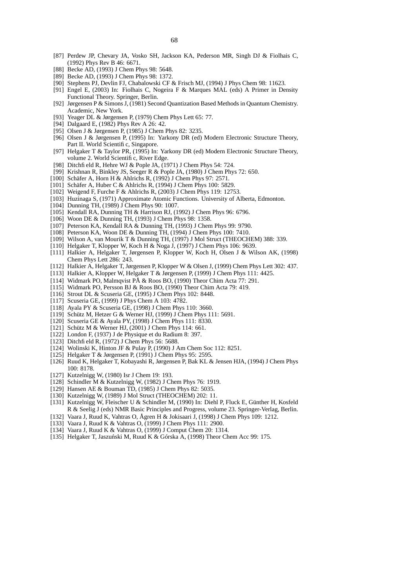- [87] Perdew JP, Chevary JA, Vosko SH, Jackson KA, Pederson MR, Singh DJ & Fiolhais C, (1992) Phys Rev B 46: 6671.
- [88] Becke AD, (1993) J Chem Phys 98: 5648.
- [89] Becke AD, (1993) J Chem Phys 98: 1372.
- [90] Stephens PJ, Devlin FJ, Chabalowski CF & Frisch MJ, (1994) J Phys Chem 98: 11623.
- [91] Engel E, (2003) In: Fiolhais C, Nogeira F & Marques MAL (eds) A Primer in Density Functional Theory. Springer, Berlin.
- [92] Jørgensen P & SimonsJ, (1981) Second Quantization Based Methods in Quantum Chemistry. Academic, New York.
- [93] Yeager DL & Jørgensen P, (1979) Chem Phys Lett 65: 77.
- [94] Dalgaard E, (1982) Phys Rev A 26: 42.
- [95] Olsen J & Jørgensen P, (1985) J Chem Phys 82: 3235.
- [96] Olsen J & Jørgensen P, (1995) In: Yarkony DR (ed) Modern Electronic Structure Theory, Part II. World Scientific, Singapore.
- [97] Helgaker T & Taylor PR, (1995) In: Yarkony DR (ed) Modern Electronic Structure Theory, volume 2. World Scientific, River Edge.
- [98] Ditchfi eld R, Hehre WJ & Pople JA, (1971) J Chem Phys 54: 724.
- [99] Krishnan R, Binkley JS, Seeger R & Pople JA, (1980) J Chem Phys 72: 650.
- [100] Schäfer A, Horn H & Ahlrichs R, (1992) J Chem Phys 97: 2571.
- [101] Schäfer A, Huber C & Ahlrichs R, (1994) J Chem Phys 100: 5829.
- [102] Weigend F, Furche F & Ahlrichs R, (2003) J Chem Phys 119: 12753.
- [103] Huzinaga S, (1971) Approximate Atomic Functions. University of Alberta, Edmonton.
- [104] Dunning TH, (1989) J Chem Phys 90: 1007.
- [105] Kendall RA, Dunning TH & Harrison RJ, (1992) J Chem Phys 96: 6796.
- [106] Woon DE & Dunning TH, (1993) J Chem Phys 98: 1358.
- [107] Peterson KA, Kendall RA & Dunning TH, (1993) J Chem Phys 99: 9790.
- [108] Peterson KA, Woon DE & Dunning TH, (1994) J Chem Phys 100: 7410.
- [109] Wilson A, van Mourik T & Dunning TH, (1997) J Mol Struct (THEOCHEM) 388: 339.
- [110] Helgaker T, Klopper W, Koch H & Noga J, (1997) J Chem Phys 106: 9639.
- [111] Halkier A, Helgaker T, Jørgensen P, Klopper W, Koch H, Olsen J & Wilson AK, (1998) Chem Phys Lett 286: 243.
- [112] Halkier A, Helgaker T, Jørgensen P, Klopper W & Olsen J, (1999) Chem Phys Lett 302: 437.
- [113] Halkier A, Klopper W, Helgaker T & Jørgensen P, (1999) J Chem Phys 111: 4425.
- [114] Widmark PO, Malmqvist PÅ & Roos BO, (1990) Theor Chim Acta 77: 291.
- [115] Widmark PO, Persson BJ & Roos BO, (1990) Theor Chim Acta 79: 419.
- [116] Strout DL & Scuseria GE, (1995) J Chem Phys 102: 8448.
- [117] Scuseria GE, (1999) J Phys Chem A 103: 4782.
- [118] Ayala PY & Scuseria GE, (1998) J Chem Phys 110: 3660.
- [119] Schütz M, Hetzer G & Werner HJ, (1999) J Chem Phys 111: 5691.
- [120] Scuseria GE & Ayala PY, (1998) J Chem Phys 111: 8330.
- [121] Schütz M & Werner HJ, (2001) J Chem Phys 114: 661.
- [122] London F, (1937) J de Physique et du Radium 8: 397.
- [123] Ditchfield R, (1972) J Chem Phys 56: 5688.
- [124] Wolinski K, Hinton JF & Pulay P, (1990) J Am Chem Soc 112: 8251.
- [125] Helgaker T & Jørgensen P, (1991) J Chem Phys 95: 2595.
- [126] Ruud K, Helgaker T, Kobayashi R, Jørgensen P, Bak KL & Jensen HJA, (1994) J Chem Phys 100: 8178.
- [127] Kutzelnigg W, (1980) Isr J Chem 19: 193.
- [128] Schindler M & Kutzelnigg W, (1982) J Chem Phys 76: 1919.
- [129] Hansen AE & Bouman TD, (1985) J Chem Phys 82: 5035.
- [130] Kutzelnigg W, (1989) J Mol Struct (THEOCHEM) 202: 11.
- [131] Kutzelnigg W, Fleischer U & Schindler M, (1990) In: Diehl P, Fluck E, Günther H, Kosfeld R & Seelig J (eds) NMR Basic Principles and Progress, volume 23. Springer-Verlag, Berlin.
- [132] Vaara J, Ruud K, Vahtras O, Ågren H & Jokisaari J, (1998) J Chem Phys 109: 1212.
- [133] Vaara J, Ruud K & Vahtras O, (1999) J Chem Phys 111: 2900.
- [134] Vaara J, Ruud K & Vahtras O, (1999) J Comput Chem 20: 1314.
- [135] Helgaker T, Jaszuński M, Ruud K & Górska A, (1998) Theor Chem Acc 99: 175.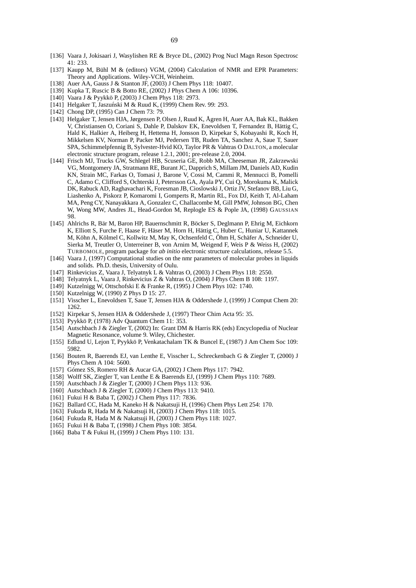- [136] Vaara J, Jokisaari J, Wasylishen RE & Bryce DL, (2002) Prog Nucl Magn Reson Spectrosc 41: 233.
- [137] Kaupp M, Bühl M & (editors) VGM, (2004) Calculation of NMR and EPR Parameters: Theory and Applications. Wiley-VCH, Weinheim.
- [138] Auer AA, Gauss J & Stanton JF, (2003) J Chem Phys 118: 10407.
- [139] Kupka T, Ruscic B & Botto RE, (2002) J Phys Chem A 106: 10396.
- [140] Vaara J & Pyykkö P, (2003) J Chem Phys 118: 2973.
- [141] Helgaker T, Jaszuński M & Ruud K, (1999) Chem Rev. 99: 293.
- [142] Chong DP, (1995) Can J Chem 73: 79.
- [143] Helgaker T, Jensen HJA, Jørgensen P, Olsen J, Ruud K, Ågren H, Auer AA, Bak KL, Bakken V, Christiansen O, Coriani S, Dahle P, Dalskov EK, Enevoldsen T, Fernandez B, Hättig C, Hald K, Halkier A, Heiberg H, Hettema H, Jonsson D, Kirpekar S, Kobayashi R, Koch H, Mikkelsen KV, Norman P, Packer MJ, Pedersen TB, Ruden TA, Sanchez A, Saue T, Sauer SPA, Schimmelpfennig B, Sylvester-Hvid KO, Taylor PR & Vahtras O DALTON, a molecular electronic structure program, release 1.2.1, 2001; pre-release 2.0, 2004.
- [144] Frisch MJ, Trucks GW, Schlegel HB, Scuseria GE, Robb MA, Cheeseman JR, Zakrzewski VG, Montgomery JA, Stratmann RE, Burant JC, Dapprich S, Millam JM, Daniels AD, Kudin KN, Strain MC, Farkas O, Tomasi J, Barone V, Cossi M, Cammi R, Mennucci B, Pomelli C, Adamo C, Clifford S, Ochterski J, Petersson GA, Ayala PY, Cui Q, Morokuma K, Malick DK, Rabuck AD, Raghavachari K, Foresman JB, Cioslowski J, Ortiz JV, Stefanov BB, Liu G, Liashenko A, Piskorz P, Komaromi I, Gomperts R, Martin RL, Fox DJ, Keith T, Al-Laham MA, Peng CY, Nanayakkara A, Gonzalez C, Challacombe M, Gill PMW, Johnson BG, Chen W, Wong MW, Andres JL, Head-Gordon M, Replogle ES & Pople JA, (1998) GAUSSIAN 98.
- [145] Ahlrichs R, Bär M, Baron HP, Bauernschmitt R, Böcker S, Deglmann P, Ehrig M, Eichkorn K, Elliott S, Furche F, Haase F, Häser M, Horn H, Hättig C, Huber C, Huniar U, Kattannek M, Köhn A, Kölmel C, Kollwitz M, May K, Ochsenfeld C, Öhm H, Schäfer A, Schneider U, Sierka M, Treutler O, Unterreiner B, von Arnim M, Weigend F, Weis P & Weiss H, (2002) TURBOMOLE, program package for *ab initio* electronic structure calculations, release 5.5.
- [146] Vaara J, (1997) Computational studies on the nmr parameters of molecular probes in liquids and solids. Ph.D. thesis, University of Oulu.
- [147] Rinkevicius Z, Vaara J, Telyatnyk L & Vahtras O, (2003) J Chem Phys 118: 2550.
- [148] Telyatnyk L, Vaara J, Rinkevicius Z & Vahtras O, (2004) J Phys Chem B 108: 1197.
- [149] Kutzelnigg W, Ottschofski E & Franke R, (1995) J Chem Phys 102: 1740.
- [150] Kutzelnigg W, (1990) Z Phys D 15: 27.
- [151] Visscher L, Enevoldsen T, Saue T, Jensen HJA & Oddershede J, (1999) J Comput Chem 20: 1262.
- [152] Kirpekar S, Jensen HJA & Oddershede J, (1997) Theor Chim Acta 95: 35.
- [153] Pyykkö P, (1978) Adv Quantum Chem 11: 353.
- [154] Autschbach J & Ziegler T, (2002) In: Grant DM & Harris RK (eds) Encyclopedia of Nuclear Magnetic Resonance, volume 9. Wiley, Chichester.
- [155] Edlund U, Lejon T, Pyykkö P, Venkatachalam TK & Buncel E, (1987) J Am Chem Soc 109: 5982.
- [156] Bouten R, Baerends EJ, van Lenthe E, Visscher L, Schreckenbach G & Ziegler T, (2000) J Phys Chem A 104: 5600.
- [157] Gómez SS, Romero RH & Aucar GA, (2002) J Chem Phys 117: 7942.
- [158] Wolff SK, Ziegler T, van Lenthe E & Baerends EJ, (1999) J Chem Phys 110: 7689.
- [159] Autschbach J & Ziegler T, (2000) J Chem Phys 113: 936.
- [160] Autschbach J & Ziegler T, (2000) J Chem Phys 113: 9410.
- [161] Fukui H & Baba T, (2002) J Chem Phys 117: 7836.
- [162] Ballard CC, Hada M, Kaneko H & Nakatsuji H, (1996) Chem Phys Lett 254: 170.
- [163] Fukuda R, Hada M & Nakatsuji H, (2003) J Chem Phys 118: 1015.
- [164] Fukuda R, Hada M & Nakatsuji H, (2003) J Chem Phys 118: 1027.
- [165] Fukui H & Baba T, (1998) J Chem Phys 108: 3854.
- [166] Baba T & Fukui H, (1999) J Chem Phys 110: 131.